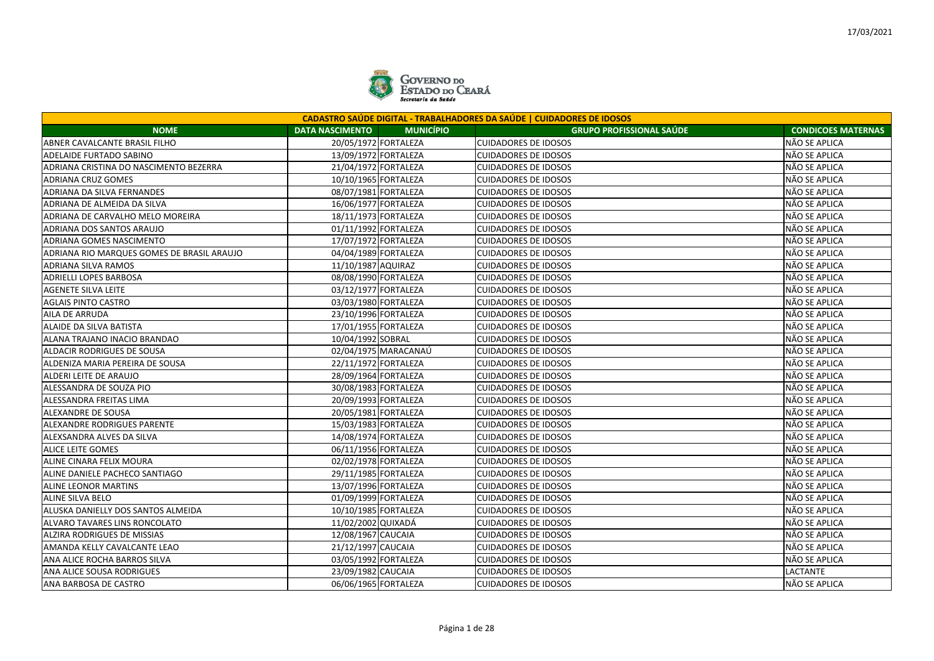

| <b>CADASTRO SAÚDE DIGITAL - TRABALHADORES DA SAÚDE   CUIDADORES DE IDOSOS</b> |                        |                      |                                 |                           |  |
|-------------------------------------------------------------------------------|------------------------|----------------------|---------------------------------|---------------------------|--|
| <b>NOME</b>                                                                   | <b>DATA NASCIMENTO</b> | <b>MUNICÍPIO</b>     | <b>GRUPO PROFISSIONAL SAÚDE</b> | <b>CONDICOES MATERNAS</b> |  |
| ABNER CAVALCANTE BRASIL FILHO                                                 |                        | 20/05/1972 FORTALEZA | <b>CUIDADORES DE IDOSOS</b>     | NÃO SE APLICA             |  |
| <b>ADELAIDE FURTADO SABINO</b>                                                |                        | 13/09/1972 FORTALEZA | <b>CUIDADORES DE IDOSOS</b>     | NÃO SE APLICA             |  |
| ADRIANA CRISTINA DO NASCIMENTO BEZERRA                                        |                        | 21/04/1972 FORTALEZA | <b>CUIDADORES DE IDOSOS</b>     | NÃO SE APLICA             |  |
| <b>ADRIANA CRUZ GOMES</b>                                                     |                        | 10/10/1965 FORTALEZA | <b>CUIDADORES DE IDOSOS</b>     | NÃO SE APLICA             |  |
| ADRIANA DA SILVA FERNANDES                                                    |                        | 08/07/1981 FORTALEZA | <b>CUIDADORES DE IDOSOS</b>     | NÃO SE APLICA             |  |
| ADRIANA DE ALMEIDA DA SILVA                                                   |                        | 16/06/1977 FORTALEZA | <b>CUIDADORES DE IDOSOS</b>     | NÃO SE APLICA             |  |
| ADRIANA DE CARVALHO MELO MOREIRA                                              |                        | 18/11/1973 FORTALEZA | <b>CUIDADORES DE IDOSOS</b>     | NÃO SE APLICA             |  |
| ADRIANA DOS SANTOS ARAUJO                                                     |                        | 01/11/1992 FORTALEZA | <b>CUIDADORES DE IDOSOS</b>     | NÃO SE APLICA             |  |
| ADRIANA GOMES NASCIMENTO                                                      |                        | 17/07/1972 FORTALEZA | <b>CUIDADORES DE IDOSOS</b>     | NÃO SE APLICA             |  |
| ADRIANA RIO MARQUES GOMES DE BRASIL ARAUJO                                    |                        | 04/04/1989 FORTALEZA | <b>CUIDADORES DE IDOSOS</b>     | NÃO SE APLICA             |  |
| ADRIANA SILVA RAMOS                                                           | 11/10/1987 AQUIRAZ     |                      | <b>CUIDADORES DE IDOSOS</b>     | NÃO SE APLICA             |  |
| ADRIELLI LOPES BARBOSA                                                        |                        | 08/08/1990 FORTALEZA | <b>CUIDADORES DE IDOSOS</b>     | NÃO SE APLICA             |  |
| <b>AGENETE SILVA LEITE</b>                                                    |                        | 03/12/1977 FORTALEZA | <b>CUIDADORES DE IDOSOS</b>     | NÃO SE APLICA             |  |
| <b>AGLAIS PINTO CASTRO</b>                                                    |                        | 03/03/1980 FORTALEZA | <b>CUIDADORES DE IDOSOS</b>     | NÃO SE APLICA             |  |
| AILA DE ARRUDA                                                                |                        | 23/10/1996 FORTALEZA | <b>CUIDADORES DE IDOSOS</b>     | NÃO SE APLICA             |  |
| ALAIDE DA SILVA BATISTA                                                       |                        | 17/01/1955 FORTALEZA | <b>CUIDADORES DE IDOSOS</b>     | NÃO SE APLICA             |  |
| ALANA TRAJANO INACIO BRANDAO                                                  | 10/04/1992 SOBRAL      |                      | <b>CUIDADORES DE IDOSOS</b>     | NÃO SE APLICA             |  |
| ALDACIR RODRIGUES DE SOUSA                                                    |                        | 02/04/1975 MARACANAÚ | <b>CUIDADORES DE IDOSOS</b>     | NÃO SE APLICA             |  |
| ALDENIZA MARIA PEREIRA DE SOUSA                                               |                        | 22/11/1972 FORTALEZA | <b>CUIDADORES DE IDOSOS</b>     | NÃO SE APLICA             |  |
| ALDERI LEITE DE ARAUJO                                                        |                        | 28/09/1964 FORTALEZA | <b>CUIDADORES DE IDOSOS</b>     | NÃO SE APLICA             |  |
| ALESSANDRA DE SOUZA PIO                                                       |                        | 30/08/1983 FORTALEZA | <b>CUIDADORES DE IDOSOS</b>     | NÃO SE APLICA             |  |
| ALESSANDRA FREITAS LIMA                                                       |                        | 20/09/1993 FORTALEZA | <b>CUIDADORES DE IDOSOS</b>     | NÃO SE APLICA             |  |
| ALEXANDRE DE SOUSA                                                            |                        | 20/05/1981 FORTALEZA | <b>CUIDADORES DE IDOSOS</b>     | NÃO SE APLICA             |  |
| ALEXANDRE RODRIGUES PARENTE                                                   |                        | 15/03/1983 FORTALEZA | <b>CUIDADORES DE IDOSOS</b>     | NÃO SE APLICA             |  |
| ALEXSANDRA ALVES DA SILVA                                                     |                        | 14/08/1974 FORTALEZA | <b>CUIDADORES DE IDOSOS</b>     | NÃO SE APLICA             |  |
| <b>ALICE LEITE GOMES</b>                                                      |                        | 06/11/1956 FORTALEZA | <b>CUIDADORES DE IDOSOS</b>     | NÃO SE APLICA             |  |
| ALINE CINARA FELIX MOURA                                                      |                        | 02/02/1978 FORTALEZA | <b>CUIDADORES DE IDOSOS</b>     | NÃO SE APLICA             |  |
| ALINE DANIELE PACHECO SANTIAGO                                                |                        | 29/11/1985 FORTALEZA | <b>CUIDADORES DE IDOSOS</b>     | NÃO SE APLICA             |  |
| ALINE LEONOR MARTINS                                                          | 13/07/1996 FORTALEZA   |                      | <b>CUIDADORES DE IDOSOS</b>     | NÃO SE APLICA             |  |
| <b>ALINE SILVA BELO</b>                                                       |                        | 01/09/1999 FORTALEZA | <b>CUIDADORES DE IDOSOS</b>     | NÃO SE APLICA             |  |
| ALUSKA DANIELLY DOS SANTOS ALMEIDA                                            |                        | 10/10/1985 FORTALEZA | <b>CUIDADORES DE IDOSOS</b>     | NÃO SE APLICA             |  |
| ALVARO TAVARES LINS RONCOLATO                                                 | 11/02/2002 QUIXADÁ     |                      | <b>CUIDADORES DE IDOSOS</b>     | NÃO SE APLICA             |  |
| <b>ALZIRA RODRIGUES DE MISSIAS</b>                                            | 12/08/1967 CAUCAIA     |                      | <b>CUIDADORES DE IDOSOS</b>     | NÃO SE APLICA             |  |
| AMANDA KELLY CAVALCANTE LEAO                                                  | 21/12/1997 CAUCAIA     |                      | <b>CUIDADORES DE IDOSOS</b>     | NÃO SE APLICA             |  |
| ANA ALICE ROCHA BARROS SILVA                                                  |                        | 03/05/1992 FORTALEZA | <b>CUIDADORES DE IDOSOS</b>     | NÃO SE APLICA             |  |
| ANA ALICE SOUSA RODRIGUES                                                     | 23/09/1982 CAUCAIA     |                      | <b>CUIDADORES DE IDOSOS</b>     | LACTANTE                  |  |
| ANA BARBOSA DE CASTRO                                                         |                        | 06/06/1965 FORTALEZA | <b>CUIDADORES DE IDOSOS</b>     | NÃO SE APLICA             |  |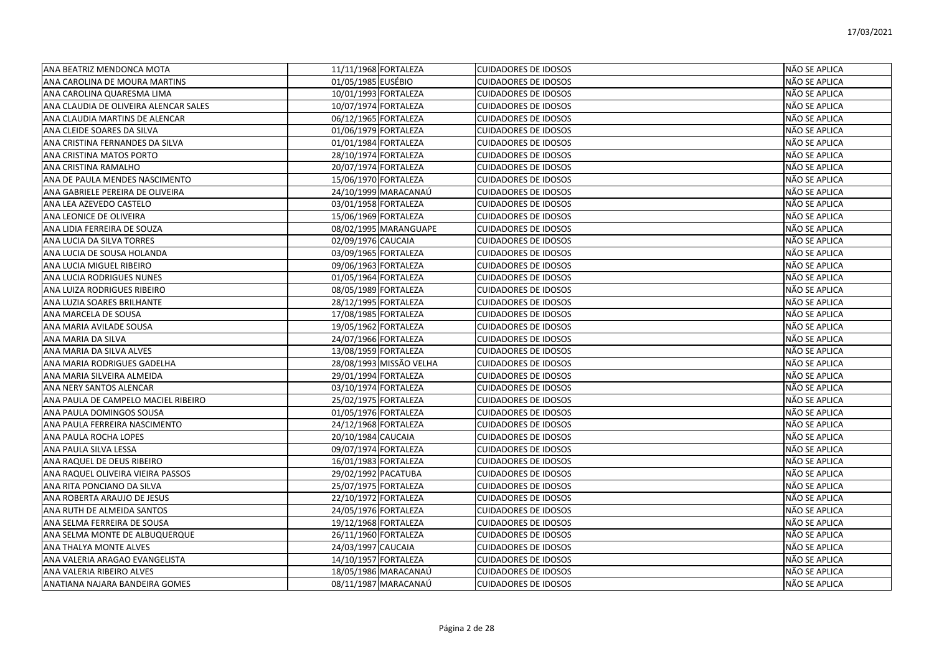| ANA BEATRIZ MENDONCA MOTA             | 11/11/1968 FORTALEZA    | <b>CUIDADORES DE IDOSOS</b> | NÃO SE APLICA        |
|---------------------------------------|-------------------------|-----------------------------|----------------------|
| ANA CAROLINA DE MOURA MARTINS         | 01/05/1985 EUSÉBIO      | <b>CUIDADORES DE IDOSOS</b> | NÃO SE APLICA        |
| ANA CAROLINA QUARESMA LIMA            | 10/01/1993 FORTALEZA    | <b>CUIDADORES DE IDOSOS</b> | NÃO SE APLICA        |
| ANA CLAUDIA DE OLIVEIRA ALENCAR SALES | 10/07/1974 FORTALEZA    | <b>CUIDADORES DE IDOSOS</b> | NÃO SE APLICA        |
| ANA CLAUDIA MARTINS DE ALENCAR        | 06/12/1965 FORTALEZA    | <b>CUIDADORES DE IDOSOS</b> | NÃO SE APLICA        |
| ANA CLEIDE SOARES DA SILVA            | 01/06/1979 FORTALEZA    | <b>CUIDADORES DE IDOSOS</b> | NÃO SE APLICA        |
| ANA CRISTINA FERNANDES DA SILVA       | 01/01/1984 FORTALEZA    | <b>CUIDADORES DE IDOSOS</b> | NÃO SE APLICA        |
| ANA CRISTINA MATOS PORTO              | 28/10/1974 FORTALEZA    | <b>CUIDADORES DE IDOSOS</b> | NÃO SE APLICA        |
| ANA CRISTINA RAMALHO                  | 20/07/1974 FORTALEZA    | <b>CUIDADORES DE IDOSOS</b> | NÃO SE APLICA        |
| ANA DE PAULA MENDES NASCIMENTO        | 15/06/1970 FORTALEZA    | <b>CUIDADORES DE IDOSOS</b> | NÃO SE APLICA        |
| ANA GABRIELE PEREIRA DE OLIVEIRA      | 24/10/1999 MARACANAÚ    | <b>CUIDADORES DE IDOSOS</b> | NÃO SE APLICA        |
| ANA LEA AZEVEDO CASTELO               | 03/01/1958 FORTALEZA    | <b>CUIDADORES DE IDOSOS</b> | NÃO SE APLICA        |
| ANA LEONICE DE OLIVEIRA               | 15/06/1969 FORTALEZA    | <b>CUIDADORES DE IDOSOS</b> | NÃO SE APLICA        |
| ANA LIDIA FERREIRA DE SOUZA           | 08/02/1995 MARANGUAPE   | <b>CUIDADORES DE IDOSOS</b> | NÃO SE APLICA        |
| ANA LUCIA DA SILVA TORRES             | 02/09/1976 CAUCAIA      | <b>CUIDADORES DE IDOSOS</b> | NÃO SE APLICA        |
| ANA LUCIA DE SOUSA HOLANDA            | 03/09/1965 FORTALEZA    | <b>CUIDADORES DE IDOSOS</b> | NÃO SE APLICA        |
| ANA LUCIA MIGUEL RIBEIRO              | 09/06/1963 FORTALEZA    | <b>CUIDADORES DE IDOSOS</b> | NÃO SE APLICA        |
| ANA LUCIA RODRIGUES NUNES             | 01/05/1964 FORTALEZA    | <b>CUIDADORES DE IDOSOS</b> | NÃO SE APLICA        |
| ANA LUIZA RODRIGUES RIBEIRO           | 08/05/1989 FORTALEZA    | <b>CUIDADORES DE IDOSOS</b> | NÃO SE APLICA        |
| ANA LUZIA SOARES BRILHANTE            | 28/12/1995 FORTALEZA    | <b>CUIDADORES DE IDOSOS</b> | NÃO SE APLICA        |
| ANA MARCELA DE SOUSA                  | 17/08/1985 FORTALEZA    | <b>CUIDADORES DE IDOSOS</b> | NÃO SE APLICA        |
| ANA MARIA AVILADE SOUSA               | 19/05/1962 FORTALEZA    | <b>CUIDADORES DE IDOSOS</b> | NÃO SE APLICA        |
| ANA MARIA DA SILVA                    | 24/07/1966 FORTALEZA    | <b>CUIDADORES DE IDOSOS</b> | NÃO SE APLICA        |
| ANA MARIA DA SILVA ALVES              | 13/08/1959 FORTALEZA    | <b>CUIDADORES DE IDOSOS</b> | NÃO SE APLICA        |
| ANA MARIA RODRIGUES GADELHA           | 28/08/1993 MISSÃO VELHA | <b>CUIDADORES DE IDOSOS</b> | NÃO SE APLICA        |
| ANA MARIA SILVEIRA ALMEIDA            | 29/01/1994 FORTALEZA    | <b>CUIDADORES DE IDOSOS</b> | NÃO SE APLICA        |
| ANA NERY SANTOS ALENCAR               | 03/10/1974 FORTALEZA    | <b>CUIDADORES DE IDOSOS</b> | NÃO SE APLICA        |
| ANA PAULA DE CAMPELO MACIEL RIBEIRO   | 25/02/1975 FORTALEZA    | <b>CUIDADORES DE IDOSOS</b> | NÃO SE APLICA        |
| ANA PAULA DOMINGOS SOUSA              | 01/05/1976 FORTALEZA    | <b>CUIDADORES DE IDOSOS</b> | NÃO SE APLICA        |
| ANA PAULA FERREIRA NASCIMENTO         | 24/12/1968 FORTALEZA    | <b>CUIDADORES DE IDOSOS</b> | NÃO SE APLICA        |
| ANA PAULA ROCHA LOPES                 | 20/10/1984 CAUCAIA      | <b>CUIDADORES DE IDOSOS</b> | NÃO SE APLICA        |
| ANA PAULA SILVA LESSA                 | 09/07/1974 FORTALEZA    | <b>CUIDADORES DE IDOSOS</b> | NÃO SE APLICA        |
| ANA RAQUEL DE DEUS RIBEIRO            | 16/01/1983 FORTALEZA    | <b>CUIDADORES DE IDOSOS</b> | NÃO SE APLICA        |
| ANA RAQUEL OLIVEIRA VIEIRA PASSOS     | 29/02/1992 PACATUBA     | <b>CUIDADORES DE IDOSOS</b> | <b>NÃO SE APLICA</b> |
| ANA RITA PONCIANO DA SILVA            | 25/07/1975 FORTALEZA    | <b>CUIDADORES DE IDOSOS</b> | NÃO SE APLICA        |
| ANA ROBERTA ARAUJO DE JESUS           | 22/10/1972 FORTALEZA    | <b>CUIDADORES DE IDOSOS</b> | NÃO SE APLICA        |
| ANA RUTH DE ALMEIDA SANTOS            | 24/05/1976 FORTALEZA    | <b>CUIDADORES DE IDOSOS</b> | NÃO SE APLICA        |
| ANA SELMA FERREIRA DE SOUSA           | 19/12/1968 FORTALEZA    | <b>CUIDADORES DE IDOSOS</b> | NÃO SE APLICA        |
| ANA SELMA MONTE DE ALBUQUERQUE        | 26/11/1960 FORTALEZA    | <b>CUIDADORES DE IDOSOS</b> | NÃO SE APLICA        |
| ANA THALYA MONTE ALVES                | 24/03/1997 CAUCAIA      | <b>CUIDADORES DE IDOSOS</b> | NÃO SE APLICA        |
| ANA VALERIA ARAGAO EVANGELISTA        | 14/10/1957 FORTALEZA    | <b>CUIDADORES DE IDOSOS</b> | NÃO SE APLICA        |
| ANA VALERIA RIBEIRO ALVES             | 18/05/1986 MARACANAÚ    | <b>CUIDADORES DE IDOSOS</b> | NÃO SE APLICA        |
| ANATIANA NAJARA BANDEIRA GOMES        | 08/11/1987 MARACANAÚ    | <b>CUIDADORES DE IDOSOS</b> | NÃO SE APLICA        |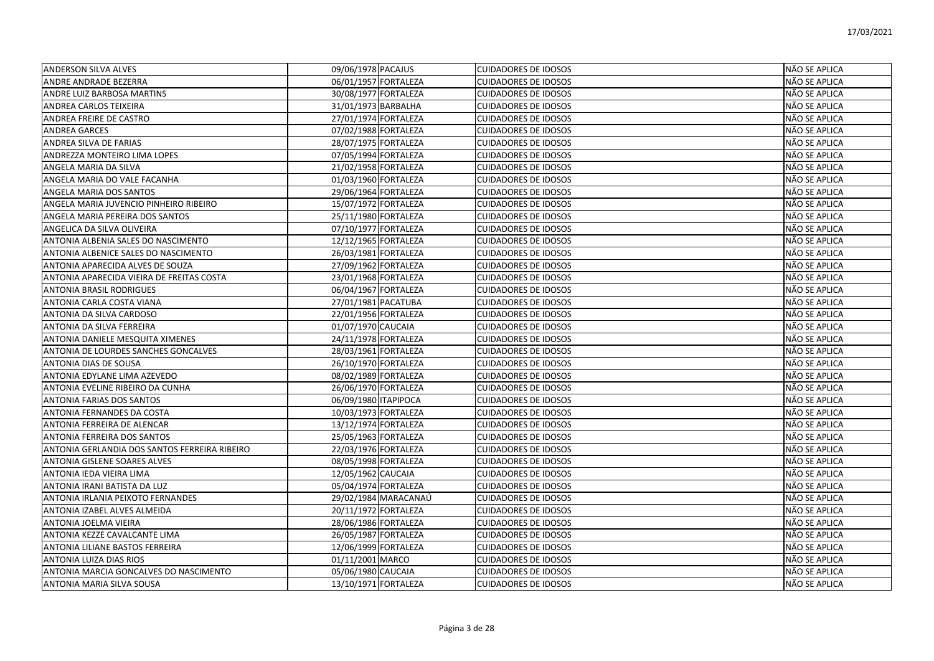| <b>ANDERSON SILVA ALVES</b>                   | 09/06/1978 PACAJUS   | <b>CUIDADORES DE IDOSOS</b> | NÃO SE APLICA        |
|-----------------------------------------------|----------------------|-----------------------------|----------------------|
| ANDRE ANDRADE BEZERRA                         | 06/01/1957 FORTALEZA | <b>CUIDADORES DE IDOSOS</b> | NÃO SE APLICA        |
| ANDRE LUIZ BARBOSA MARTINS                    | 30/08/1977 FORTALEZA | <b>CUIDADORES DE IDOSOS</b> | NÃO SE APLICA        |
| ANDREA CARLOS TEIXEIRA                        | 31/01/1973 BARBALHA  | <b>CUIDADORES DE IDOSOS</b> | NÃO SE APLICA        |
| ANDREA FREIRE DE CASTRO                       | 27/01/1974 FORTALEZA | <b>CUIDADORES DE IDOSOS</b> | NÃO SE APLICA        |
| <b>ANDREA GARCES</b>                          | 07/02/1988 FORTALEZA | <b>CUIDADORES DE IDOSOS</b> | NÃO SE APLICA        |
| ANDREA SILVA DE FARIAS                        | 28/07/1975 FORTALEZA | <b>CUIDADORES DE IDOSOS</b> | NÃO SE APLICA        |
| ANDREZZA MONTEIRO LIMA LOPES                  | 07/05/1994 FORTALEZA | <b>CUIDADORES DE IDOSOS</b> | NÃO SE APLICA        |
| ANGELA MARIA DA SILVA                         | 21/02/1958 FORTALEZA | <b>CUIDADORES DE IDOSOS</b> | NÃO SE APLICA        |
| ANGELA MARIA DO VALE FACANHA                  | 01/03/1960 FORTALEZA | <b>CUIDADORES DE IDOSOS</b> | NÃO SE APLICA        |
| ANGELA MARIA DOS SANTOS                       | 29/06/1964 FORTALEZA | <b>CUIDADORES DE IDOSOS</b> | NÃO SE APLICA        |
| ANGELA MARIA JUVENCIO PINHEIRO RIBEIRO        | 15/07/1972 FORTALEZA | <b>CUIDADORES DE IDOSOS</b> | NÃO SE APLICA        |
| ANGELA MARIA PEREIRA DOS SANTOS               | 25/11/1980 FORTALEZA | <b>CUIDADORES DE IDOSOS</b> | NÃO SE APLICA        |
| ANGELICA DA SILVA OLIVEIRA                    | 07/10/1977 FORTALEZA | <b>CUIDADORES DE IDOSOS</b> | NÃO SE APLICA        |
| ANTONIA ALBENIA SALES DO NASCIMENTO           | 12/12/1965 FORTALEZA | <b>CUIDADORES DE IDOSOS</b> | NÃO SE APLICA        |
| ANTONIA ALBENICE SALES DO NASCIMENTO          | 26/03/1981 FORTALEZA | <b>CUIDADORES DE IDOSOS</b> | NÃO SE APLICA        |
| ANTONIA APARECIDA ALVES DE SOUZA              | 27/09/1962 FORTALEZA | <b>CUIDADORES DE IDOSOS</b> | <b>NÃO SE APLICA</b> |
| ANTONIA APARECIDA VIEIRA DE FREITAS COSTA     | 23/01/1968 FORTALEZA | <b>CUIDADORES DE IDOSOS</b> | NÃO SE APLICA        |
| <b>ANTONIA BRASIL RODRIGUES</b>               | 06/04/1967 FORTALEZA | <b>CUIDADORES DE IDOSOS</b> | NÃO SE APLICA        |
| ANTONIA CARLA COSTA VIANA                     | 27/01/1981 PACATUBA  | <b>CUIDADORES DE IDOSOS</b> | NÃO SE APLICA        |
| ANTONIA DA SILVA CARDOSO                      | 22/01/1956 FORTALEZA | <b>CUIDADORES DE IDOSOS</b> | NÃO SE APLICA        |
| ANTONIA DA SILVA FERREIRA                     | 01/07/1970 CAUCAIA   | <b>CUIDADORES DE IDOSOS</b> | NÃO SE APLICA        |
| ANTONIA DANIELE MESQUITA XIMENES              | 24/11/1978 FORTALEZA | <b>CUIDADORES DE IDOSOS</b> | NÃO SE APLICA        |
| ANTONIA DE LOURDES SANCHES GONCALVES          | 28/03/1961 FORTALEZA | <b>CUIDADORES DE IDOSOS</b> | NÃO SE APLICA        |
| ANTONIA DIAS DE SOUSA                         | 26/10/1970 FORTALEZA | <b>CUIDADORES DE IDOSOS</b> | NÃO SE APLICA        |
| ANTONIA EDYLANE LIMA AZEVEDO                  | 08/02/1989 FORTALEZA | <b>CUIDADORES DE IDOSOS</b> | NÃO SE APLICA        |
| ANTONIA EVELINE RIBEIRO DA CUNHA              | 26/06/1970 FORTALEZA | <b>CUIDADORES DE IDOSOS</b> | NÃO SE APLICA        |
| ANTONIA FARIAS DOS SANTOS                     | 06/09/1980 ITAPIPOCA | <b>CUIDADORES DE IDOSOS</b> | NÃO SE APLICA        |
| ANTONIA FERNANDES DA COSTA                    | 10/03/1973 FORTALEZA | <b>CUIDADORES DE IDOSOS</b> | NÃO SE APLICA        |
| ANTONIA FERREIRA DE ALENCAR                   | 13/12/1974 FORTALEZA | <b>CUIDADORES DE IDOSOS</b> | <b>NÃO SE APLICA</b> |
| ANTONIA FERREIRA DOS SANTOS                   | 25/05/1963 FORTALEZA | <b>CUIDADORES DE IDOSOS</b> | NÃO SE APLICA        |
| ANTONIA GERLANDIA DOS SANTOS FERREIRA RIBEIRO | 22/03/1976 FORTALEZA | <b>CUIDADORES DE IDOSOS</b> | NÃO SE APLICA        |
| <b>ANTONIA GISLENE SOARES ALVES</b>           | 08/05/1998 FORTALEZA | <b>CUIDADORES DE IDOSOS</b> | NÃO SE APLICA        |
| ANTONIA IEDA VIEIRA LIMA                      | 12/05/1962 CAUCAIA   | <b>CUIDADORES DE IDOSOS</b> | NÃO SE APLICA        |
| ANTONIA IRANI BATISTA DA LUZ                  | 05/04/1974 FORTALEZA | <b>CUIDADORES DE IDOSOS</b> | NÃO SE APLICA        |
| ANTONIA IRLANIA PEIXOTO FERNANDES             | 29/02/1984 MARACANAÚ | <b>CUIDADORES DE IDOSOS</b> | NÃO SE APLICA        |
| ANTONIA IZABEL ALVES ALMEIDA                  | 20/11/1972 FORTALEZA | <b>CUIDADORES DE IDOSOS</b> | NÃO SE APLICA        |
| ANTONIA JOELMA VIEIRA                         | 28/06/1986 FORTALEZA | <b>CUIDADORES DE IDOSOS</b> | NÃO SE APLICA        |
| ANTONIA KEZZE CAVALCANTE LIMA                 | 26/05/1987 FORTALEZA | <b>CUIDADORES DE IDOSOS</b> | NÃO SE APLICA        |
| ANTONIA LILIANE BASTOS FERREIRA               | 12/06/1999 FORTALEZA | <b>CUIDADORES DE IDOSOS</b> | NÃO SE APLICA        |
| ANTONIA LUIZA DIAS RIOS                       | 01/11/2001 MARCO     | <b>CUIDADORES DE IDOSOS</b> | NÃO SE APLICA        |
| ANTONIA MARCIA GONCALVES DO NASCIMENTO        | 05/06/1980 CAUCAIA   | <b>CUIDADORES DE IDOSOS</b> | NÃO SE APLICA        |
| ANTONIA MARIA SILVA SOUSA                     | 13/10/1971 FORTALEZA | <b>CUIDADORES DE IDOSOS</b> | <b>NÃO SE APLICA</b> |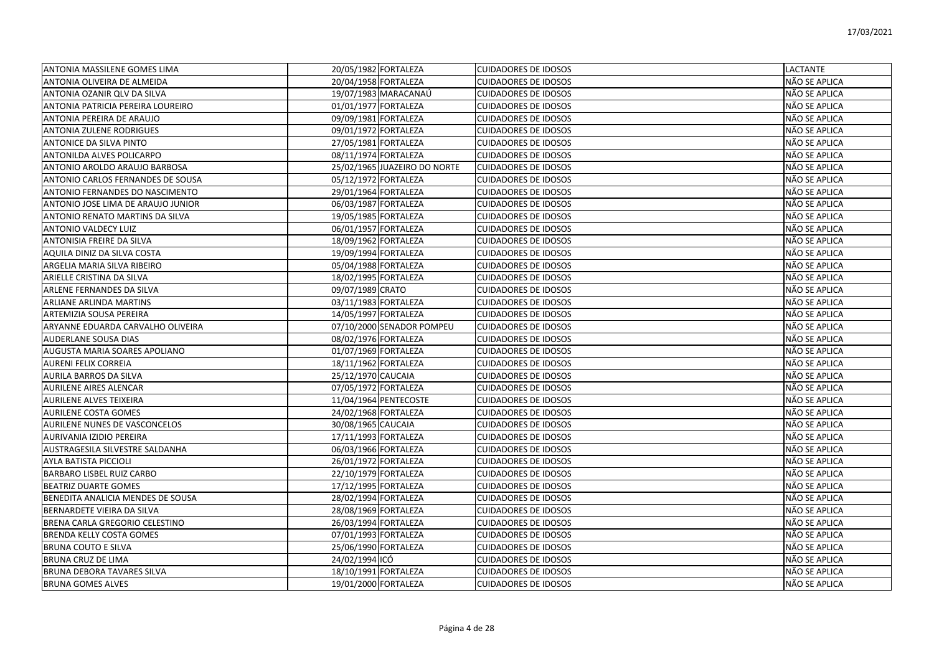| ANTONIA MASSILENE GOMES LIMA         | 20/05/1982 FORTALEZA |                              | <b>CUIDADORES DE IDOSOS</b> | <b>LACTANTE</b> |
|--------------------------------------|----------------------|------------------------------|-----------------------------|-----------------|
| IANTONIA OLIVEIRA DE ALMEIDA         | 20/04/1958 FORTALEZA |                              | <b>CUIDADORES DE IDOSOS</b> | NÃO SE APLICA   |
| ANTONIA OZANIR QLV DA SILVA          |                      | 19/07/1983 MARACANAÚ         | <b>CUIDADORES DE IDOSOS</b> | NÃO SE APLICA   |
| ANTONIA PATRICIA PEREIRA LOUREIRO    | 01/01/1977 FORTALEZA |                              | <b>CUIDADORES DE IDOSOS</b> | NÃO SE APLICA   |
| ANTONIA PEREIRA DE ARAUJO            | 09/09/1981 FORTALEZA |                              | <b>CUIDADORES DE IDOSOS</b> | NÃO SE APLICA   |
| <b>ANTONIA ZULENE RODRIGUES</b>      | 09/01/1972 FORTALEZA |                              | <b>CUIDADORES DE IDOSOS</b> | NÃO SE APLICA   |
| ANTONICE DA SILVA PINTO              | 27/05/1981 FORTALEZA |                              | <b>CUIDADORES DE IDOSOS</b> | NÃO SE APLICA   |
| ANTONILDA ALVES POLICARPO            | 08/11/1974 FORTALEZA |                              | <b>CUIDADORES DE IDOSOS</b> | NÃO SE APLICA   |
| ANTONIO AROLDO ARAUJO BARBOSA        |                      | 25/02/1965 JUAZEIRO DO NORTE | <b>CUIDADORES DE IDOSOS</b> | NÃO SE APLICA   |
| ANTONIO CARLOS FERNANDES DE SOUSA    | 05/12/1972 FORTALEZA |                              | <b>CUIDADORES DE IDOSOS</b> | NÃO SE APLICA   |
| ANTONIO FERNANDES DO NASCIMENTO      | 29/01/1964 FORTALEZA |                              | <b>CUIDADORES DE IDOSOS</b> | NÃO SE APLICA   |
| ANTONIO JOSE LIMA DE ARAUJO JUNIOR   | 06/03/1987 FORTALEZA |                              | <b>CUIDADORES DE IDOSOS</b> | NÃO SE APLICA   |
| ANTONIO RENATO MARTINS DA SILVA      | 19/05/1985 FORTALEZA |                              | <b>CUIDADORES DE IDOSOS</b> | NÃO SE APLICA   |
| <b>ANTONIO VALDECY LUIZ</b>          | 06/01/1957 FORTALEZA |                              | <b>CUIDADORES DE IDOSOS</b> | NÃO SE APLICA   |
| ANTONISIA FREIRE DA SILVA            | 18/09/1962 FORTALEZA |                              | <b>CUIDADORES DE IDOSOS</b> | NÃO SE APLICA   |
| AQUILA DINIZ DA SILVA COSTA          | 19/09/1994 FORTALEZA |                              | <b>CUIDADORES DE IDOSOS</b> | NÃO SE APLICA   |
| ARGELIA MARIA SILVA RIBEIRO          | 05/04/1988 FORTALEZA |                              | <b>CUIDADORES DE IDOSOS</b> | NÃO SE APLICA   |
| ARIELLE CRISTINA DA SILVA            | 18/02/1995 FORTALEZA |                              | <b>CUIDADORES DE IDOSOS</b> | NÃO SE APLICA   |
| ARLENE FERNANDES DA SILVA            | 09/07/1989 CRATO     |                              | <b>CUIDADORES DE IDOSOS</b> | NÃO SE APLICA   |
| ARLIANE ARLINDA MARTINS              | 03/11/1983 FORTALEZA |                              | <b>CUIDADORES DE IDOSOS</b> | NÃO SE APLICA   |
| ARTEMIZIA SOUSA PEREIRA              | 14/05/1997 FORTALEZA |                              | <b>CUIDADORES DE IDOSOS</b> | NÃO SE APLICA   |
| ARYANNE EDUARDA CARVALHO OLIVEIRA    |                      | 07/10/2000 SENADOR POMPEU    | <b>CUIDADORES DE IDOSOS</b> | NÃO SE APLICA   |
| <b>AUDERLANE SOUSA DIAS</b>          | 08/02/1976 FORTALEZA |                              | <b>CUIDADORES DE IDOSOS</b> | NÃO SE APLICA   |
| <b>AUGUSTA MARIA SOARES APOLIANO</b> | 01/07/1969 FORTALEZA |                              | <b>CUIDADORES DE IDOSOS</b> | NÃO SE APLICA   |
| <b>AURENI FELIX CORREIA</b>          | 18/11/1962 FORTALEZA |                              | <b>CUIDADORES DE IDOSOS</b> | NÃO SE APLICA   |
| <b>AURILA BARROS DA SILVA</b>        | 25/12/1970 CAUCAIA   |                              | <b>CUIDADORES DE IDOSOS</b> | NÃO SE APLICA   |
| <b>AURILENE AIRES ALENCAR</b>        | 07/05/1972 FORTALEZA |                              | <b>CUIDADORES DE IDOSOS</b> | NÃO SE APLICA   |
| <b>AURILENE ALVES TEIXEIRA</b>       |                      | 11/04/1964 PENTECOSTE        | <b>CUIDADORES DE IDOSOS</b> | NÃO SE APLICA   |
| <b>AURILENE COSTA GOMES</b>          | 24/02/1968 FORTALEZA |                              | <b>CUIDADORES DE IDOSOS</b> | NÃO SE APLICA   |
| <b>AURILENE NUNES DE VASCONCELOS</b> | 30/08/1965 CAUCAIA   |                              | <b>CUIDADORES DE IDOSOS</b> | NÃO SE APLICA   |
| AURIVANIA IZIDIO PEREIRA             | 17/11/1993 FORTALEZA |                              | <b>CUIDADORES DE IDOSOS</b> | NÃO SE APLICA   |
| AUSTRAGESILA SILVESTRE SALDANHA      | 06/03/1966 FORTALEZA |                              | <b>CUIDADORES DE IDOSOS</b> | NÃO SE APLICA   |
| <b>AYLA BATISTA PICCIOLI</b>         | 26/01/1972 FORTALEZA |                              | <b>CUIDADORES DE IDOSOS</b> | NÃO SE APLICA   |
| <b>BARBARO LISBEL RUIZ CARBO</b>     | 22/10/1979 FORTALEZA |                              | <b>CUIDADORES DE IDOSOS</b> | NÃO SE APLICA   |
| <b>BEATRIZ DUARTE GOMES</b>          | 17/12/1995 FORTALEZA |                              | <b>CUIDADORES DE IDOSOS</b> | NÃO SE APLICA   |
| BENEDITA ANALICIA MENDES DE SOUSA    | 28/02/1994 FORTALEZA |                              | <b>CUIDADORES DE IDOSOS</b> | NÃO SE APLICA   |
| BERNARDETE VIEIRA DA SILVA           | 28/08/1969 FORTALEZA |                              | <b>CUIDADORES DE IDOSOS</b> | NÃO SE APLICA   |
| BRENA CARLA GREGORIO CELESTINO       | 26/03/1994 FORTALEZA |                              | <b>CUIDADORES DE IDOSOS</b> | NÃO SE APLICA   |
| <b>BRENDA KELLY COSTA GOMES</b>      | 07/01/1993 FORTALEZA |                              | <b>CUIDADORES DE IDOSOS</b> | NÃO SE APLICA   |
| <b>BRUNA COUTO E SILVA</b>           | 25/06/1990 FORTALEZA |                              | <b>CUIDADORES DE IDOSOS</b> | NÃO SE APLICA   |
| <b>BRUNA CRUZ DE LIMA</b>            | 24/02/1994 ICÓ       |                              | <b>CUIDADORES DE IDOSOS</b> | NÃO SE APLICA   |
| BRUNA DEBORA TAVARES SILVA           | 18/10/1991 FORTALEZA |                              | <b>CUIDADORES DE IDOSOS</b> | NÃO SE APLICA   |
| <b>BRUNA GOMES ALVES</b>             | 19/01/2000 FORTALEZA |                              | <b>CUIDADORES DE IDOSOS</b> | NÃO SE APLICA   |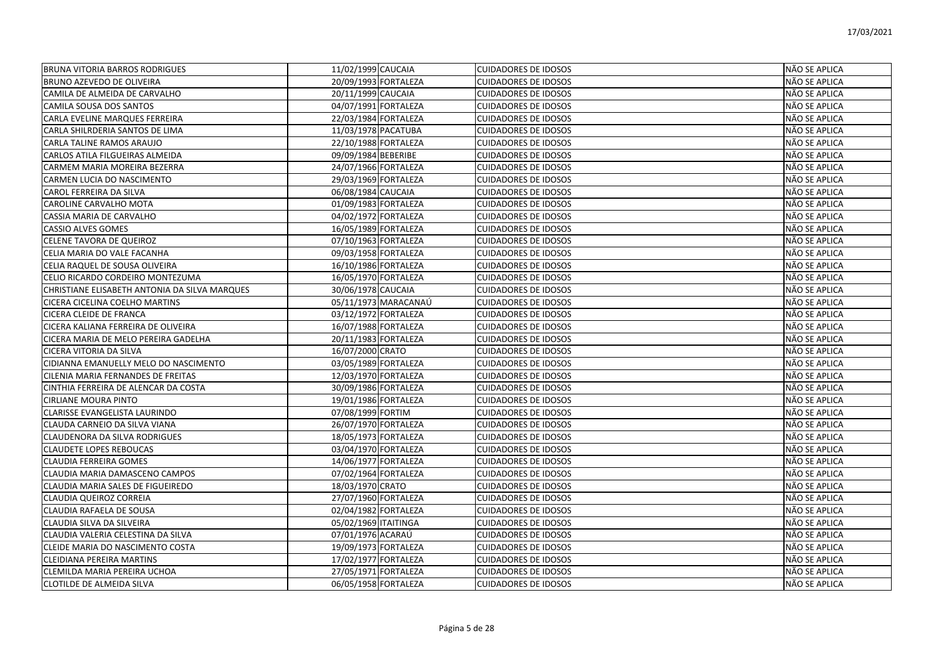| <b>BRUNA VITORIA BARROS RODRIGUES</b>         | 11/02/1999 CAUCAIA   | <b>CUIDADORES DE IDOSOS</b> | NÃO SE APLICA |
|-----------------------------------------------|----------------------|-----------------------------|---------------|
| BRUNO AZEVEDO DE OLIVEIRA                     | 20/09/1993 FORTALEZA | <b>CUIDADORES DE IDOSOS</b> | NÃO SE APLICA |
| CAMILA DE ALMEIDA DE CARVALHO                 | 20/11/1999 CAUCAIA   | <b>CUIDADORES DE IDOSOS</b> | NÃO SE APLICA |
| CAMILA SOUSA DOS SANTOS                       | 04/07/1991 FORTALEZA | <b>CUIDADORES DE IDOSOS</b> | NÃO SE APLICA |
| CARLA EVELINE MARQUES FERREIRA                | 22/03/1984 FORTALEZA | <b>CUIDADORES DE IDOSOS</b> | NÃO SE APLICA |
| CARLA SHILRDERIA SANTOS DE LIMA               | 11/03/1978 PACATUBA  | <b>CUIDADORES DE IDOSOS</b> | NÃO SE APLICA |
| CARLA TALINE RAMOS ARAUJO                     | 22/10/1988 FORTALEZA | <b>CUIDADORES DE IDOSOS</b> | NÃO SE APLICA |
| CARLOS ATILA FILGUEIRAS ALMEIDA               | 09/09/1984 BEBERIBE  | <b>CUIDADORES DE IDOSOS</b> | NÃO SE APLICA |
| CARMEM MARIA MOREIRA BEZERRA                  | 24/07/1966 FORTALEZA | <b>CUIDADORES DE IDOSOS</b> | NÃO SE APLICA |
| CARMEN LUCIA DO NASCIMENTO                    | 29/03/1969 FORTALEZA | <b>CUIDADORES DE IDOSOS</b> | NÃO SE APLICA |
| CAROL FERREIRA DA SILVA                       | 06/08/1984 CAUCAIA   | <b>CUIDADORES DE IDOSOS</b> | NÃO SE APLICA |
| CAROLINE CARVALHO MOTA                        | 01/09/1983 FORTALEZA | <b>CUIDADORES DE IDOSOS</b> | NÃO SE APLICA |
| CASSIA MARIA DE CARVALHO                      | 04/02/1972 FORTALEZA | <b>CUIDADORES DE IDOSOS</b> | NÃO SE APLICA |
| <b>CASSIO ALVES GOMES</b>                     | 16/05/1989 FORTALEZA | <b>CUIDADORES DE IDOSOS</b> | NÃO SE APLICA |
| CELENE TAVORA DE QUEIROZ                      | 07/10/1963 FORTALEZA | <b>CUIDADORES DE IDOSOS</b> | NÃO SE APLICA |
| CELIA MARIA DO VALE FACANHA                   | 09/03/1958 FORTALEZA | <b>CUIDADORES DE IDOSOS</b> | NÃO SE APLICA |
| CELIA RAQUEL DE SOUSA OLIVEIRA                | 16/10/1986 FORTALEZA | <b>CUIDADORES DE IDOSOS</b> | NÃO SE APLICA |
| CELIO RICARDO CORDEIRO MONTEZUMA              | 16/05/1970 FORTALEZA | <b>CUIDADORES DE IDOSOS</b> | NÃO SE APLICA |
| CHRISTIANE ELISABETH ANTONIA DA SILVA MARQUES | 30/06/1978 CAUCAIA   | <b>CUIDADORES DE IDOSOS</b> | NÃO SE APLICA |
| CICERA CICELINA COELHO MARTINS                | 05/11/1973 MARACANAÚ | <b>CUIDADORES DE IDOSOS</b> | NÃO SE APLICA |
| <b>CICERA CLEIDE DE FRANCA</b>                | 03/12/1972 FORTALEZA | <b>CUIDADORES DE IDOSOS</b> | NÃO SE APLICA |
| CICERA KALIANA FERREIRA DE OLIVEIRA           | 16/07/1988 FORTALEZA | <b>CUIDADORES DE IDOSOS</b> | NÃO SE APLICA |
| CICERA MARIA DE MELO PEREIRA GADELHA          | 20/11/1983 FORTALEZA | <b>CUIDADORES DE IDOSOS</b> | NÃO SE APLICA |
| CICERA VITORIA DA SILVA                       | 16/07/2000 CRATO     | <b>CUIDADORES DE IDOSOS</b> | NÃO SE APLICA |
| CIDIANNA EMANUELLY MELO DO NASCIMENTO         | 03/05/1989 FORTALEZA | <b>CUIDADORES DE IDOSOS</b> | NÃO SE APLICA |
| CILENIA MARIA FERNANDES DE FREITAS            | 12/03/1970 FORTALEZA | <b>CUIDADORES DE IDOSOS</b> | NÃO SE APLICA |
| CINTHIA FERREIRA DE ALENCAR DA COSTA          | 30/09/1986 FORTALEZA | <b>CUIDADORES DE IDOSOS</b> | NÃO SE APLICA |
| <b>CIRLIANE MOURA PINTO</b>                   | 19/01/1986 FORTALEZA | <b>CUIDADORES DE IDOSOS</b> | NÃO SE APLICA |
| CLARISSE EVANGELISTA LAURINDO                 | 07/08/1999 FORTIM    | <b>CUIDADORES DE IDOSOS</b> | NÃO SE APLICA |
| CLAUDA CARNEIO DA SILVA VIANA                 | 26/07/1970 FORTALEZA | <b>CUIDADORES DE IDOSOS</b> | NÃO SE APLICA |
| <b>CLAUDENORA DA SILVA RODRIGUES</b>          | 18/05/1973 FORTALEZA | <b>CUIDADORES DE IDOSOS</b> | NÃO SE APLICA |
| <b>CLAUDETE LOPES REBOUCAS</b>                | 03/04/1970 FORTALEZA | <b>CUIDADORES DE IDOSOS</b> | NÃO SE APLICA |
| <b>CLAUDIA FERREIRA GOMES</b>                 | 14/06/1977 FORTALEZA | <b>CUIDADORES DE IDOSOS</b> | NÃO SE APLICA |
| CLAUDIA MARIA DAMASCENO CAMPOS                | 07/02/1964 FORTALEZA | <b>CUIDADORES DE IDOSOS</b> | NÃO SE APLICA |
| CLAUDIA MARIA SALES DE FIGUEIREDO             | 18/03/1970 CRATO     | <b>CUIDADORES DE IDOSOS</b> | NÃO SE APLICA |
| CLAUDIA QUEIROZ CORREIA                       | 27/07/1960 FORTALEZA | <b>CUIDADORES DE IDOSOS</b> | NÃO SE APLICA |
| CLAUDIA RAFAELA DE SOUSA                      | 02/04/1982 FORTALEZA | <b>CUIDADORES DE IDOSOS</b> | NÃO SE APLICA |
| CLAUDIA SILVA DA SILVEIRA                     | 05/02/1969 ITAITINGA | <b>CUIDADORES DE IDOSOS</b> | NÃO SE APLICA |
| CLAUDIA VALERIA CELESTINA DA SILVA            | 07/01/1976 ACARAÚ    | <b>CUIDADORES DE IDOSOS</b> | NÃO SE APLICA |
| CLEIDE MARIA DO NASCIMENTO COSTA              | 19/09/1973 FORTALEZA | <b>CUIDADORES DE IDOSOS</b> | NÃO SE APLICA |
| <b>CLEIDIANA PEREIRA MARTINS</b>              | 17/02/1977 FORTALEZA | <b>CUIDADORES DE IDOSOS</b> | NÃO SE APLICA |
| CLEMILDA MARIA PEREIRA UCHOA                  | 27/05/1971 FORTALEZA | <b>CUIDADORES DE IDOSOS</b> | NÃO SE APLICA |
| <b>CLOTILDE DE ALMEIDA SILVA</b>              | 06/05/1958 FORTALEZA | <b>CUIDADORES DE IDOSOS</b> | NÃO SE APLICA |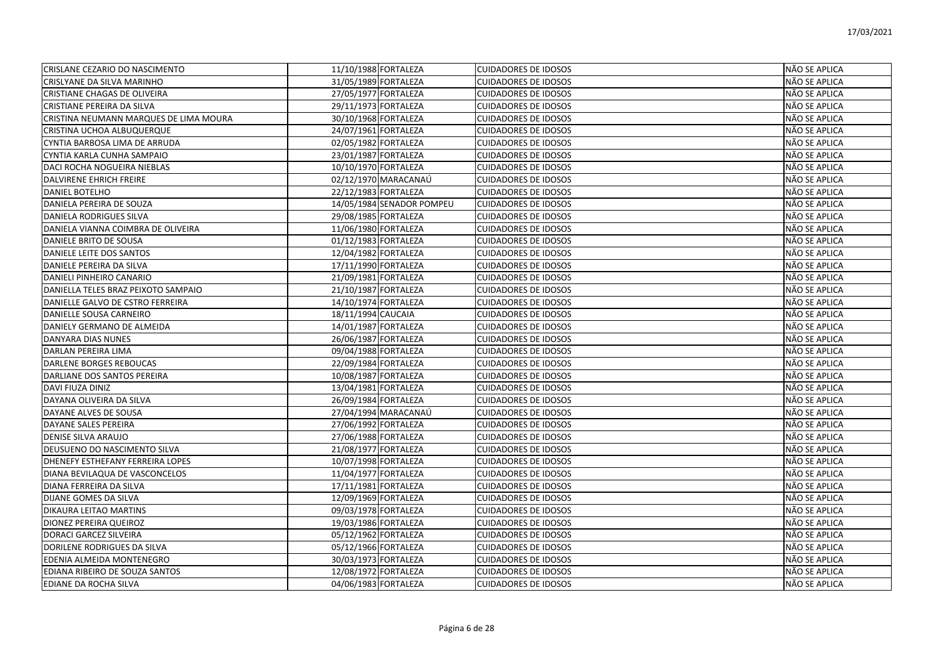| CRISLANE CEZARIO DO NASCIMENTO         | 11/10/1988 FORTALEZA      | <b>CUIDADORES DE IDOSOS</b> | NÃO SE APLICA |
|----------------------------------------|---------------------------|-----------------------------|---------------|
| CRISLYANE DA SILVA MARINHO             | 31/05/1989 FORTALEZA      | <b>CUIDADORES DE IDOSOS</b> | NÃO SE APLICA |
| CRISTIANE CHAGAS DE OLIVEIRA           | 27/05/1977 FORTALEZA      | <b>CUIDADORES DE IDOSOS</b> | NÃO SE APLICA |
| CRISTIANE PEREIRA DA SILVA             | 29/11/1973 FORTALEZA      | <b>CUIDADORES DE IDOSOS</b> | NÃO SE APLICA |
| CRISTINA NEUMANN MARQUES DE LIMA MOURA | 30/10/1968 FORTALEZA      | <b>CUIDADORES DE IDOSOS</b> | NÃO SE APLICA |
| CRISTINA UCHOA ALBUQUERQUE             | 24/07/1961 FORTALEZA      | <b>CUIDADORES DE IDOSOS</b> | NÃO SE APLICA |
| CYNTIA BARBOSA LIMA DE ARRUDA          | 02/05/1982 FORTALEZA      | <b>CUIDADORES DE IDOSOS</b> | NÃO SE APLICA |
| CYNTIA KARLA CUNHA SAMPAIO             | 23/01/1987 FORTALEZA      | <b>CUIDADORES DE IDOSOS</b> | NÃO SE APLICA |
| DACI ROCHA NOGUEIRA NIEBLAS            | 10/10/1970 FORTALEZA      | <b>CUIDADORES DE IDOSOS</b> | NÃO SE APLICA |
| <b>DALVIRENE EHRICH FREIRE</b>         | 02/12/1970 MARACANAÚ      | <b>CUIDADORES DE IDOSOS</b> | NÃO SE APLICA |
| <b>DANIEL BOTELHO</b>                  | 22/12/1983 FORTALEZA      | <b>CUIDADORES DE IDOSOS</b> | NÃO SE APLICA |
| <b>DANIELA PEREIRA DE SOUZA</b>        | 14/05/1984 SENADOR POMPEU | <b>CUIDADORES DE IDOSOS</b> | NÃO SE APLICA |
| <b>DANIELA RODRIGUES SILVA</b>         | 29/08/1985 FORTALEZA      | <b>CUIDADORES DE IDOSOS</b> | NÃO SE APLICA |
| DANIELA VIANNA COIMBRA DE OLIVEIRA     | 11/06/1980 FORTALEZA      | <b>CUIDADORES DE IDOSOS</b> | NÃO SE APLICA |
| DANIELE BRITO DE SOUSA                 | 01/12/1983 FORTALEZA      | <b>CUIDADORES DE IDOSOS</b> | NÃO SE APLICA |
| DANIELE LEITE DOS SANTOS               | 12/04/1982 FORTALEZA      | <b>CUIDADORES DE IDOSOS</b> | NÃO SE APLICA |
| DANIELE PEREIRA DA SILVA               | 17/11/1990 FORTALEZA      | <b>CUIDADORES DE IDOSOS</b> | NÃO SE APLICA |
| DANIELI PINHEIRO CANARIO               | 21/09/1981 FORTALEZA      | <b>CUIDADORES DE IDOSOS</b> | NÃO SE APLICA |
| DANIELLA TELES BRAZ PEIXOTO SAMPAIO    | 21/10/1987 FORTALEZA      | <b>CUIDADORES DE IDOSOS</b> | NÃO SE APLICA |
| DANIELLE GALVO DE CSTRO FERREIRA       | 14/10/1974 FORTALEZA      | <b>CUIDADORES DE IDOSOS</b> | NÃO SE APLICA |
| DANIELLE SOUSA CARNEIRO                | 18/11/1994 CAUCAIA        | <b>CUIDADORES DE IDOSOS</b> | NÃO SE APLICA |
| DANIELY GERMANO DE ALMEIDA             | 14/01/1987 FORTALEZA      | <b>CUIDADORES DE IDOSOS</b> | NÃO SE APLICA |
| DANYARA DIAS NUNES                     | 26/06/1987 FORTALEZA      | <b>CUIDADORES DE IDOSOS</b> | NÃO SE APLICA |
| DARLAN PEREIRA LIMA                    | 09/04/1988 FORTALEZA      | <b>CUIDADORES DE IDOSOS</b> | NÃO SE APLICA |
| DARLENE BORGES REBOUCAS                | 22/09/1984 FORTALEZA      | <b>CUIDADORES DE IDOSOS</b> | NÃO SE APLICA |
| DARLIANE DOS SANTOS PEREIRA            | 10/08/1987 FORTALEZA      | <b>CUIDADORES DE IDOSOS</b> | NÃO SE APLICA |
| DAVI FIUZA DINIZ                       | 13/04/1981 FORTALEZA      | <b>CUIDADORES DE IDOSOS</b> | NÃO SE APLICA |
| DAYANA OLIVEIRA DA SILVA               | 26/09/1984 FORTALEZA      | <b>CUIDADORES DE IDOSOS</b> | NÃO SE APLICA |
| DAYANE ALVES DE SOUSA                  | 27/04/1994 MARACANAÚ      | <b>CUIDADORES DE IDOSOS</b> | NÃO SE APLICA |
| DAYANE SALES PEREIRA                   | 27/06/1992 FORTALEZA      | <b>CUIDADORES DE IDOSOS</b> | NÃO SE APLICA |
| <b>DENISE SILVA ARAUJO</b>             | 27/06/1988 FORTALEZA      | <b>CUIDADORES DE IDOSOS</b> | NÃO SE APLICA |
| DEUSUENO DO NASCIMENTO SILVA           | 21/08/1977 FORTALEZA      | <b>CUIDADORES DE IDOSOS</b> | NÃO SE APLICA |
| DHENEFY ESTHEFANY FERREIRA LOPES       | 10/07/1998 FORTALEZA      | <b>CUIDADORES DE IDOSOS</b> | NÃO SE APLICA |
| DIANA BEVILAQUA DE VASCONCELOS         | 11/04/1977 FORTALEZA      | <b>CUIDADORES DE IDOSOS</b> | NÃO SE APLICA |
| DIANA FERREIRA DA SILVA                | 17/11/1981 FORTALEZA      | <b>CUIDADORES DE IDOSOS</b> | NÃO SE APLICA |
| DIJANE GOMES DA SILVA                  | 12/09/1969 FORTALEZA      | <b>CUIDADORES DE IDOSOS</b> | NÃO SE APLICA |
| DIKAURA LEITAO MARTINS                 | 09/03/1978 FORTALEZA      | <b>CUIDADORES DE IDOSOS</b> | NÃO SE APLICA |
| DIONEZ PEREIRA QUEIROZ                 | 19/03/1986 FORTALEZA      | <b>CUIDADORES DE IDOSOS</b> | NÃO SE APLICA |
| <b>DORACI GARCEZ SILVEIRA</b>          | 05/12/1962 FORTALEZA      | <b>CUIDADORES DE IDOSOS</b> | NÃO SE APLICA |
| DORILENE RODRIGUES DA SILVA            | 05/12/1966 FORTALEZA      | <b>CUIDADORES DE IDOSOS</b> | NÃO SE APLICA |
| EDENIA ALMEIDA MONTENEGRO              | 30/03/1973 FORTALEZA      | <b>CUIDADORES DE IDOSOS</b> | NÃO SE APLICA |
| EDIANA RIBEIRO DE SOUZA SANTOS         | 12/08/1972 FORTALEZA      | <b>CUIDADORES DE IDOSOS</b> | NÃO SE APLICA |
| <b>EDIANE DA ROCHA SILVA</b>           | 04/06/1983 FORTALEZA      | <b>CUIDADORES DE IDOSOS</b> | NÃO SE APLICA |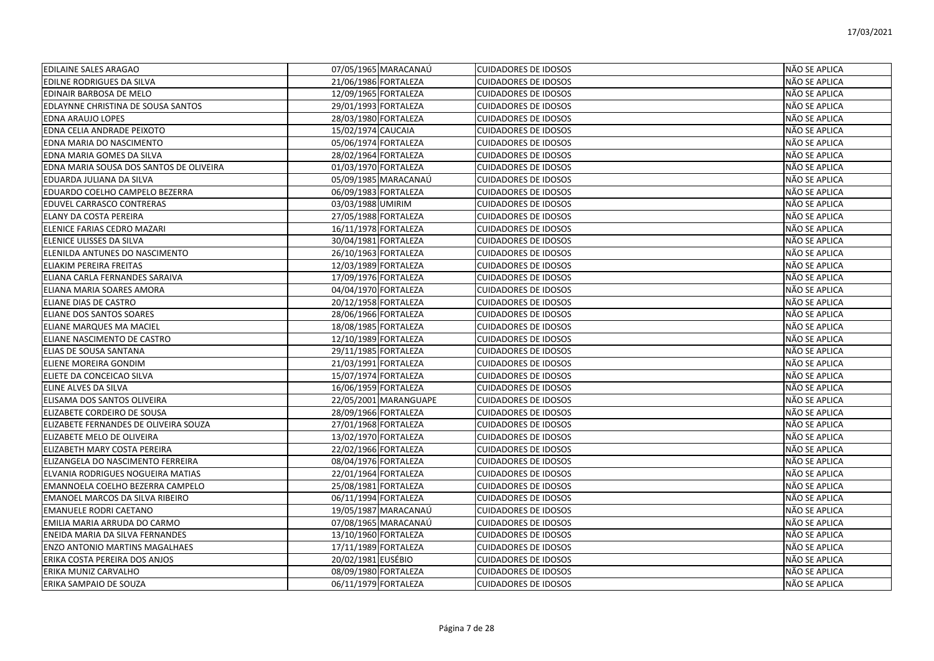| <b>EDILAINE SALES ARAGAO</b>            | 07/05/1965 MARACANAÚ  | <b>CUIDADORES DE IDOSOS</b> | NÃO SE APLICA |
|-----------------------------------------|-----------------------|-----------------------------|---------------|
| EDILNE RODRIGUES DA SILVA               | 21/06/1986 FORTALEZA  | <b>CUIDADORES DE IDOSOS</b> | NÃO SE APLICA |
| EDINAIR BARBOSA DE MELO                 | 12/09/1965 FORTALEZA  | <b>CUIDADORES DE IDOSOS</b> | NÃO SE APLICA |
| EDLAYNNE CHRISTINA DE SOUSA SANTOS      | 29/01/1993 FORTALEZA  | <b>CUIDADORES DE IDOSOS</b> | NÃO SE APLICA |
| <b>EDNA ARAUJO LOPES</b>                | 28/03/1980 FORTALEZA  | <b>CUIDADORES DE IDOSOS</b> | NÃO SE APLICA |
| EDNA CELIA ANDRADE PEIXOTO              | 15/02/1974 CAUCAIA    | <b>CUIDADORES DE IDOSOS</b> | NÃO SE APLICA |
| EDNA MARIA DO NASCIMENTO                | 05/06/1974 FORTALEZA  | <b>CUIDADORES DE IDOSOS</b> | NÃO SE APLICA |
| EDNA MARIA GOMES DA SILVA               | 28/02/1964 FORTALEZA  | <b>CUIDADORES DE IDOSOS</b> | NÃO SE APLICA |
| EDNA MARIA SOUSA DOS SANTOS DE OLIVEIRA | 01/03/1970 FORTALEZA  | <b>CUIDADORES DE IDOSOS</b> | NÃO SE APLICA |
| EDUARDA JULIANA DA SILVA                | 05/09/1985 MARACANAÚ  | <b>CUIDADORES DE IDOSOS</b> | NÃO SE APLICA |
| EDUARDO COELHO CAMPELO BEZERRA          | 06/09/1983 FORTALEZA  | <b>CUIDADORES DE IDOSOS</b> | NÃO SE APLICA |
| EDUVEL CARRASCO CONTRERAS               | 03/03/1988 UMIRIM     | <b>CUIDADORES DE IDOSOS</b> | NÃO SE APLICA |
| ELANY DA COSTA PEREIRA                  | 27/05/1988 FORTALEZA  | <b>CUIDADORES DE IDOSOS</b> | NÃO SE APLICA |
| ELENICE FARIAS CEDRO MAZARI             | 16/11/1978 FORTALEZA  | <b>CUIDADORES DE IDOSOS</b> | NÃO SE APLICA |
| ELENICE ULISSES DA SILVA                | 30/04/1981 FORTALEZA  | <b>CUIDADORES DE IDOSOS</b> | NÃO SE APLICA |
| ELENILDA ANTUNES DO NASCIMENTO          | 26/10/1963 FORTALEZA  | <b>CUIDADORES DE IDOSOS</b> | NÃO SE APLICA |
| ELIAKIM PEREIRA FREITAS                 | 12/03/1989 FORTALEZA  | <b>CUIDADORES DE IDOSOS</b> | NÃO SE APLICA |
| ELIANA CARLA FERNANDES SARAIVA          | 17/09/1976 FORTALEZA  | <b>CUIDADORES DE IDOSOS</b> | NÃO SE APLICA |
| ELIANA MARIA SOARES AMORA               | 04/04/1970 FORTALEZA  | <b>CUIDADORES DE IDOSOS</b> | NÃO SE APLICA |
| IELIANE DIAS DE CASTRO                  | 20/12/1958 FORTALEZA  | <b>CUIDADORES DE IDOSOS</b> | NÃO SE APLICA |
| ELIANE DOS SANTOS SOARES                | 28/06/1966 FORTALEZA  | <b>CUIDADORES DE IDOSOS</b> | NÃO SE APLICA |
| ELIANE MARQUES MA MACIEL                | 18/08/1985 FORTALEZA  | <b>CUIDADORES DE IDOSOS</b> | NÃO SE APLICA |
| ELIANE NASCIMENTO DE CASTRO             | 12/10/1989 FORTALEZA  | <b>CUIDADORES DE IDOSOS</b> | NÃO SE APLICA |
| ELIAS DE SOUSA SANTANA                  | 29/11/1985 FORTALEZA  | <b>CUIDADORES DE IDOSOS</b> | NÃO SE APLICA |
| ELIENE MOREIRA GONDIM                   | 21/03/1991 FORTALEZA  | <b>CUIDADORES DE IDOSOS</b> | NÃO SE APLICA |
| ELIETE DA CONCEICAO SILVA               | 15/07/1974 FORTALEZA  | <b>CUIDADORES DE IDOSOS</b> | NÃO SE APLICA |
| ELINE ALVES DA SILVA                    | 16/06/1959 FORTALEZA  | <b>CUIDADORES DE IDOSOS</b> | NÃO SE APLICA |
| ELISAMA DOS SANTOS OLIVEIRA             | 22/05/2001 MARANGUAPE | <b>CUIDADORES DE IDOSOS</b> | NÃO SE APLICA |
| ELIZABETE CORDEIRO DE SOUSA             | 28/09/1966 FORTALEZA  | <b>CUIDADORES DE IDOSOS</b> | NÃO SE APLICA |
| ELIZABETE FERNANDES DE OLIVEIRA SOUZA   | 27/01/1968 FORTALEZA  | <b>CUIDADORES DE IDOSOS</b> | NÃO SE APLICA |
| ELIZABETE MELO DE OLIVEIRA              | 13/02/1970 FORTALEZA  | <b>CUIDADORES DE IDOSOS</b> | NÃO SE APLICA |
| ELIZABETH MARY COSTA PEREIRA            | 22/02/1966 FORTALEZA  | <b>CUIDADORES DE IDOSOS</b> | NÃO SE APLICA |
| ELIZANGELA DO NASCIMENTO FERREIRA       | 08/04/1976 FORTALEZA  | <b>CUIDADORES DE IDOSOS</b> | NÃO SE APLICA |
| ELVANIA RODRIGUES NOGUEIRA MATIAS       | 22/01/1964 FORTALEZA  | <b>CUIDADORES DE IDOSOS</b> | NÃO SE APLICA |
| EMANNOELA COELHO BEZERRA CAMPELO        | 25/08/1981 FORTALEZA  | <b>CUIDADORES DE IDOSOS</b> | NÃO SE APLICA |
| EMANOEL MARCOS DA SILVA RIBEIRO         | 06/11/1994 FORTALEZA  | <b>CUIDADORES DE IDOSOS</b> | NÃO SE APLICA |
| <b>EMANUELE RODRI CAETANO</b>           | 19/05/1987 MARACANAÚ  | <b>CUIDADORES DE IDOSOS</b> | NÃO SE APLICA |
| EMILIA MARIA ARRUDA DO CARMO            | 07/08/1965 MARACANAÚ  | <b>CUIDADORES DE IDOSOS</b> | NÃO SE APLICA |
| ENEIDA MARIA DA SILVA FERNANDES         | 13/10/1960 FORTALEZA  | <b>CUIDADORES DE IDOSOS</b> | NÃO SE APLICA |
| <b>ENZO ANTONIO MARTINS MAGALHAES</b>   | 17/11/1989 FORTALEZA  | <b>CUIDADORES DE IDOSOS</b> | NÃO SE APLICA |
| ERIKA COSTA PEREIRA DOS ANJOS           | 20/02/1981 EUSÉBIO    | <b>CUIDADORES DE IDOSOS</b> | NÃO SE APLICA |
| ERIKA MUNIZ CARVALHO                    | 08/09/1980 FORTALEZA  | <b>CUIDADORES DE IDOSOS</b> | NÃO SE APLICA |
| ERIKA SAMPAIO DE SOUZA                  | 06/11/1979 FORTALEZA  | <b>CUIDADORES DE IDOSOS</b> | NÃO SE APLICA |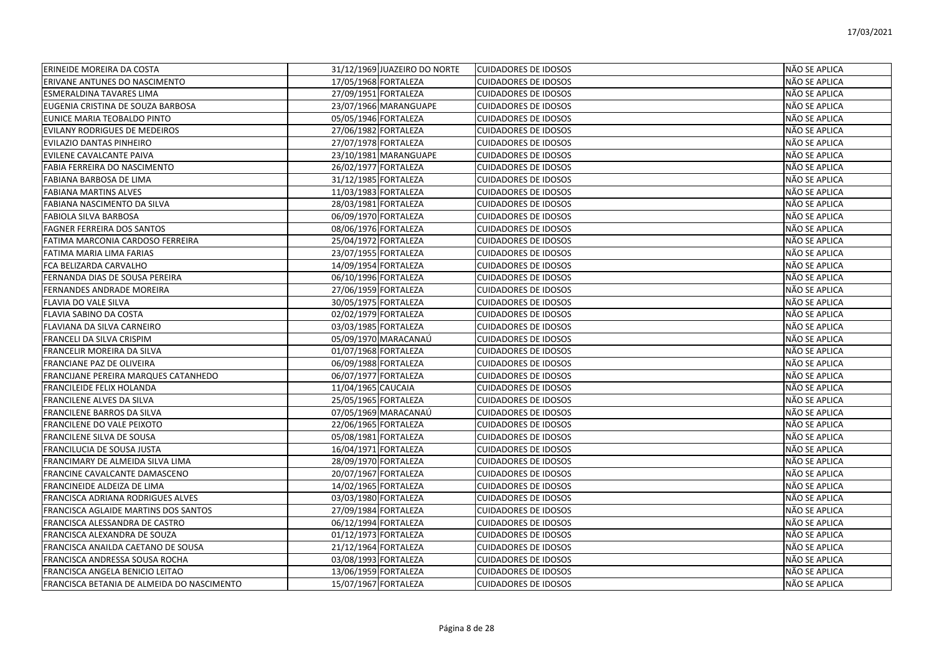| <b>ERINEIDE MOREIRA DA COSTA</b>           | 31/12/1969 JUAZEIRO DO NORTE | <b>CUIDADORES DE IDOSOS</b> | NÃO SE APLICA |
|--------------------------------------------|------------------------------|-----------------------------|---------------|
| ERIVANE ANTUNES DO NASCIMENTO              | 17/05/1968 FORTALEZA         | <b>CUIDADORES DE IDOSOS</b> | NÃO SE APLICA |
| <b>ESMERALDINA TAVARES LIMA</b>            | 27/09/1951 FORTALEZA         | <b>CUIDADORES DE IDOSOS</b> | NÃO SE APLICA |
| EUGENIA CRISTINA DE SOUZA BARBOSA          | 23/07/1966 MARANGUAPE        | <b>CUIDADORES DE IDOSOS</b> | NÃO SE APLICA |
| EUNICE MARIA TEOBALDO PINTO                | 05/05/1946 FORTALEZA         | <b>CUIDADORES DE IDOSOS</b> | NÃO SE APLICA |
| EVILANY RODRIGUES DE MEDEIROS              | 27/06/1982 FORTALEZA         | <b>CUIDADORES DE IDOSOS</b> | NÃO SE APLICA |
| EVILAZIO DANTAS PINHEIRO                   | 27/07/1978 FORTALEZA         | <b>CUIDADORES DE IDOSOS</b> | NÃO SE APLICA |
| EVILENE CAVALCANTE PAIVA                   | 23/10/1981 MARANGUAPE        | <b>CUIDADORES DE IDOSOS</b> | NÃO SE APLICA |
| FABIA FERREIRA DO NASCIMENTO               | 26/02/1977 FORTALEZA         | <b>CUIDADORES DE IDOSOS</b> | NÃO SE APLICA |
| <b>FABIANA BARBOSA DE LIMA</b>             | 31/12/1985 FORTALEZA         | <b>CUIDADORES DE IDOSOS</b> | NÃO SE APLICA |
| <b>FABIANA MARTINS ALVES</b>               | 11/03/1983 FORTALEZA         | <b>CUIDADORES DE IDOSOS</b> | NÃO SE APLICA |
| FABIANA NASCIMENTO DA SILVA                | 28/03/1981 FORTALEZA         | <b>CUIDADORES DE IDOSOS</b> | NÃO SE APLICA |
| <b>FABIOLA SILVA BARBOSA</b>               | 06/09/1970 FORTALEZA         | <b>CUIDADORES DE IDOSOS</b> | NÃO SE APLICA |
| <b>FAGNER FERREIRA DOS SANTOS</b>          | 08/06/1976 FORTALEZA         | <b>CUIDADORES DE IDOSOS</b> | NÃO SE APLICA |
| FATIMA MARCONIA CARDOSO FERREIRA           | 25/04/1972 FORTALEZA         | <b>CUIDADORES DE IDOSOS</b> | NÃO SE APLICA |
| FATIMA MARIA LIMA FARIAS                   | 23/07/1955 FORTALEZA         | <b>CUIDADORES DE IDOSOS</b> | NÃO SE APLICA |
| FCA BELIZARDA CARVALHO                     | 14/09/1954 FORTALEZA         | <b>CUIDADORES DE IDOSOS</b> | NÃO SE APLICA |
| FERNANDA DIAS DE SOUSA PEREIRA             | 06/10/1996 FORTALEZA         | <b>CUIDADORES DE IDOSOS</b> | NÃO SE APLICA |
| <b>FERNANDES ANDRADE MOREIRA</b>           | 27/06/1959 FORTALEZA         | <b>CUIDADORES DE IDOSOS</b> | NÃO SE APLICA |
| FLAVIA DO VALE SILVA                       | 30/05/1975 FORTALEZA         | <b>CUIDADORES DE IDOSOS</b> | NÃO SE APLICA |
| FLAVIA SABINO DA COSTA                     | 02/02/1979 FORTALEZA         | <b>CUIDADORES DE IDOSOS</b> | NÃO SE APLICA |
| FLAVIANA DA SILVA CARNEIRO                 | 03/03/1985 FORTALEZA         | <b>CUIDADORES DE IDOSOS</b> | NÃO SE APLICA |
| FRANCELI DA SILVA CRISPIM                  | 05/09/1970 MARACANAÚ         | <b>CUIDADORES DE IDOSOS</b> | NÃO SE APLICA |
| FRANCELIR MOREIRA DA SILVA                 | 01/07/1968 FORTALEZA         | <b>CUIDADORES DE IDOSOS</b> | NÃO SE APLICA |
| FRANCIANE PAZ DE OLIVEIRA                  | 06/09/1988 FORTALEZA         | <b>CUIDADORES DE IDOSOS</b> | NÃO SE APLICA |
| FRANCIJANE PEREIRA MARQUES CATANHEDO       | 06/07/1977 FORTALEZA         | <b>CUIDADORES DE IDOSOS</b> | NÃO SE APLICA |
| <b>FRANCILEIDE FELIX HOLANDA</b>           | 11/04/1965 CAUCAIA           | <b>CUIDADORES DE IDOSOS</b> | NÃO SE APLICA |
| <b>FRANCILENE ALVES DA SILVA</b>           | 25/05/1965 FORTALEZA         | <b>CUIDADORES DE IDOSOS</b> | NÃO SE APLICA |
| FRANCILENE BARROS DA SILVA                 | 07/05/1969 MARACANAÚ         | <b>CUIDADORES DE IDOSOS</b> | NÃO SE APLICA |
| FRANCILENE DO VALE PEIXOTO                 | 22/06/1965 FORTALEZA         | <b>CUIDADORES DE IDOSOS</b> | NÃO SE APLICA |
| FRANCILENE SILVA DE SOUSA                  | 05/08/1981 FORTALEZA         | <b>CUIDADORES DE IDOSOS</b> | NÃO SE APLICA |
| FRANCILUCIA DE SOUSA JUSTA                 | 16/04/1971 FORTALEZA         | <b>CUIDADORES DE IDOSOS</b> | NÃO SE APLICA |
| FRANCIMARY DE ALMEIDA SILVA LIMA           | 28/09/1970 FORTALEZA         | <b>CUIDADORES DE IDOSOS</b> | NÃO SE APLICA |
| FRANCINE CAVALCANTE DAMASCENO              | 20/07/1967 FORTALEZA         | <b>CUIDADORES DE IDOSOS</b> | NÃO SE APLICA |
| <b>FRANCINEIDE ALDEIZA DE LIMA</b>         | 14/02/1965 FORTALEZA         | <b>CUIDADORES DE IDOSOS</b> | NÃO SE APLICA |
| FRANCISCA ADRIANA RODRIGUES ALVES          | 03/03/1980 FORTALEZA         | <b>CUIDADORES DE IDOSOS</b> | NÃO SE APLICA |
| FRANCISCA AGLAIDE MARTINS DOS SANTOS       | 27/09/1984 FORTALEZA         | <b>CUIDADORES DE IDOSOS</b> | NÃO SE APLICA |
| FRANCISCA ALESSANDRA DE CASTRO             | 06/12/1994 FORTALEZA         | <b>CUIDADORES DE IDOSOS</b> | NÃO SE APLICA |
| FRANCISCA ALEXANDRA DE SOUZA               | 01/12/1973 FORTALEZA         | <b>CUIDADORES DE IDOSOS</b> | NÃO SE APLICA |
| FRANCISCA ANAILDA CAETANO DE SOUSA         | 21/12/1964 FORTALEZA         | <b>CUIDADORES DE IDOSOS</b> | NÃO SE APLICA |
| FRANCISCA ANDRESSA SOUSA ROCHA             | 03/08/1993 FORTALEZA         | <b>CUIDADORES DE IDOSOS</b> | NÃO SE APLICA |
| FRANCISCA ANGELA BENICIO LEITAO            | 13/06/1959 FORTALEZA         | <b>CUIDADORES DE IDOSOS</b> | NÃO SE APLICA |
| FRANCISCA BETANIA DE ALMEIDA DO NASCIMENTO | 15/07/1967 FORTALEZA         | <b>CUIDADORES DE IDOSOS</b> | NÃO SE APLICA |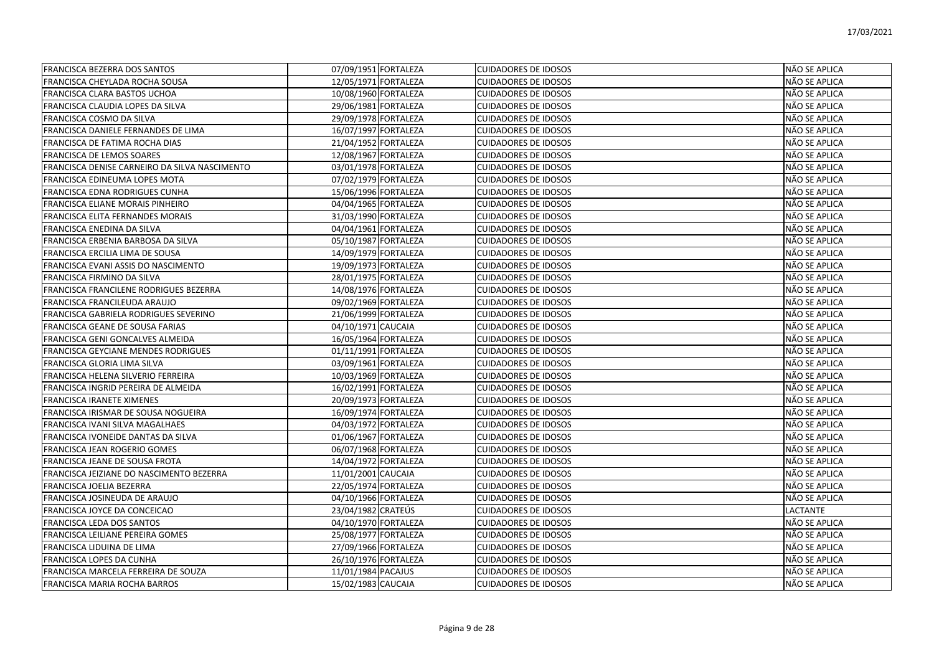| <b>FRANCISCA BEZERRA DOS SANTOS</b>           |                      | 07/09/1951 FORTALEZA | <b>CUIDADORES DE IDOSOS</b> | NÃO SE APLICA |
|-----------------------------------------------|----------------------|----------------------|-----------------------------|---------------|
| FRANCISCA CHEYLADA ROCHA SOUSA                |                      | 12/05/1971 FORTALEZA | <b>CUIDADORES DE IDOSOS</b> | NÃO SE APLICA |
| FRANCISCA CLARA BASTOS UCHOA                  |                      | 10/08/1960 FORTALEZA | <b>CUIDADORES DE IDOSOS</b> | NÃO SE APLICA |
| FRANCISCA CLAUDIA LOPES DA SILVA              |                      | 29/06/1981 FORTALEZA | <b>CUIDADORES DE IDOSOS</b> | NÃO SE APLICA |
| FRANCISCA COSMO DA SILVA                      | 29/09/1978 FORTALEZA |                      | <b>CUIDADORES DE IDOSOS</b> | NÃO SE APLICA |
| FRANCISCA DANIELE FERNANDES DE LIMA           |                      | 16/07/1997 FORTALEZA | <b>CUIDADORES DE IDOSOS</b> | NÃO SE APLICA |
| FRANCISCA DE FATIMA ROCHA DIAS                | 21/04/1952 FORTALEZA |                      | <b>CUIDADORES DE IDOSOS</b> | NÃO SE APLICA |
| FRANCISCA DE LEMOS SOARES                     | 12/08/1967 FORTALEZA |                      | <b>CUIDADORES DE IDOSOS</b> | NÃO SE APLICA |
| FRANCISCA DENISE CARNEIRO DA SILVA NASCIMENTO | 03/01/1978 FORTALEZA |                      | <b>CUIDADORES DE IDOSOS</b> | NÃO SE APLICA |
| <b>FRANCISCA EDINEUMA LOPES MOTA</b>          | 07/02/1979 FORTALEZA |                      | <b>CUIDADORES DE IDOSOS</b> | NÃO SE APLICA |
| FRANCISCA EDNA RODRIGUES CUNHA                |                      | 15/06/1996 FORTALEZA | <b>CUIDADORES DE IDOSOS</b> | NÃO SE APLICA |
| FRANCISCA ELIANE MORAIS PINHEIRO              |                      | 04/04/1965 FORTALEZA | <b>CUIDADORES DE IDOSOS</b> | NÃO SE APLICA |
| FRANCISCA ELITA FERNANDES MORAIS              | 31/03/1990 FORTALEZA |                      | <b>CUIDADORES DE IDOSOS</b> | NÃO SE APLICA |
| FRANCISCA ENEDINA DA SILVA                    | 04/04/1961 FORTALEZA |                      | <b>CUIDADORES DE IDOSOS</b> | NÃO SE APLICA |
| FRANCISCA ERBENIA BARBOSA DA SILVA            |                      | 05/10/1987 FORTALEZA | <b>CUIDADORES DE IDOSOS</b> | NÃO SE APLICA |
| FRANCISCA ERCILIA LIMA DE SOUSA               |                      | 14/09/1979 FORTALEZA | <b>CUIDADORES DE IDOSOS</b> | NÃO SE APLICA |
| FRANCISCA EVANI ASSIS DO NASCIMENTO           |                      | 19/09/1973 FORTALEZA | <b>CUIDADORES DE IDOSOS</b> | NÃO SE APLICA |
| FRANCISCA FIRMINO DA SILVA                    |                      | 28/01/1975 FORTALEZA | <b>CUIDADORES DE IDOSOS</b> | NÃO SE APLICA |
| FRANCISCA FRANCILENE RODRIGUES BEZERRA        |                      | 14/08/1976 FORTALEZA | <b>CUIDADORES DE IDOSOS</b> | NÃO SE APLICA |
| FRANCISCA FRANCILEUDA ARAUJO                  |                      | 09/02/1969 FORTALEZA | <b>CUIDADORES DE IDOSOS</b> | NÃO SE APLICA |
| FRANCISCA GABRIELA RODRIGUES SEVERINO         |                      | 21/06/1999 FORTALEZA | <b>CUIDADORES DE IDOSOS</b> | NÃO SE APLICA |
| FRANCISCA GEANE DE SOUSA FARIAS               | 04/10/1971 CAUCAIA   |                      | <b>CUIDADORES DE IDOSOS</b> | NÃO SE APLICA |
| FRANCISCA GENI GONCALVES ALMEIDA              |                      | 16/05/1964 FORTALEZA | <b>CUIDADORES DE IDOSOS</b> | NÃO SE APLICA |
| FRANCISCA GEYCIANE MENDES RODRIGUES           |                      | 01/11/1991 FORTALEZA | <b>CUIDADORES DE IDOSOS</b> | NÃO SE APLICA |
| FRANCISCA GLORIA LIMA SILVA                   |                      | 03/09/1961 FORTALEZA | <b>CUIDADORES DE IDOSOS</b> | NÃO SE APLICA |
| FRANCISCA HELENA SILVERIO FERREIRA            |                      | 10/03/1969 FORTALEZA | <b>CUIDADORES DE IDOSOS</b> | NÃO SE APLICA |
| FRANCISCA INGRID PEREIRA DE ALMEIDA           | 16/02/1991 FORTALEZA |                      | <b>CUIDADORES DE IDOSOS</b> | NÃO SE APLICA |
| <b>FRANCISCA IRANETE XIMENES</b>              |                      | 20/09/1973 FORTALEZA | <b>CUIDADORES DE IDOSOS</b> | NÃO SE APLICA |
| FRANCISCA IRISMAR DE SOUSA NOGUEIRA           | 16/09/1974 FORTALEZA |                      | <b>CUIDADORES DE IDOSOS</b> | NÃO SE APLICA |
| FRANCISCA IVANI SILVA MAGALHAES               |                      | 04/03/1972 FORTALEZA | <b>CUIDADORES DE IDOSOS</b> | NÃO SE APLICA |
| FRANCISCA IVONEIDE DANTAS DA SILVA            |                      | 01/06/1967 FORTALEZA | <b>CUIDADORES DE IDOSOS</b> | NÃO SE APLICA |
| FRANCISCA JEAN ROGERIO GOMES                  |                      | 06/07/1968 FORTALEZA | <b>CUIDADORES DE IDOSOS</b> | NÃO SE APLICA |
| FRANCISCA JEANE DE SOUSA FROTA                |                      | 14/04/1972 FORTALEZA | <b>CUIDADORES DE IDOSOS</b> | NÃO SE APLICA |
| FRANCISCA JEIZIANE DO NASCIMENTO BEZERRA      | 11/01/2001 CAUCAIA   |                      | <b>CUIDADORES DE IDOSOS</b> | NÃO SE APLICA |
| <b>FRANCISCA JOELIA BEZERRA</b>               |                      | 22/05/1974 FORTALEZA | <b>CUIDADORES DE IDOSOS</b> | NÃO SE APLICA |
| FRANCISCA JOSINEUDA DE ARAUJO                 |                      | 04/10/1966 FORTALEZA | <b>CUIDADORES DE IDOSOS</b> | NÃO SE APLICA |
| FRANCISCA JOYCE DA CONCEICAO                  | 23/04/1982 CRATEUS   |                      | <b>CUIDADORES DE IDOSOS</b> | LACTANTE      |
| <b>FRANCISCA LEDA DOS SANTOS</b>              |                      | 04/10/1970 FORTALEZA | <b>CUIDADORES DE IDOSOS</b> | NÃO SE APLICA |
| FRANCISCA LEILIANE PEREIRA GOMES              |                      | 25/08/1977 FORTALEZA | <b>CUIDADORES DE IDOSOS</b> | NÃO SE APLICA |
| FRANCISCA LIDUINA DE LIMA                     |                      | 27/09/1966 FORTALEZA | <b>CUIDADORES DE IDOSOS</b> | NÃO SE APLICA |
| <b>FRANCISCA LOPES DA CUNHA</b>               |                      | 26/10/1976 FORTALEZA | <b>CUIDADORES DE IDOSOS</b> | NÃO SE APLICA |
| FRANCISCA MARCELA FERREIRA DE SOUZA           | 11/01/1984 PACAJUS   |                      | <b>CUIDADORES DE IDOSOS</b> | NÃO SE APLICA |
| IFRANCISCA MARIA ROCHA BARROS                 | 15/02/1983 CAUCAIA   |                      | <b>CUIDADORES DE IDOSOS</b> | NÃO SE APLICA |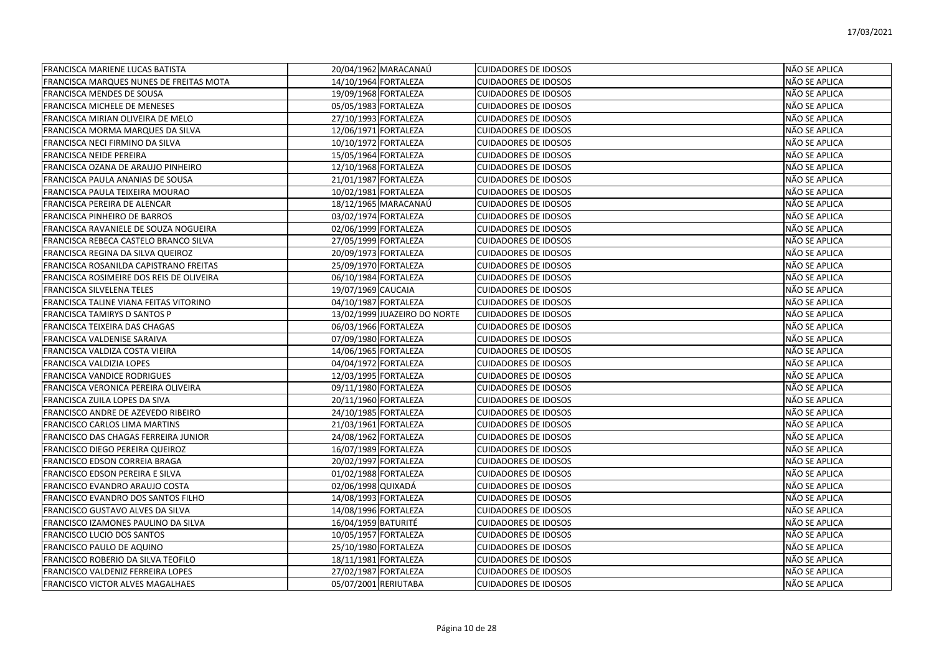| <b>FRANCISCA MARIENE LUCAS BATISTA</b>   | 20/04/1962 MARACANAÚ         | <b>CUIDADORES DE IDOSOS</b> | NÃO SE APLICA |
|------------------------------------------|------------------------------|-----------------------------|---------------|
| FRANCISCA MARQUES NUNES DE FREITAS MOTA  | 14/10/1964 FORTALEZA         | <b>CUIDADORES DE IDOSOS</b> | NÃO SE APLICA |
| <b>FRANCISCA MENDES DE SOUSA</b>         | 19/09/1968 FORTALEZA         | <b>CUIDADORES DE IDOSOS</b> | NÃO SE APLICA |
| FRANCISCA MICHELE DE MENESES             | 05/05/1983 FORTALEZA         | <b>CUIDADORES DE IDOSOS</b> | NÃO SE APLICA |
| FRANCISCA MIRIAN OLIVEIRA DE MELO        | 27/10/1993 FORTALEZA         | <b>CUIDADORES DE IDOSOS</b> | NÃO SE APLICA |
| FRANCISCA MORMA MARQUES DA SILVA         | 12/06/1971 FORTALEZA         | <b>CUIDADORES DE IDOSOS</b> | NÃO SE APLICA |
| FRANCISCA NECI FIRMINO DA SILVA          | 10/10/1972 FORTALEZA         | <b>CUIDADORES DE IDOSOS</b> | NÃO SE APLICA |
| <b>FRANCISCA NEIDE PEREIRA</b>           | 15/05/1964 FORTALEZA         | <b>CUIDADORES DE IDOSOS</b> | NÃO SE APLICA |
| FRANCISCA OZANA DE ARAUJO PINHEIRO       | 12/10/1968 FORTALEZA         | <b>CUIDADORES DE IDOSOS</b> | NÃO SE APLICA |
| FRANCISCA PAULA ANANIAS DE SOUSA         | 21/01/1987 FORTALEZA         | <b>CUIDADORES DE IDOSOS</b> | NÃO SE APLICA |
| FRANCISCA PAULA TEIXEIRA MOURAO          | 10/02/1981 FORTALEZA         | <b>CUIDADORES DE IDOSOS</b> | NÃO SE APLICA |
| FRANCISCA PEREIRA DE ALENCAR             | 18/12/1965 MARACANAÚ         | <b>CUIDADORES DE IDOSOS</b> | NÃO SE APLICA |
| <b>FRANCISCA PINHEIRO DE BARROS</b>      | 03/02/1974 FORTALEZA         | <b>CUIDADORES DE IDOSOS</b> | NÃO SE APLICA |
| FRANCISCA RAVANIELE DE SOUZA NOGUEIRA    | 02/06/1999 FORTALEZA         | <b>CUIDADORES DE IDOSOS</b> | NÃO SE APLICA |
| FRANCISCA REBECA CASTELO BRANCO SILVA    | 27/05/1999 FORTALEZA         | <b>CUIDADORES DE IDOSOS</b> | NÃO SE APLICA |
| FRANCISCA REGINA DA SILVA QUEIROZ        | 20/09/1973 FORTALEZA         | <b>CUIDADORES DE IDOSOS</b> | NÃO SE APLICA |
| FRANCISCA ROSANILDA CAPISTRANO FREITAS   | 25/09/1970 FORTALEZA         | <b>CUIDADORES DE IDOSOS</b> | NÃO SE APLICA |
| FRANCISCA ROSIMEIRE DOS REIS DE OLIVEIRA | 06/10/1984 FORTALEZA         | <b>CUIDADORES DE IDOSOS</b> | NÃO SE APLICA |
| <b>FRANCISCA SILVELENA TELES</b>         | 19/07/1969 CAUCAIA           | <b>CUIDADORES DE IDOSOS</b> | NÃO SE APLICA |
| FRANCISCA TALINE VIANA FEITAS VITORINO   | 04/10/1987 FORTALEZA         | <b>CUIDADORES DE IDOSOS</b> | NÃO SE APLICA |
| FRANCISCA TAMIRYS D SANTOS P             | 13/02/1999 JUAZEIRO DO NORTE | <b>CUIDADORES DE IDOSOS</b> | NÃO SE APLICA |
| FRANCISCA TEIXEIRA DAS CHAGAS            | 06/03/1966 FORTALEZA         | <b>CUIDADORES DE IDOSOS</b> | NÃO SE APLICA |
| FRANCISCA VALDENISE SARAIVA              | 07/09/1980 FORTALEZA         | <b>CUIDADORES DE IDOSOS</b> | NÃO SE APLICA |
| FRANCISCA VALDIZA COSTA VIEIRA           | 14/06/1965 FORTALEZA         | <b>CUIDADORES DE IDOSOS</b> | NÃO SE APLICA |
| FRANCISCA VALDIZIA LOPES                 | 04/04/1972 FORTALEZA         | <b>CUIDADORES DE IDOSOS</b> | NÃO SE APLICA |
| <b>FRANCISCA VANDICE RODRIGUES</b>       | 12/03/1995 FORTALEZA         | <b>CUIDADORES DE IDOSOS</b> | NÃO SE APLICA |
| FRANCISCA VERONICA PEREIRA OLIVEIRA      | 09/11/1980 FORTALEZA         | <b>CUIDADORES DE IDOSOS</b> | NÃO SE APLICA |
| FRANCISCA ZUILA LOPES DA SIVA            | 20/11/1960 FORTALEZA         | <b>CUIDADORES DE IDOSOS</b> | NÃO SE APLICA |
| FRANCISCO ANDRE DE AZEVEDO RIBEIRO       | 24/10/1985 FORTALEZA         | <b>CUIDADORES DE IDOSOS</b> | NÃO SE APLICA |
| FRANCISCO CARLOS LIMA MARTINS            | 21/03/1961 FORTALEZA         | <b>CUIDADORES DE IDOSOS</b> | NÃO SE APLICA |
| FRANCISCO DAS CHAGAS FERREIRA JUNIOR     | 24/08/1962 FORTALEZA         | <b>CUIDADORES DE IDOSOS</b> | NÃO SE APLICA |
| FRANCISCO DIEGO PEREIRA QUEIROZ          | 16/07/1989 FORTALEZA         | <b>CUIDADORES DE IDOSOS</b> | NÃO SE APLICA |
| <b>FRANCISCO EDSON CORREIA BRAGA</b>     | 20/02/1997 FORTALEZA         | <b>CUIDADORES DE IDOSOS</b> | NÃO SE APLICA |
| FRANCISCO EDSON PEREIRA E SILVA          | 01/02/1988 FORTALEZA         | <b>CUIDADORES DE IDOSOS</b> | NÃO SE APLICA |
| FRANCISCO EVANDRO ARAUJO COSTA           | 02/06/1998 QUIXADÁ           | <b>CUIDADORES DE IDOSOS</b> | NÃO SE APLICA |
| FRANCISCO EVANDRO DOS SANTOS FILHO       | 14/08/1993 FORTALEZA         | <b>CUIDADORES DE IDOSOS</b> | NÃO SE APLICA |
| FRANCISCO GUSTAVO ALVES DA SILVA         | 14/08/1996 FORTALEZA         | <b>CUIDADORES DE IDOSOS</b> | NÃO SE APLICA |
| FRANCISCO IZAMONES PAULINO DA SILVA      | 16/04/1959 BATURITÉ          | <b>CUIDADORES DE IDOSOS</b> | NÃO SE APLICA |
| <b>FRANCISCO LUCIO DOS SANTOS</b>        | 10/05/1957 FORTALEZA         | <b>CUIDADORES DE IDOSOS</b> | NÃO SE APLICA |
| <b>FRANCISCO PAULO DE AQUINO</b>         | 25/10/1980 FORTALEZA         | <b>CUIDADORES DE IDOSOS</b> | NÃO SE APLICA |
| FRANCISCO ROBERIO DA SILVA TEOFILO       | 18/11/1981 FORTALEZA         | <b>CUIDADORES DE IDOSOS</b> | NÃO SE APLICA |
| FRANCISCO VALDENIZ FERREIRA LOPES        | 27/02/1987 FORTALEZA         | <b>CUIDADORES DE IDOSOS</b> | NÃO SE APLICA |
| <b>FRANCISCO VICTOR ALVES MAGALHAES</b>  | 05/07/2001 RERIUTABA         | <b>CUIDADORES DE IDOSOS</b> | NÃO SE APLICA |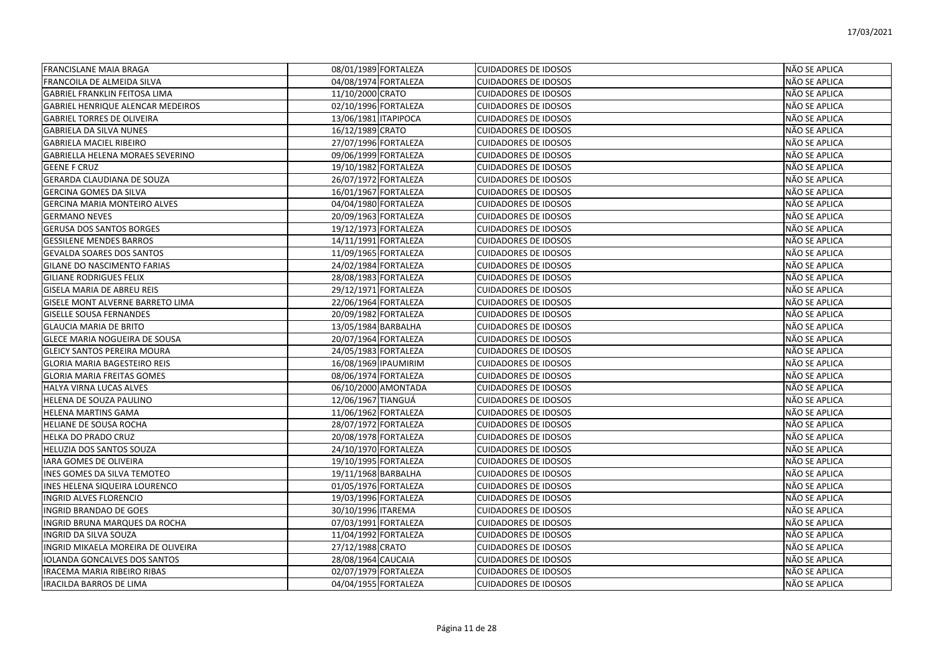| <b>FRANCISLANE MAIA BRAGA</b>            | 08/01/1989 FORTALEZA | <b>CUIDADORES DE IDOSOS</b> | NÃO SE APLICA        |
|------------------------------------------|----------------------|-----------------------------|----------------------|
| FRANCOILA DE ALMEIDA SILVA               | 04/08/1974 FORTALEZA | <b>CUIDADORES DE IDOSOS</b> | NÃO SE APLICA        |
| <b>GABRIEL FRANKLIN FEITOSA LIMA</b>     | 11/10/2000 CRATO     | <b>CUIDADORES DE IDOSOS</b> | NÃO SE APLICA        |
| <b>GABRIEL HENRIQUE ALENCAR MEDEIROS</b> | 02/10/1996 FORTALEZA | <b>CUIDADORES DE IDOSOS</b> | NÃO SE APLICA        |
| <b>GABRIEL TORRES DE OLIVEIRA</b>        | 13/06/1981 ITAPIPOCA | <b>CUIDADORES DE IDOSOS</b> | NÃO SE APLICA        |
| <b>GABRIELA DA SILVA NUNES</b>           | 16/12/1989 CRATO     | <b>CUIDADORES DE IDOSOS</b> | NÃO SE APLICA        |
| <b>GABRIELA MACIEL RIBEIRO</b>           | 27/07/1996 FORTALEZA | <b>CUIDADORES DE IDOSOS</b> | NÃO SE APLICA        |
| <b>GABRIELLA HELENA MORAES SEVERINO</b>  | 09/06/1999 FORTALEZA | <b>CUIDADORES DE IDOSOS</b> | NÃO SE APLICA        |
| <b>GEENE F CRUZ</b>                      | 19/10/1982 FORTALEZA | <b>CUIDADORES DE IDOSOS</b> | NÃO SE APLICA        |
| <b>GERARDA CLAUDIANA DE SOUZA</b>        | 26/07/1972 FORTALEZA | <b>CUIDADORES DE IDOSOS</b> | NÃO SE APLICA        |
| <b>GERCINA GOMES DA SILVA</b>            | 16/01/1967 FORTALEZA | <b>CUIDADORES DE IDOSOS</b> | NÃO SE APLICA        |
| <b>GERCINA MARIA MONTEIRO ALVES</b>      | 04/04/1980 FORTALEZA | <b>CUIDADORES DE IDOSOS</b> | NÃO SE APLICA        |
| <b>GERMANO NEVES</b>                     | 20/09/1963 FORTALEZA | <b>CUIDADORES DE IDOSOS</b> | NÃO SE APLICA        |
| <b>GERUSA DOS SANTOS BORGES</b>          | 19/12/1973 FORTALEZA | <b>CUIDADORES DE IDOSOS</b> | NÃO SE APLICA        |
| <b>GESSILENE MENDES BARROS</b>           | 14/11/1991 FORTALEZA | <b>CUIDADORES DE IDOSOS</b> | NÃO SE APLICA        |
| <b>GEVALDA SOARES DOS SANTOS</b>         | 11/09/1965 FORTALEZA | <b>CUIDADORES DE IDOSOS</b> | NÃO SE APLICA        |
| <b>GILANE DO NASCIMENTO FARIAS</b>       | 24/02/1984 FORTALEZA | <b>CUIDADORES DE IDOSOS</b> | NÃO SE APLICA        |
| <b>GILIANE RODRIGUES FELIX</b>           | 28/08/1983 FORTALEZA | <b>CUIDADORES DE IDOSOS</b> | NÃO SE APLICA        |
| <b>GISELA MARIA DE ABREU REIS</b>        | 29/12/1971 FORTALEZA | <b>CUIDADORES DE IDOSOS</b> | NÃO SE APLICA        |
| GISELE MONT ALVERNE BARRETO LIMA         | 22/06/1964 FORTALEZA | <b>CUIDADORES DE IDOSOS</b> | NÃO SE APLICA        |
| <b>GISELLE SOUSA FERNANDES</b>           | 20/09/1982 FORTALEZA | <b>CUIDADORES DE IDOSOS</b> | NÃO SE APLICA        |
| <b>GLAUCIA MARIA DE BRITO</b>            | 13/05/1984 BARBALHA  | <b>CUIDADORES DE IDOSOS</b> | NÃO SE APLICA        |
| <b>GLECE MARIA NOGUEIRA DE SOUSA</b>     | 20/07/1964 FORTALEZA | <b>CUIDADORES DE IDOSOS</b> | NÃO SE APLICA        |
| <b>GLEICY SANTOS PEREIRA MOURA</b>       | 24/05/1983 FORTALEZA | <b>CUIDADORES DE IDOSOS</b> | NÃO SE APLICA        |
| GLORIA MARIA BAGESTEIRO REIS             | 16/08/1969 IPAUMIRIM | <b>CUIDADORES DE IDOSOS</b> | NÃO SE APLICA        |
| <b>GLORIA MARIA FREITAS GOMES</b>        | 08/06/1974 FORTALEZA | <b>CUIDADORES DE IDOSOS</b> | NÃO SE APLICA        |
| HALYA VIRNA LUCAS ALVES                  | 06/10/2000 AMONTADA  | <b>CUIDADORES DE IDOSOS</b> | NÃO SE APLICA        |
| HELENA DE SOUZA PAULINO                  | 12/06/1967 TIANGUÁ   | <b>CUIDADORES DE IDOSOS</b> | NÃO SE APLICA        |
| <b>HELENA MARTINS GAMA</b>               | 11/06/1962 FORTALEZA | <b>CUIDADORES DE IDOSOS</b> | NÃO SE APLICA        |
| HELIANE DE SOUSA ROCHA                   | 28/07/1972 FORTALEZA | <b>CUIDADORES DE IDOSOS</b> | NÃO SE APLICA        |
| <b>HELKA DO PRADO CRUZ</b>               | 20/08/1978 FORTALEZA | <b>CUIDADORES DE IDOSOS</b> | NÃO SE APLICA        |
| HELUZIA DOS SANTOS SOUZA                 | 24/10/1970 FORTALEZA | <b>CUIDADORES DE IDOSOS</b> | NÃO SE APLICA        |
| <b>IARA GOMES DE OLIVEIRA</b>            | 19/10/1995 FORTALEZA | <b>CUIDADORES DE IDOSOS</b> | NÃO SE APLICA        |
| INES GOMES DA SILVA TEMOTEO              | 19/11/1968 BARBALHA  | <b>CUIDADORES DE IDOSOS</b> | <b>NÃO SE APLICA</b> |
| INES HELENA SIQUEIRA LOURENCO            | 01/05/1976 FORTALEZA | <b>CUIDADORES DE IDOSOS</b> | NÃO SE APLICA        |
| <b>INGRID ALVES FLORENCIO</b>            | 19/03/1996 FORTALEZA | <b>CUIDADORES DE IDOSOS</b> | NÃO SE APLICA        |
| <b>INGRID BRANDAO DE GOES</b>            | 30/10/1996 ITAREMA   | <b>CUIDADORES DE IDOSOS</b> | NÃO SE APLICA        |
| INGRID BRUNA MARQUES DA ROCHA            | 07/03/1991 FORTALEZA | <b>CUIDADORES DE IDOSOS</b> | NÃO SE APLICA        |
| INGRID DA SILVA SOUZA                    | 11/04/1992 FORTALEZA | <b>CUIDADORES DE IDOSOS</b> | NÃO SE APLICA        |
| INGRID MIKAELA MOREIRA DE OLIVEIRA       | 27/12/1988 CRATO     | <b>CUIDADORES DE IDOSOS</b> | NÃO SE APLICA        |
| <b>IOLANDA GONCALVES DOS SANTOS</b>      | 28/08/1964 CAUCAIA   | <b>CUIDADORES DE IDOSOS</b> | NÃO SE APLICA        |
| IRACEMA MARIA RIBEIRO RIBAS              | 02/07/1979 FORTALEZA | <b>CUIDADORES DE IDOSOS</b> | NÃO SE APLICA        |
| <b>IRACILDA BARROS DE LIMA</b>           | 04/04/1955 FORTALEZA | <b>CUIDADORES DE IDOSOS</b> | NÃO SE APLICA        |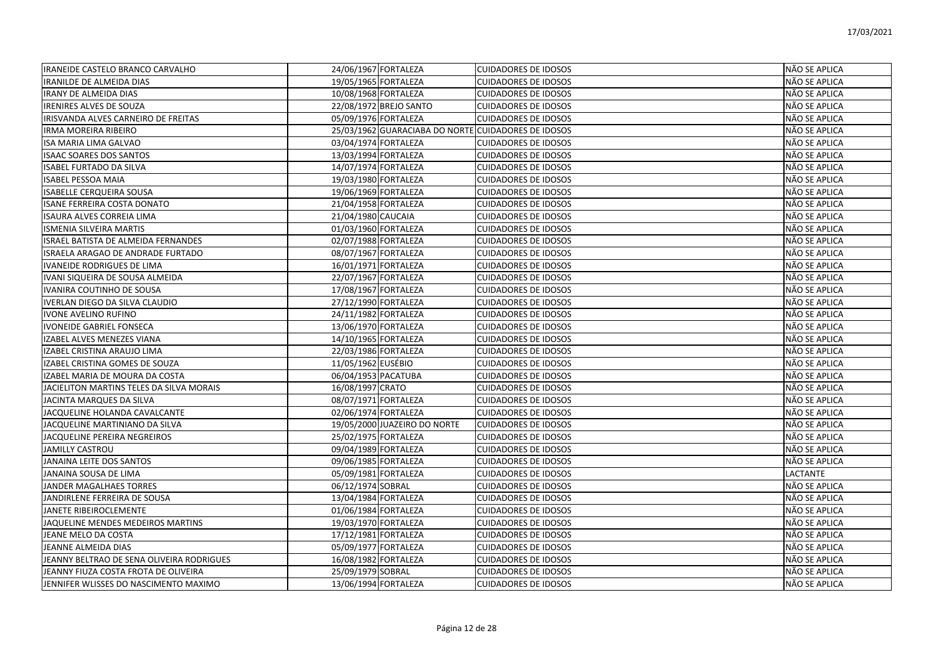| IRANEIDE CASTELO BRANCO CARVALHO          | 24/06/1967 FORTALEZA                                | <b>CUIDADORES DE IDOSOS</b> | NÃO SE APLICA        |
|-------------------------------------------|-----------------------------------------------------|-----------------------------|----------------------|
| IRANILDE DE ALMEIDA DIAS                  | 19/05/1965 FORTALEZA                                | <b>CUIDADORES DE IDOSOS</b> | NÃO SE APLICA        |
| <b>IRANY DE ALMEIDA DIAS</b>              | 10/08/1968 FORTALEZA                                | <b>CUIDADORES DE IDOSOS</b> | NÃO SE APLICA        |
| <b>IRENIRES ALVES DE SOUZA</b>            | 22/08/1972 BREJO SANTO                              | <b>CUIDADORES DE IDOSOS</b> | NÃO SE APLICA        |
| IRISVANDA ALVES CARNEIRO DE FREITAS       | 05/09/1976 FORTALEZA                                | <b>CUIDADORES DE IDOSOS</b> | NÃO SE APLICA        |
| <b>IRMA MOREIRA RIBEIRO</b>               | 25/03/1962 GUARACIABA DO NORTE CUIDADORES DE IDOSOS |                             | NÃO SE APLICA        |
| <b>ISA MARIA LIMA GALVAO</b>              | 03/04/1974 FORTALEZA                                | <b>CUIDADORES DE IDOSOS</b> | NÃO SE APLICA        |
| <b>ISAAC SOARES DOS SANTOS</b>            | 13/03/1994 FORTALEZA                                | <b>CUIDADORES DE IDOSOS</b> | NÃO SE APLICA        |
| <b>ISABEL FURTADO DA SILVA</b>            | 14/07/1974 FORTALEZA                                | <b>CUIDADORES DE IDOSOS</b> | NÃO SE APLICA        |
| <b>ISABEL PESSOA MAIA</b>                 | 19/03/1980 FORTALEZA                                | <b>CUIDADORES DE IDOSOS</b> | NÃO SE APLICA        |
| <b>ISABELLE CERQUEIRA SOUSA</b>           | 19/06/1969 FORTALEZA                                | <b>CUIDADORES DE IDOSOS</b> | NÃO SE APLICA        |
| <b>ISANE FERREIRA COSTA DONATO</b>        | 21/04/1958 FORTALEZA                                | <b>CUIDADORES DE IDOSOS</b> | NÃO SE APLICA        |
| <b>ISAURA ALVES CORREIA LIMA</b>          | 21/04/1980 CAUCAIA                                  | <b>CUIDADORES DE IDOSOS</b> | NÃO SE APLICA        |
| <b>ISMENIA SILVEIRA MARTIS</b>            | 01/03/1960 FORTALEZA                                | <b>CUIDADORES DE IDOSOS</b> | NÃO SE APLICA        |
| ISRAEL BATISTA DE ALMEIDA FERNANDES       | 02/07/1988 FORTALEZA                                | <b>CUIDADORES DE IDOSOS</b> | NÃO SE APLICA        |
| ISRAELA ARAGAO DE ANDRADE FURTADO         | 08/07/1967 FORTALEZA                                | <b>CUIDADORES DE IDOSOS</b> | NÃO SE APLICA        |
| <b>IVANEIDE RODRIGUES DE LIMA</b>         | 16/01/1971 FORTALEZA                                | <b>CUIDADORES DE IDOSOS</b> | NÃO SE APLICA        |
| IVANI SIQUEIRA DE SOUSA ALMEIDA           | 22/07/1967 FORTALEZA                                | <b>CUIDADORES DE IDOSOS</b> | NÃO SE APLICA        |
| IVANIRA COUTINHO DE SOUSA                 | 17/08/1967 FORTALEZA                                | <b>CUIDADORES DE IDOSOS</b> | NÃO SE APLICA        |
| IVERLAN DIEGO DA SILVA CLAUDIO            | 27/12/1990 FORTALEZA                                | <b>CUIDADORES DE IDOSOS</b> | NÃO SE APLICA        |
| <b>IVONE AVELINO RUFINO</b>               | 24/11/1982 FORTALEZA                                | <b>CUIDADORES DE IDOSOS</b> | NÃO SE APLICA        |
| <b>IVONEIDE GABRIEL FONSECA</b>           | 13/06/1970 FORTALEZA                                | <b>CUIDADORES DE IDOSOS</b> | NÃO SE APLICA        |
| IZABEL ALVES MENEZES VIANA                | 14/10/1965 FORTALEZA                                | <b>CUIDADORES DE IDOSOS</b> | NÃO SE APLICA        |
| IZABEL CRISTINA ARAUJO LIMA               | 22/03/1986 FORTALEZA                                | <b>CUIDADORES DE IDOSOS</b> | NÃO SE APLICA        |
| IZABEL CRISTINA GOMES DE SOUZA            | 11/05/1962 EUSÉBIO                                  | <b>CUIDADORES DE IDOSOS</b> | NÃO SE APLICA        |
| IZABEL MARIA DE MOURA DA COSTA            | 06/04/1953 PACATUBA                                 | <b>CUIDADORES DE IDOSOS</b> | NÃO SE APLICA        |
| JACIELITON MARTINS TELES DA SILVA MORAIS  | 16/08/1997 CRATO                                    | <b>CUIDADORES DE IDOSOS</b> | NÃO SE APLICA        |
| JACINTA MARQUES DA SILVA                  | 08/07/1971 FORTALEZA                                | <b>CUIDADORES DE IDOSOS</b> | NÃO SE APLICA        |
| JACQUELINE HOLANDA CAVALCANTE             | 02/06/1974 FORTALEZA                                | <b>CUIDADORES DE IDOSOS</b> | NÃO SE APLICA        |
| JACQUELINE MARTINIANO DA SILVA            | 19/05/2000 JUAZEIRO DO NORTE                        | <b>CUIDADORES DE IDOSOS</b> | NÃO SE APLICA        |
| JACQUELINE PEREIRA NEGREIROS              | 25/02/1975 FORTALEZA                                | <b>CUIDADORES DE IDOSOS</b> | NÃO SE APLICA        |
| <b>JAMILLY CASTROU</b>                    | 09/04/1989 FORTALEZA                                | <b>CUIDADORES DE IDOSOS</b> | NÃO SE APLICA        |
| JANAINA LEITE DOS SANTOS                  | 09/06/1985 FORTALEZA                                | <b>CUIDADORES DE IDOSOS</b> | NÃO SE APLICA        |
| JANAINA SOUSA DE LIMA                     | 05/09/1981 FORTALEZA                                | <b>CUIDADORES DE IDOSOS</b> | <b>LACTANTE</b>      |
| JANDER MAGALHAES TORRES                   | 06/12/1974 SOBRAL                                   | <b>CUIDADORES DE IDOSOS</b> | NÃO SE APLICA        |
| JANDIRLENE FERREIRA DE SOUSA              | 13/04/1984 FORTALEZA                                | <b>CUIDADORES DE IDOSOS</b> | NÃO SE APLICA        |
| JANETE RIBEIROCLEMENTE                    | 01/06/1984 FORTALEZA                                | <b>CUIDADORES DE IDOSOS</b> | <b>NÃO SE APLICA</b> |
| JAQUELINE MENDES MEDEIROS MARTINS         | 19/03/1970 FORTALEZA                                | <b>CUIDADORES DE IDOSOS</b> | NÃO SE APLICA        |
| JEANE MELO DA COSTA                       | 17/12/1981 FORTALEZA                                | <b>CUIDADORES DE IDOSOS</b> | NÃO SE APLICA        |
| JEANNE ALMEIDA DIAS                       | 05/09/1977 FORTALEZA                                | <b>CUIDADORES DE IDOSOS</b> | NÃO SE APLICA        |
| JEANNY BELTRAO DE SENA OLIVEIRA RODRIGUES | 16/08/1982 FORTALEZA                                | <b>CUIDADORES DE IDOSOS</b> | NÃO SE APLICA        |
| JEANNY FIUZA COSTA FROTA DE OLIVEIRA      | 25/09/1979 SOBRAL                                   | <b>CUIDADORES DE IDOSOS</b> | NÃO SE APLICA        |
| JENNIFER WLISSES DO NASCIMENTO MAXIMO     | 13/06/1994 FORTALEZA                                | <b>CUIDADORES DE IDOSOS</b> | NÃO SE APLICA        |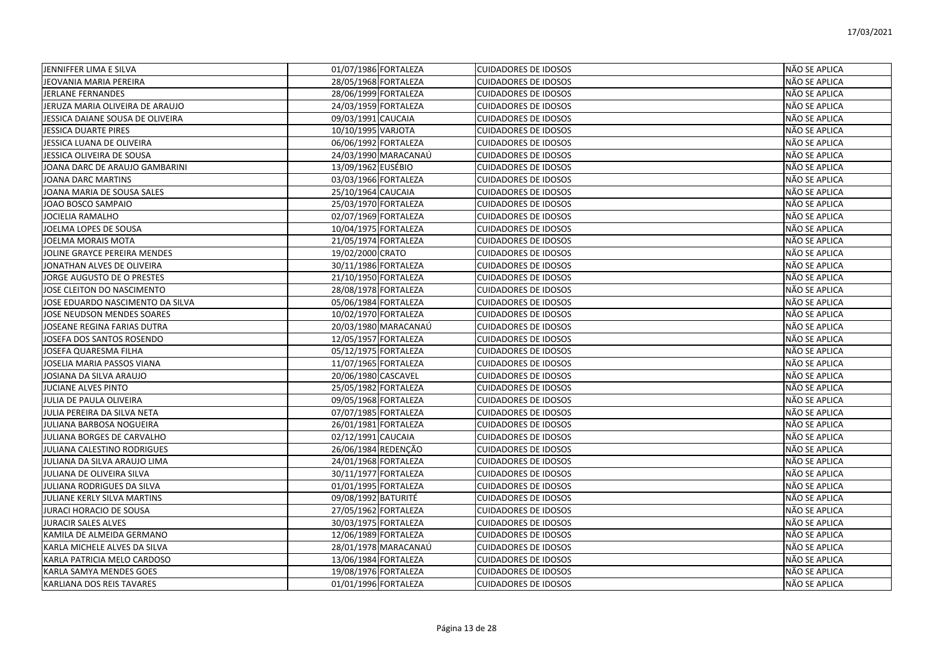| <b>JENNIFFER LIMA E SILVA</b>    | 01/07/1986 FORTALEZA | <b>CUIDADORES DE IDOSOS</b> | NÃO SE APLICA        |
|----------------------------------|----------------------|-----------------------------|----------------------|
| JEOVANIA MARIA PEREIRA           | 28/05/1968 FORTALEZA | <b>CUIDADORES DE IDOSOS</b> | NÃO SE APLICA        |
| <b>JERLANE FERNANDES</b>         | 28/06/1999 FORTALEZA | <b>CUIDADORES DE IDOSOS</b> | NÃO SE APLICA        |
| JERUZA MARIA OLIVEIRA DE ARAUJO  | 24/03/1959 FORTALEZA | <b>CUIDADORES DE IDOSOS</b> | <b>NÃO SE APLICA</b> |
| JESSICA DAIANE SOUSA DE OLIVEIRA | 09/03/1991 CAUCAIA   | <b>CUIDADORES DE IDOSOS</b> | NÃO SE APLICA        |
| <b>JESSICA DUARTE PIRES</b>      | 10/10/1995 VARJOTA   | <b>CUIDADORES DE IDOSOS</b> | NÃO SE APLICA        |
| <b>JESSICA LUANA DE OLIVEIRA</b> | 06/06/1992 FORTALEZA | <b>CUIDADORES DE IDOSOS</b> | NÃO SE APLICA        |
| JESSICA OLIVEIRA DE SOUSA        | 24/03/1990 MARACANAÚ | <b>CUIDADORES DE IDOSOS</b> | NÃO SE APLICA        |
| JOANA DARC DE ARAUJO GAMBARINI   | 13/09/1962 EUSÉBIO   | <b>CUIDADORES DE IDOSOS</b> | NÃO SE APLICA        |
| <b>JOANA DARC MARTINS</b>        | 03/03/1966 FORTALEZA | <b>CUIDADORES DE IDOSOS</b> | NÃO SE APLICA        |
| JOANA MARIA DE SOUSA SALES       | 25/10/1964 CAUCAIA   | <b>CUIDADORES DE IDOSOS</b> | NÃO SE APLICA        |
| JOAO BOSCO SAMPAIO               | 25/03/1970 FORTALEZA | <b>CUIDADORES DE IDOSOS</b> | NÃO SE APLICA        |
| <b>JOCIELIA RAMALHO</b>          | 02/07/1969 FORTALEZA | <b>CUIDADORES DE IDOSOS</b> | NÃO SE APLICA        |
| JOELMA LOPES DE SOUSA            | 10/04/1975 FORTALEZA | <b>CUIDADORES DE IDOSOS</b> | NÃO SE APLICA        |
| JOELMA MORAIS MOTA               | 21/05/1974 FORTALEZA | <b>CUIDADORES DE IDOSOS</b> | NÃO SE APLICA        |
| JOLINE GRAYCE PEREIRA MENDES     | 19/02/2000 CRATO     | <b>CUIDADORES DE IDOSOS</b> | NÃO SE APLICA        |
| JONATHAN ALVES DE OLIVEIRA       | 30/11/1986 FORTALEZA | <b>CUIDADORES DE IDOSOS</b> | NÃO SE APLICA        |
| JORGE AUGUSTO DE O PRESTES       | 21/10/1950 FORTALEZA | <b>CUIDADORES DE IDOSOS</b> | NÃO SE APLICA        |
| JOSE CLEITON DO NASCIMENTO       | 28/08/1978 FORTALEZA | <b>CUIDADORES DE IDOSOS</b> | NÃO SE APLICA        |
| JOSE EDUARDO NASCIMENTO DA SILVA | 05/06/1984 FORTALEZA | <b>CUIDADORES DE IDOSOS</b> | NÃO SE APLICA        |
| JOSE NEUDSON MENDES SOARES       | 10/02/1970 FORTALEZA | <b>CUIDADORES DE IDOSOS</b> | NÃO SE APLICA        |
| JOSEANE REGINA FARIAS DUTRA      | 20/03/1980 MARACANAÚ | <b>CUIDADORES DE IDOSOS</b> | NÃO SE APLICA        |
| JOSEFA DOS SANTOS ROSENDO        | 12/05/1957 FORTALEZA | <b>CUIDADORES DE IDOSOS</b> | NÃO SE APLICA        |
| <b>JOSEFA QUARESMA FILHA</b>     | 05/12/1975 FORTALEZA | <b>CUIDADORES DE IDOSOS</b> | NÃO SE APLICA        |
| JOSELIA MARIA PASSOS VIANA       | 11/07/1965 FORTALEZA | <b>CUIDADORES DE IDOSOS</b> | NÃO SE APLICA        |
| JOSIANA DA SILVA ARAUJO          | 20/06/1980 CASCAVEL  | <b>CUIDADORES DE IDOSOS</b> | NÃO SE APLICA        |
| JUCIANE ALVES PINTO              | 25/05/1982 FORTALEZA | <b>CUIDADORES DE IDOSOS</b> | NÃO SE APLICA        |
| JULIA DE PAULA OLIVEIRA          | 09/05/1968 FORTALEZA | <b>CUIDADORES DE IDOSOS</b> | NÃO SE APLICA        |
| JULIA PEREIRA DA SILVA NETA      | 07/07/1985 FORTALEZA | <b>CUIDADORES DE IDOSOS</b> | NÃO SE APLICA        |
| JULIANA BARBOSA NOGUEIRA         | 26/01/1981 FORTALEZA | <b>CUIDADORES DE IDOSOS</b> | NÃO SE APLICA        |
| JULIANA BORGES DE CARVALHO       | 02/12/1991 CAUCAIA   | <b>CUIDADORES DE IDOSOS</b> | NÃO SE APLICA        |
| JULIANA CALESTINO RODRIGUES      | 26/06/1984 REDENÇÃO  | <b>CUIDADORES DE IDOSOS</b> | NÃO SE APLICA        |
| JULIANA DA SILVA ARAUJO LIMA     | 24/01/1968 FORTALEZA | <b>CUIDADORES DE IDOSOS</b> | NÃO SE APLICA        |
| <b>JULIANA DE OLIVEIRA SILVA</b> | 30/11/1977 FORTALEZA | <b>CUIDADORES DE IDOSOS</b> | <b>NÃO SE APLICA</b> |
| JULIANA RODRIGUES DA SILVA       | 01/01/1995 FORTALEZA | <b>CUIDADORES DE IDOSOS</b> | NÃO SE APLICA        |
| JULIANE KERLY SILVA MARTINS      | 09/08/1992 BATURITÉ  | <b>CUIDADORES DE IDOSOS</b> | <b>NÃO SE APLICA</b> |
| <b>JURACI HORACIO DE SOUSA</b>   | 27/05/1962 FORTALEZA | <b>CUIDADORES DE IDOSOS</b> | NÃO SE APLICA        |
| <b>JURACIR SALES ALVES</b>       | 30/03/1975 FORTALEZA | <b>CUIDADORES DE IDOSOS</b> | NÃO SE APLICA        |
| KAMILA DE ALMEIDA GERMANO        | 12/06/1989 FORTALEZA | <b>CUIDADORES DE IDOSOS</b> | NÃO SE APLICA        |
| KARLA MICHELE ALVES DA SILVA     | 28/01/1978 MARACANAÚ | <b>CUIDADORES DE IDOSOS</b> | NÃO SE APLICA        |
| KARLA PATRICIA MELO CARDOSO      | 13/06/1984 FORTALEZA | <b>CUIDADORES DE IDOSOS</b> | NÃO SE APLICA        |
| <b>KARLA SAMYA MENDES GOES</b>   | 19/08/1976 FORTALEZA | <b>CUIDADORES DE IDOSOS</b> | NÃO SE APLICA        |
| KARLIANA DOS REIS TAVARES        | 01/01/1996 FORTALEZA | <b>CUIDADORES DE IDOSOS</b> | NÃO SE APLICA        |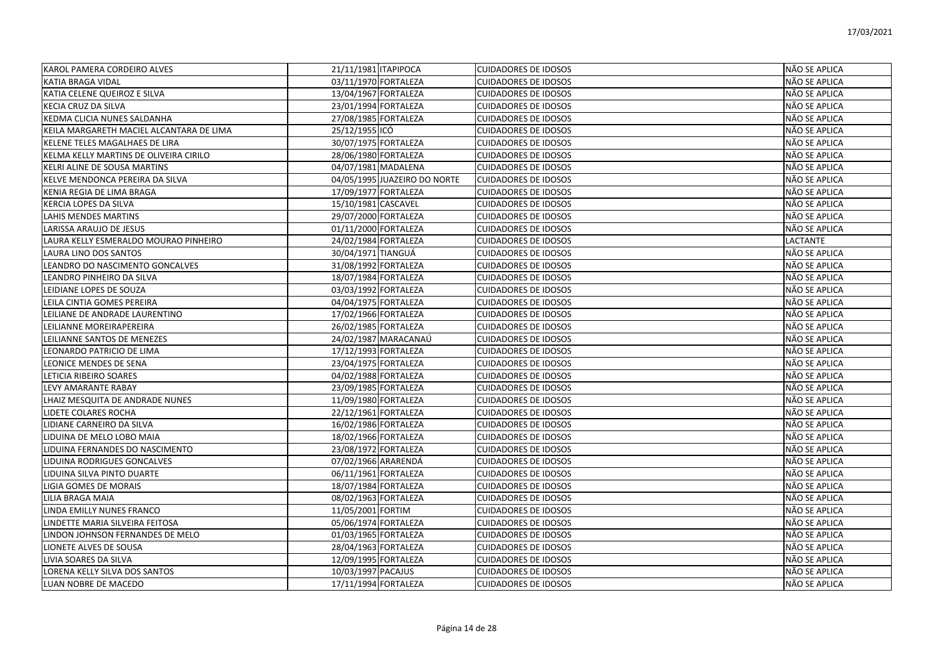| KAROL PAMERA CORDEIRO ALVES              | 21/11/1981 ITAPIPOCA |                              | <b>CUIDADORES DE IDOSOS</b> | NÃO SE APLICA   |
|------------------------------------------|----------------------|------------------------------|-----------------------------|-----------------|
| <b>KATIA BRAGA VIDAL</b>                 | 03/11/1970 FORTALEZA |                              | <b>CUIDADORES DE IDOSOS</b> | NÃO SE APLICA   |
| KATIA CELENE QUEIROZ E SILVA             | 13/04/1967 FORTALEZA |                              | <b>CUIDADORES DE IDOSOS</b> | NÃO SE APLICA   |
| KECIA CRUZ DA SILVA                      | 23/01/1994 FORTALEZA |                              | <b>CUIDADORES DE IDOSOS</b> | NÃO SE APLICA   |
| KEDMA CLICIA NUNES SALDANHA              | 27/08/1985 FORTALEZA |                              | <b>CUIDADORES DE IDOSOS</b> | NÃO SE APLICA   |
| KEILA MARGARETH MACIEL ALCANTARA DE LIMA | 25/12/1955 ICÓ       |                              | <b>CUIDADORES DE IDOSOS</b> | NÃO SE APLICA   |
| IKELENE TELES MAGALHAES DE LIRA          | 30/07/1975 FORTALEZA |                              | <b>CUIDADORES DE IDOSOS</b> | NÃO SE APLICA   |
| KELMA KELLY MARTINS DE OLIVEIRA CIRILO   |                      | 28/06/1980 FORTALEZA         | <b>CUIDADORES DE IDOSOS</b> | NÃO SE APLICA   |
| KELRI ALINE DE SOUSA MARTINS             | 04/07/1981 MADALENA  |                              | <b>CUIDADORES DE IDOSOS</b> | NÃO SE APLICA   |
| KELVE MENDONCA PEREIRA DA SILVA          |                      | 04/05/1995 JUAZEIRO DO NORTE | <b>CUIDADORES DE IDOSOS</b> | NÃO SE APLICA   |
| KENIA REGIA DE LIMA BRAGA                | 17/09/1977 FORTALEZA |                              | <b>CUIDADORES DE IDOSOS</b> | NÃO SE APLICA   |
| <b>KERCIA LOPES DA SILVA</b>             | 15/10/1981 CASCAVEL  |                              | <b>CUIDADORES DE IDOSOS</b> | NÃO SE APLICA   |
| LAHIS MENDES MARTINS                     | 29/07/2000 FORTALEZA |                              | <b>CUIDADORES DE IDOSOS</b> | NÃO SE APLICA   |
| LARISSA ARAUJO DE JESUS                  | 01/11/2000 FORTALEZA |                              | <b>CUIDADORES DE IDOSOS</b> | NÃO SE APLICA   |
| LAURA KELLY ESMERALDO MOURAO PINHEIRO    | 24/02/1984 FORTALEZA |                              | <b>CUIDADORES DE IDOSOS</b> | <b>LACTANTE</b> |
| LAURA LINO DOS SANTOS                    | 30/04/1971 TIANGUÁ   |                              | <b>CUIDADORES DE IDOSOS</b> | NÃO SE APLICA   |
| LEANDRO DO NASCIMENTO GONCALVES          | 31/08/1992 FORTALEZA |                              | <b>CUIDADORES DE IDOSOS</b> | NÃO SE APLICA   |
| LEANDRO PINHEIRO DA SILVA                | 18/07/1984 FORTALEZA |                              | <b>CUIDADORES DE IDOSOS</b> | NÃO SE APLICA   |
| LEIDIANE LOPES DE SOUZA                  | 03/03/1992 FORTALEZA |                              | <b>CUIDADORES DE IDOSOS</b> | NÃO SE APLICA   |
| LEILA CINTIA GOMES PEREIRA               | 04/04/1975 FORTALEZA |                              | <b>CUIDADORES DE IDOSOS</b> | NÃO SE APLICA   |
| LEILIANE DE ANDRADE LAURENTINO           | 17/02/1966 FORTALEZA |                              | <b>CUIDADORES DE IDOSOS</b> | NÃO SE APLICA   |
| LEILIANNE MOREIRAPEREIRA                 | 26/02/1985 FORTALEZA |                              | <b>CUIDADORES DE IDOSOS</b> | NÃO SE APLICA   |
| LEILIANNE SANTOS DE MENEZES              |                      | 24/02/1987 MARACANAÚ         | <b>CUIDADORES DE IDOSOS</b> | NÃO SE APLICA   |
| LEONARDO PATRICIO DE LIMA                | 17/12/1993 FORTALEZA |                              | <b>CUIDADORES DE IDOSOS</b> | NÃO SE APLICA   |
| LEONICE MENDES DE SENA                   | 23/04/1975 FORTALEZA |                              | <b>CUIDADORES DE IDOSOS</b> | NÃO SE APLICA   |
| LETICIA RIBEIRO SOARES                   | 04/02/1988 FORTALEZA |                              | <b>CUIDADORES DE IDOSOS</b> | NÃO SE APLICA   |
| LEVY AMARANTE RABAY                      | 23/09/1985 FORTALEZA |                              | <b>CUIDADORES DE IDOSOS</b> | NÃO SE APLICA   |
| LHAIZ MESQUITA DE ANDRADE NUNES          | 11/09/1980 FORTALEZA |                              | <b>CUIDADORES DE IDOSOS</b> | NÃO SE APLICA   |
| LIDETE COLARES ROCHA                     | 22/12/1961 FORTALEZA |                              | <b>CUIDADORES DE IDOSOS</b> | NÃO SE APLICA   |
| LIDIANE CARNEIRO DA SILVA                | 16/02/1986 FORTALEZA |                              | <b>CUIDADORES DE IDOSOS</b> | NÃO SE APLICA   |
| LIDUINA DE MELO LOBO MAIA                | 18/02/1966 FORTALEZA |                              | <b>CUIDADORES DE IDOSOS</b> | NÃO SE APLICA   |
| LIDUINA FERNANDES DO NASCIMENTO          | 23/08/1972 FORTALEZA |                              | <b>CUIDADORES DE IDOSOS</b> | NÃO SE APLICA   |
| LIDUINA RODRIGUES GONCALVES              | 07/02/1966 ARARENDÁ  |                              | <b>CUIDADORES DE IDOSOS</b> | NÃO SE APLICA   |
| LIDUINA SILVA PINTO DUARTE               | 06/11/1961 FORTALEZA |                              | <b>CUIDADORES DE IDOSOS</b> | NÃO SE APLICA   |
| LIGIA GOMES DE MORAIS                    | 18/07/1984 FORTALEZA |                              | <b>CUIDADORES DE IDOSOS</b> | NÃO SE APLICA   |
| LILIA BRAGA MAIA                         | 08/02/1963 FORTALEZA |                              | <b>CUIDADORES DE IDOSOS</b> | NÃO SE APLICA   |
| LINDA EMILLY NUNES FRANCO                | 11/05/2001 FORTIM    |                              | <b>CUIDADORES DE IDOSOS</b> | NÃO SE APLICA   |
| LINDETTE MARIA SILVEIRA FEITOSA          | 05/06/1974 FORTALEZA |                              | <b>CUIDADORES DE IDOSOS</b> | NÃO SE APLICA   |
| LINDON JOHNSON FERNANDES DE MELO         | 01/03/1965 FORTALEZA |                              | <b>CUIDADORES DE IDOSOS</b> | NÃO SE APLICA   |
| LIONETE ALVES DE SOUSA                   |                      | 28/04/1963 FORTALEZA         | <b>CUIDADORES DE IDOSOS</b> | NÃO SE APLICA   |
| LIVIA SOARES DA SILVA                    | 12/09/1995 FORTALEZA |                              | <b>CUIDADORES DE IDOSOS</b> | NÃO SE APLICA   |
| LORENA KELLY SILVA DOS SANTOS            | 10/03/1997 PACAJUS   |                              | <b>CUIDADORES DE IDOSOS</b> | NÃO SE APLICA   |
| LUAN NOBRE DE MACEDO                     | 17/11/1994 FORTALEZA |                              | <b>CUIDADORES DE IDOSOS</b> | NÃO SE APLICA   |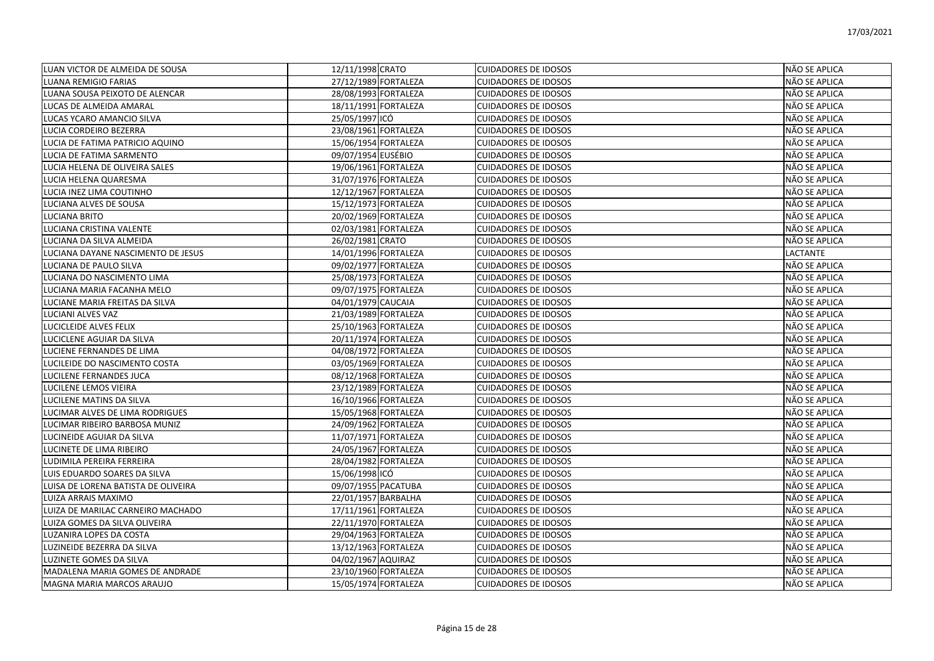| LUAN VICTOR DE ALMEIDA DE SOUSA     | 12/11/1998 CRATO     | <b>CUIDADORES DE IDOSOS</b> | NÃO SE APLICA        |
|-------------------------------------|----------------------|-----------------------------|----------------------|
| <b>LUANA REMIGIO FARIAS</b>         | 27/12/1989 FORTALEZA | <b>CUIDADORES DE IDOSOS</b> | NÃO SE APLICA        |
| LUANA SOUSA PEIXOTO DE ALENCAR      | 28/08/1993 FORTALEZA | <b>CUIDADORES DE IDOSOS</b> | NÃO SE APLICA        |
| LUCAS DE ALMEIDA AMARAL             | 18/11/1991 FORTALEZA | <b>CUIDADORES DE IDOSOS</b> | NÃO SE APLICA        |
| LUCAS YCARO AMANCIO SILVA           | 25/05/1997 ICÓ       | <b>CUIDADORES DE IDOSOS</b> | NÃO SE APLICA        |
| LUCIA CORDEIRO BEZERRA              | 23/08/1961 FORTALEZA | <b>CUIDADORES DE IDOSOS</b> | NÃO SE APLICA        |
| LUCIA DE FATIMA PATRICIO AQUINO     | 15/06/1954 FORTALEZA | <b>CUIDADORES DE IDOSOS</b> | NÃO SE APLICA        |
| UCIA DE FATIMA SARMENTO             | 09/07/1954 EUSÉBIO   | <b>CUIDADORES DE IDOSOS</b> | NÃO SE APLICA        |
| LUCIA HELENA DE OLIVEIRA SALES      | 19/06/1961 FORTALEZA | <b>CUIDADORES DE IDOSOS</b> | NÃO SE APLICA        |
| LUCIA HELENA QUARESMA               | 31/07/1976 FORTALEZA | <b>CUIDADORES DE IDOSOS</b> | NÃO SE APLICA        |
| LUCIA INEZ LIMA COUTINHO            | 12/12/1967 FORTALEZA | <b>CUIDADORES DE IDOSOS</b> | NÃO SE APLICA        |
| UCIANA ALVES DE SOUSA               | 15/12/1973 FORTALEZA | <b>CUIDADORES DE IDOSOS</b> | NÃO SE APLICA        |
| LUCIANA BRITO                       | 20/02/1969 FORTALEZA | <b>CUIDADORES DE IDOSOS</b> | NÃO SE APLICA        |
| LUCIANA CRISTINA VALENTE            | 02/03/1981 FORTALEZA | <b>CUIDADORES DE IDOSOS</b> | NÃO SE APLICA        |
| LUCIANA DA SILVA ALMEIDA            | 26/02/1981 CRATO     | <b>CUIDADORES DE IDOSOS</b> | NÃO SE APLICA        |
| UCIANA DAYANE NASCIMENTO DE JESUS   | 14/01/1996 FORTALEZA | <b>CUIDADORES DE IDOSOS</b> | LACTANTE             |
| UCIANA DE PAULO SILVA               | 09/02/1977 FORTALEZA | <b>CUIDADORES DE IDOSOS</b> | NÃO SE APLICA        |
| LUCIANA DO NASCIMENTO LIMA          | 25/08/1973 FORTALEZA | <b>CUIDADORES DE IDOSOS</b> | NÃO SE APLICA        |
| LUCIANA MARIA FACANHA MELO          | 09/07/1975 FORTALEZA | <b>CUIDADORES DE IDOSOS</b> | NÃO SE APLICA        |
| UCIANE MARIA FREITAS DA SILVA       | 04/01/1979 CAUCAIA   | <b>CUIDADORES DE IDOSOS</b> | NÃO SE APLICA        |
| LUCIANI ALVES VAZ                   | 21/03/1989 FORTALEZA | <b>CUIDADORES DE IDOSOS</b> | NÃO SE APLICA        |
| LUCICLEIDE ALVES FELIX              | 25/10/1963 FORTALEZA | <b>CUIDADORES DE IDOSOS</b> | NÃO SE APLICA        |
| LUCICLENE AGUIAR DA SILVA           | 20/11/1974 FORTALEZA | <b>CUIDADORES DE IDOSOS</b> | NÃO SE APLICA        |
| UCIENE FERNANDES DE LIMA            | 04/08/1972 FORTALEZA | <b>CUIDADORES DE IDOSOS</b> | NÃO SE APLICA        |
| UCILEIDE DO NASCIMENTO COSTA        | 03/05/1969 FORTALEZA | <b>CUIDADORES DE IDOSOS</b> | NÃO SE APLICA        |
| LUCILENE FERNANDES JUCA             | 08/12/1968 FORTALEZA | <b>CUIDADORES DE IDOSOS</b> | NÃO SE APLICA        |
| LUCILENE LEMOS VIEIRA               | 23/12/1989 FORTALEZA | <b>CUIDADORES DE IDOSOS</b> | NÃO SE APLICA        |
| LUCILENE MATINS DA SILVA            | 16/10/1966 FORTALEZA | <b>CUIDADORES DE IDOSOS</b> | NÃO SE APLICA        |
| LUCIMAR ALVES DE LIMA RODRIGUES     | 15/05/1968 FORTALEZA | <b>CUIDADORES DE IDOSOS</b> | NÃO SE APLICA        |
| LUCIMAR RIBEIRO BARBOSA MUNIZ       | 24/09/1962 FORTALEZA | <b>CUIDADORES DE IDOSOS</b> | NÃO SE APLICA        |
| UCINEIDE AGUIAR DA SILVA            | 11/07/1971 FORTALEZA | <b>CUIDADORES DE IDOSOS</b> | NÃO SE APLICA        |
| LUCINETE DE LIMA RIBEIRO            | 24/05/1967 FORTALEZA | <b>CUIDADORES DE IDOSOS</b> | NÃO SE APLICA        |
| LUDIMILA PEREIRA FERREIRA           | 28/04/1982 FORTALEZA | <b>CUIDADORES DE IDOSOS</b> | NÃO SE APLICA        |
| LUIS EDUARDO SOARES DA SILVA        | 15/06/1998 ICÓ       | <b>CUIDADORES DE IDOSOS</b> | NÃO SE APLICA        |
| LUISA DE LORENA BATISTA DE OLIVEIRA | 09/07/1955 PACATUBA  | <b>CUIDADORES DE IDOSOS</b> | NÃO SE APLICA        |
| LUIZA ARRAIS MAXIMO                 | 22/01/1957 BARBALHA  | <b>CUIDADORES DE IDOSOS</b> | NÃO SE APLICA        |
| LUIZA DE MARILAC CARNEIRO MACHADO   | 17/11/1961 FORTALEZA | <b>CUIDADORES DE IDOSOS</b> | NÃO SE APLICA        |
| LUIZA GOMES DA SILVA OLIVEIRA       | 22/11/1970 FORTALEZA | <b>CUIDADORES DE IDOSOS</b> | NÃO SE APLICA        |
| <b>LUZANIRA LOPES DA COSTA</b>      | 29/04/1963 FORTALEZA | <b>CUIDADORES DE IDOSOS</b> | NÃO SE APLICA        |
| UZINEIDE BEZERRA DA SILVA           | 13/12/1963 FORTALEZA | <b>CUIDADORES DE IDOSOS</b> | NÃO SE APLICA        |
| LUZINETE GOMES DA SILVA             | 04/02/1967 AQUIRAZ   | <b>CUIDADORES DE IDOSOS</b> | NÃO SE APLICA        |
| MADALENA MARIA GOMES DE ANDRADE     | 23/10/1960 FORTALEZA | <b>CUIDADORES DE IDOSOS</b> | NÃO SE APLICA        |
| MAGNA MARIA MARCOS ARAUJO           | 15/05/1974 FORTALEZA | <b>CUIDADORES DE IDOSOS</b> | <b>NÃO SE APLICA</b> |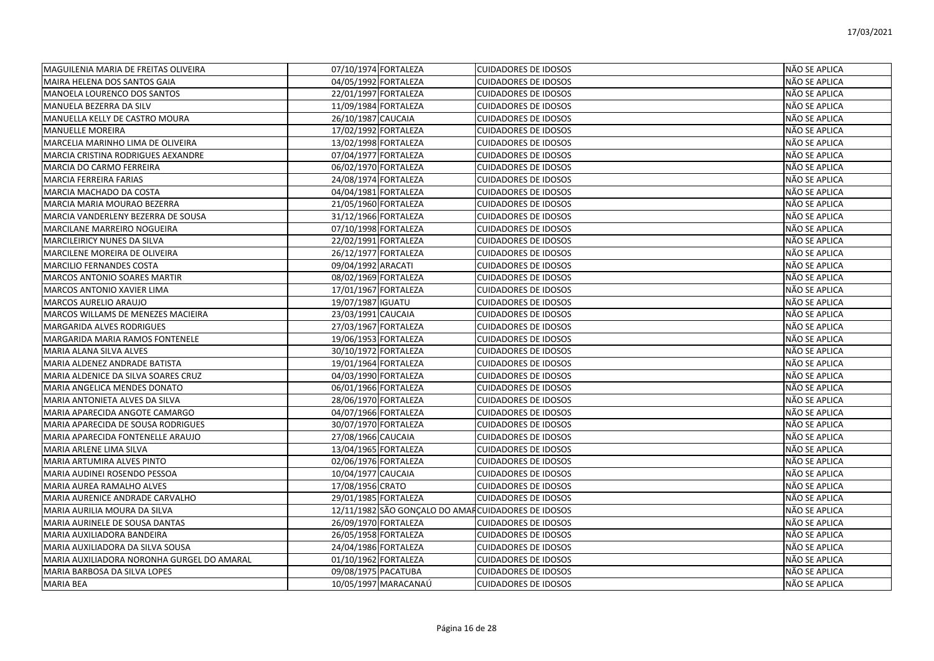| MAGUILENIA MARIA DE FREITAS OLIVEIRA       | 07/10/1974 FORTALEZA                                | <b>CUIDADORES DE IDOSOS</b> | NÃO SE APLICA |
|--------------------------------------------|-----------------------------------------------------|-----------------------------|---------------|
| MAIRA HELENA DOS SANTOS GAIA               | 04/05/1992 FORTALEZA                                | <b>CUIDADORES DE IDOSOS</b> | NÃO SE APLICA |
| MANOELA LOURENCO DOS SANTOS                | 22/01/1997 FORTALEZA                                | <b>CUIDADORES DE IDOSOS</b> | NÃO SE APLICA |
| MANUELA BEZERRA DA SILV                    | 11/09/1984 FORTALEZA                                | <b>CUIDADORES DE IDOSOS</b> | NÃO SE APLICA |
| MANUELLA KELLY DE CASTRO MOURA             | 26/10/1987 CAUCAIA                                  | <b>CUIDADORES DE IDOSOS</b> | NÃO SE APLICA |
| <b>MANUELLE MOREIRA</b>                    | 17/02/1992 FORTALEZA                                | <b>CUIDADORES DE IDOSOS</b> | NÃO SE APLICA |
| MARCELIA MARINHO LIMA DE OLIVEIRA          | 13/02/1998 FORTALEZA                                | <b>CUIDADORES DE IDOSOS</b> | NÃO SE APLICA |
| MARCIA CRISTINA RODRIGUES AEXANDRE         | 07/04/1977 FORTALEZA                                | <b>CUIDADORES DE IDOSOS</b> | NÃO SE APLICA |
| MARCIA DO CARMO FERREIRA                   | 06/02/1970 FORTALEZA                                | <b>CUIDADORES DE IDOSOS</b> | NÃO SE APLICA |
| <b>MARCIA FERREIRA FARIAS</b>              | 24/08/1974 FORTALEZA                                | <b>CUIDADORES DE IDOSOS</b> | NÃO SE APLICA |
| MARCIA MACHADO DA COSTA                    | 04/04/1981 FORTALEZA                                | <b>CUIDADORES DE IDOSOS</b> | NÃO SE APLICA |
| MARCIA MARIA MOURAO BEZERRA                | 21/05/1960 FORTALEZA                                | <b>CUIDADORES DE IDOSOS</b> | NÃO SE APLICA |
| MARCIA VANDERLENY BEZERRA DE SOUSA         | 31/12/1966 FORTALEZA                                | <b>CUIDADORES DE IDOSOS</b> | NÃO SE APLICA |
| MARCILANE MARREIRO NOGUEIRA                | 07/10/1998 FORTALEZA                                | <b>CUIDADORES DE IDOSOS</b> | NÃO SE APLICA |
| MARCILEIRICY NUNES DA SILVA                | 22/02/1991 FORTALEZA                                | <b>CUIDADORES DE IDOSOS</b> | NÃO SE APLICA |
| MARCILENE MOREIRA DE OLIVEIRA              | 26/12/1977 FORTALEZA                                | <b>CUIDADORES DE IDOSOS</b> | NÃO SE APLICA |
| <b>MARCILIO FERNANDES COSTA</b>            | 09/04/1992 ARACATI                                  | <b>CUIDADORES DE IDOSOS</b> | NÃO SE APLICA |
| MARCOS ANTONIO SOARES MARTIR               | 08/02/1969 FORTALEZA                                | <b>CUIDADORES DE IDOSOS</b> | NÃO SE APLICA |
| MARCOS ANTONIO XAVIER LIMA                 | 17/01/1967 FORTALEZA                                | <b>CUIDADORES DE IDOSOS</b> | NÃO SE APLICA |
| MARCOS AURELIO ARAUJO                      | 19/07/1987 IGUATU                                   | <b>CUIDADORES DE IDOSOS</b> | NÃO SE APLICA |
| MARCOS WILLAMS DE MENEZES MACIEIRA         | 23/03/1991 CAUCAIA                                  | <b>CUIDADORES DE IDOSOS</b> | NÃO SE APLICA |
| MARGARIDA ALVES RODRIGUES                  | 27/03/1967 FORTALEZA                                | <b>CUIDADORES DE IDOSOS</b> | NÃO SE APLICA |
| MARGARIDA MARIA RAMOS FONTENELE            | 19/06/1953 FORTALEZA                                | <b>CUIDADORES DE IDOSOS</b> | NÃO SE APLICA |
| MARIA ALANA SILVA ALVES                    | 30/10/1972 FORTALEZA                                | <b>CUIDADORES DE IDOSOS</b> | NÃO SE APLICA |
| MARIA ALDENEZ ANDRADE BATISTA              | 19/01/1964 FORTALEZA                                | <b>CUIDADORES DE IDOSOS</b> | NÃO SE APLICA |
| MARIA ALDENICE DA SILVA SOARES CRUZ        | 04/03/1990 FORTALEZA                                | <b>CUIDADORES DE IDOSOS</b> | NÃO SE APLICA |
| MARIA ANGELICA MENDES DONATO               | 06/01/1966 FORTALEZA                                | <b>CUIDADORES DE IDOSOS</b> | NÃO SE APLICA |
| MARIA ANTONIETA ALVES DA SILVA             | 28/06/1970 FORTALEZA                                | <b>CUIDADORES DE IDOSOS</b> | NÃO SE APLICA |
| MARIA APARECIDA ANGOTE CAMARGO             | 04/07/1966 FORTALEZA                                | <b>CUIDADORES DE IDOSOS</b> | NÃO SE APLICA |
| MARIA APARECIDA DE SOUSA RODRIGUES         | 30/07/1970 FORTALEZA                                | <b>CUIDADORES DE IDOSOS</b> | NÃO SE APLICA |
| MARIA APARECIDA FONTENELLE ARAUJO          | 27/08/1966 CAUCAIA                                  | <b>CUIDADORES DE IDOSOS</b> | NÃO SE APLICA |
| MARIA ARLENE LIMA SILVA                    | 13/04/1965 FORTALEZA                                | <b>CUIDADORES DE IDOSOS</b> | NÃO SE APLICA |
| MARIA ARTUMIRA ALVES PINTO                 | 02/06/1976 FORTALEZA                                | <b>CUIDADORES DE IDOSOS</b> | NÃO SE APLICA |
| MARIA AUDINEI ROSENDO PESSOA               | 10/04/1977 CAUCAIA                                  | <b>CUIDADORES DE IDOSOS</b> | NÃO SE APLICA |
| MARIA AUREA RAMALHO ALVES                  | 17/08/1956 CRATO                                    | <b>CUIDADORES DE IDOSOS</b> | NÃO SE APLICA |
| MARIA AURENICE ANDRADE CARVALHO            | 29/01/1985 FORTALEZA                                | <b>CUIDADORES DE IDOSOS</b> | NÃO SE APLICA |
| MARIA AURILIA MOURA DA SILVA               | 12/11/1982 SÃO GONÇALO DO AMAR CUIDADORES DE IDOSOS |                             | NÃO SE APLICA |
| MARIA AURINELE DE SOUSA DANTAS             | 26/09/1970 FORTALEZA                                | <b>CUIDADORES DE IDOSOS</b> | NÃO SE APLICA |
| MARIA AUXILIADORA BANDEIRA                 | 26/05/1958 FORTALEZA                                | <b>CUIDADORES DE IDOSOS</b> | NÃO SE APLICA |
| MARIA AUXILIADORA DA SILVA SOUSA           | 24/04/1986 FORTALEZA                                | <b>CUIDADORES DE IDOSOS</b> | NÃO SE APLICA |
| MARIA AUXILIADORA NORONHA GURGEL DO AMARAL | 01/10/1962 FORTALEZA                                | <b>CUIDADORES DE IDOSOS</b> | NÃO SE APLICA |
| MARIA BARBOSA DA SILVA LOPES               | 09/08/1975 PACATUBA                                 | <b>CUIDADORES DE IDOSOS</b> | NÃO SE APLICA |
| <b>MARIA BEA</b>                           | 10/05/1997 MARACANAÚ                                | <b>CUIDADORES DE IDOSOS</b> | NÃO SE APLICA |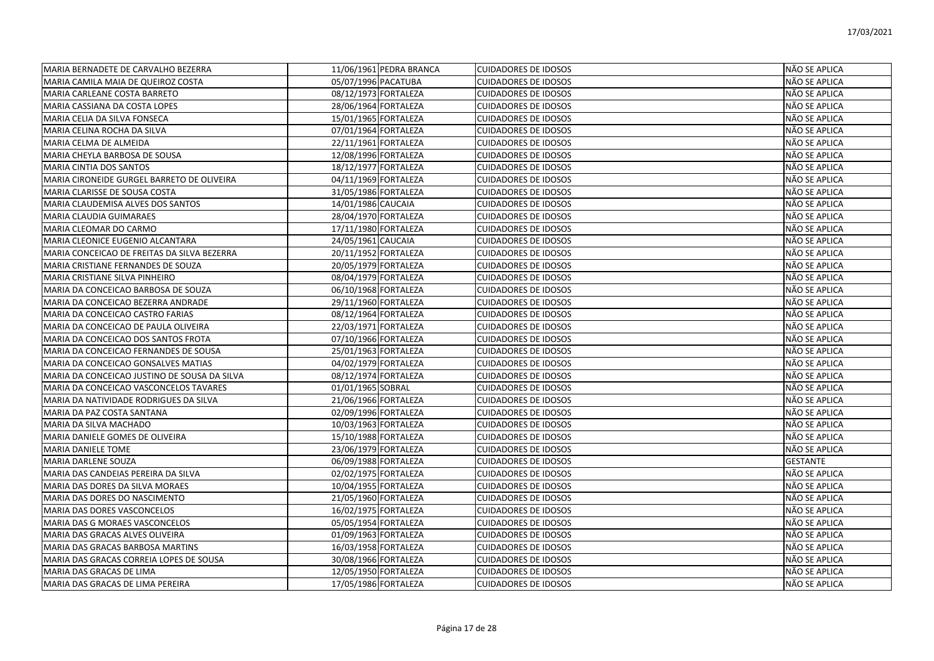| MARIA BERNADETE DE CARVALHO BEZERRA          |                      | 11/06/1961 PEDRA BRANCA | <b>CUIDADORES DE IDOSOS</b> | NÃO SE APLICA   |
|----------------------------------------------|----------------------|-------------------------|-----------------------------|-----------------|
| MARIA CAMILA MAIA DE QUEIROZ COSTA           | 05/07/1996 PACATUBA  |                         | <b>CUIDADORES DE IDOSOS</b> | NÃO SE APLICA   |
| MARIA CARLEANE COSTA BARRETO                 |                      | 08/12/1973 FORTALEZA    | <b>CUIDADORES DE IDOSOS</b> | NÃO SE APLICA   |
| MARIA CASSIANA DA COSTA LOPES                |                      | 28/06/1964 FORTALEZA    | <b>CUIDADORES DE IDOSOS</b> | NÃO SE APLICA   |
| MARIA CELIA DA SILVA FONSECA                 |                      | 15/01/1965 FORTALEZA    | <b>CUIDADORES DE IDOSOS</b> | NÃO SE APLICA   |
| MARIA CELINA ROCHA DA SILVA                  |                      | 07/01/1964 FORTALEZA    | <b>CUIDADORES DE IDOSOS</b> | NÃO SE APLICA   |
| MARIA CELMA DE ALMEIDA                       | 22/11/1961 FORTALEZA |                         | <b>CUIDADORES DE IDOSOS</b> | NÃO SE APLICA   |
| MARIA CHEYLA BARBOSA DE SOUSA                |                      | 12/08/1996 FORTALEZA    | <b>CUIDADORES DE IDOSOS</b> | NÃO SE APLICA   |
| <b>MARIA CINTIA DOS SANTOS</b>               |                      | 18/12/1977 FORTALEZA    | <b>CUIDADORES DE IDOSOS</b> | NÃO SE APLICA   |
| MARIA CIRONEIDE GURGEL BARRETO DE OLIVEIRA   | 04/11/1969 FORTALEZA |                         | <b>CUIDADORES DE IDOSOS</b> | NÃO SE APLICA   |
| MARIA CLARISSE DE SOUSA COSTA                | 31/05/1986 FORTALEZA |                         | <b>CUIDADORES DE IDOSOS</b> | NÃO SE APLICA   |
| MARIA CLAUDEMISA ALVES DOS SANTOS            | 14/01/1986 CAUCAIA   |                         | <b>CUIDADORES DE IDOSOS</b> | NÃO SE APLICA   |
| MARIA CLAUDIA GUIMARAES                      |                      | 28/04/1970 FORTALEZA    | <b>CUIDADORES DE IDOSOS</b> | NÃO SE APLICA   |
| MARIA CLEOMAR DO CARMO                       |                      | 17/11/1980 FORTALEZA    | <b>CUIDADORES DE IDOSOS</b> | NÃO SE APLICA   |
| MARIA CLEONICE EUGENIO ALCANTARA             | 24/05/1961 CAUCAIA   |                         | <b>CUIDADORES DE IDOSOS</b> | NÃO SE APLICA   |
| MARIA CONCEICAO DE FREITAS DA SILVA BEZERRA  |                      | 20/11/1952 FORTALEZA    | <b>CUIDADORES DE IDOSOS</b> | NÃO SE APLICA   |
| MARIA CRISTIANE FERNANDES DE SOUZA           |                      | 20/05/1979 FORTALEZA    | <b>CUIDADORES DE IDOSOS</b> | NÃO SE APLICA   |
| MARIA CRISTIANE SILVA PINHEIRO               |                      | 08/04/1979 FORTALEZA    | <b>CUIDADORES DE IDOSOS</b> | NÃO SE APLICA   |
| MARIA DA CONCEICAO BARBOSA DE SOUZA          |                      | 06/10/1968 FORTALEZA    | <b>CUIDADORES DE IDOSOS</b> | NÃO SE APLICA   |
| MARIA DA CONCEICAO BEZERRA ANDRADE           |                      | 29/11/1960 FORTALEZA    | <b>CUIDADORES DE IDOSOS</b> | NÃO SE APLICA   |
| MARIA DA CONCEICAO CASTRO FARIAS             |                      | 08/12/1964 FORTALEZA    | <b>CUIDADORES DE IDOSOS</b> | NÃO SE APLICA   |
| MARIA DA CONCEICAO DE PAULA OLIVEIRA         |                      | 22/03/1971 FORTALEZA    | <b>CUIDADORES DE IDOSOS</b> | NÃO SE APLICA   |
| MARIA DA CONCEICAO DOS SANTOS FROTA          |                      | 07/10/1966 FORTALEZA    | <b>CUIDADORES DE IDOSOS</b> | NÃO SE APLICA   |
| MARIA DA CONCEICAO FERNANDES DE SOUSA        | 25/01/1963 FORTALEZA |                         | <b>CUIDADORES DE IDOSOS</b> | NÃO SE APLICA   |
| MARIA DA CONCEICAO GONSALVES MATIAS          |                      | 04/02/1979 FORTALEZA    | <b>CUIDADORES DE IDOSOS</b> | NÃO SE APLICA   |
| MARIA DA CONCEICAO JUSTINO DE SOUSA DA SILVA | 08/12/1974 FORTALEZA |                         | <b>CUIDADORES DE IDOSOS</b> | NÃO SE APLICA   |
| MARIA DA CONCEICAO VASCONCELOS TAVARES       | 01/01/1965 SOBRAL    |                         | <b>CUIDADORES DE IDOSOS</b> | NÃO SE APLICA   |
| MARIA DA NATIVIDADE RODRIGUES DA SILVA       | 21/06/1966 FORTALEZA |                         | <b>CUIDADORES DE IDOSOS</b> | NÃO SE APLICA   |
| MARIA DA PAZ COSTA SANTANA                   | 02/09/1996 FORTALEZA |                         | <b>CUIDADORES DE IDOSOS</b> | NÃO SE APLICA   |
| MARIA DA SILVA MACHADO                       |                      | 10/03/1963 FORTALEZA    | <b>CUIDADORES DE IDOSOS</b> | NÃO SE APLICA   |
| MARIA DANIELE GOMES DE OLIVEIRA              |                      | 15/10/1988 FORTALEZA    | <b>CUIDADORES DE IDOSOS</b> | NÃO SE APLICA   |
| <b>MARIA DANIELE TOME</b>                    |                      | 23/06/1979 FORTALEZA    | <b>CUIDADORES DE IDOSOS</b> | NÃO SE APLICA   |
| <b>MARIA DARLENE SOUZA</b>                   |                      | 06/09/1988 FORTALEZA    | <b>CUIDADORES DE IDOSOS</b> | <b>GESTANTE</b> |
| MARIA DAS CANDEIAS PEREIRA DA SILVA          |                      | 02/02/1975 FORTALEZA    | <b>CUIDADORES DE IDOSOS</b> | NÃO SE APLICA   |
| MARIA DAS DORES DA SILVA MORAES              |                      | 10/04/1955 FORTALEZA    | <b>CUIDADORES DE IDOSOS</b> | NÃO SE APLICA   |
| MARIA DAS DORES DO NASCIMENTO                |                      | 21/05/1960 FORTALEZA    | <b>CUIDADORES DE IDOSOS</b> | NÃO SE APLICA   |
| MARIA DAS DORES VASCONCELOS                  |                      | 16/02/1975 FORTALEZA    | <b>CUIDADORES DE IDOSOS</b> | NÃO SE APLICA   |
| <b>MARIA DAS G MORAES VASCONCELOS</b>        |                      | 05/05/1954 FORTALEZA    | <b>CUIDADORES DE IDOSOS</b> | NÃO SE APLICA   |
| MARIA DAS GRACAS ALVES OLIVEIRA              |                      | 01/09/1963 FORTALEZA    | <b>CUIDADORES DE IDOSOS</b> | NÃO SE APLICA   |
| MARIA DAS GRACAS BARBOSA MARTINS             |                      | 16/03/1958 FORTALEZA    | <b>CUIDADORES DE IDOSOS</b> | NÃO SE APLICA   |
| MARIA DAS GRACAS CORREIA LOPES DE SOUSA      |                      | 30/08/1966 FORTALEZA    | <b>CUIDADORES DE IDOSOS</b> | NÃO SE APLICA   |
| MARIA DAS GRACAS DE LIMA                     |                      | 12/05/1950 FORTALEZA    | <b>CUIDADORES DE IDOSOS</b> | NÃO SE APLICA   |
| MARIA DAS GRACAS DE LIMA PEREIRA             | 17/05/1986 FORTALEZA |                         | <b>CUIDADORES DE IDOSOS</b> | NÃO SE APLICA   |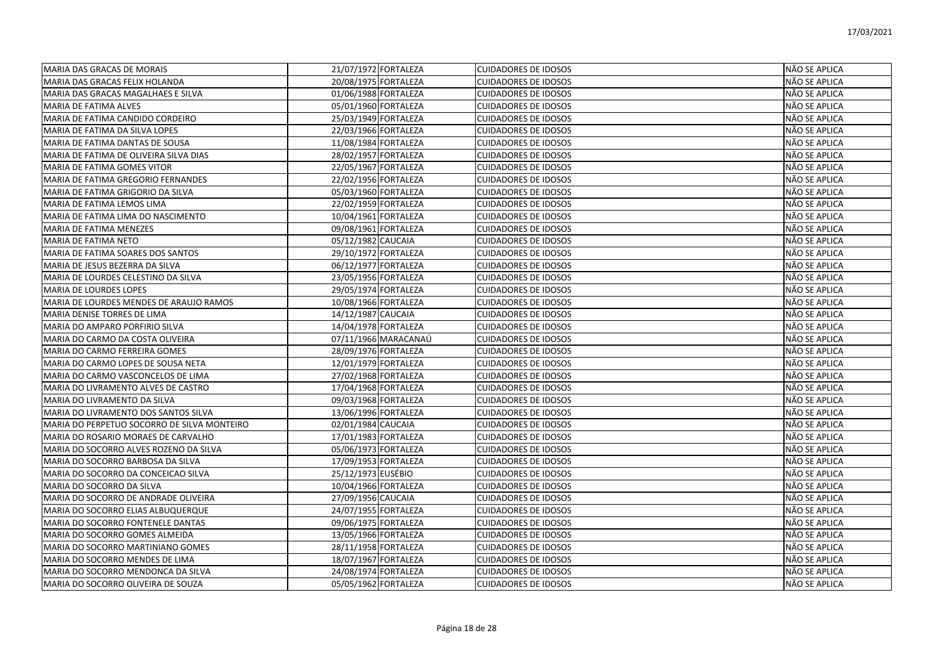| MARIA DAS GRACAS DE MORAIS                  | 21/07/1972 FORTALEZA | <b>CUIDADORES DE IDOSOS</b> | NÃO SE APLICA        |
|---------------------------------------------|----------------------|-----------------------------|----------------------|
| MARIA DAS GRACAS FELIX HOLANDA              | 20/08/1975 FORTALEZA | <b>CUIDADORES DE IDOSOS</b> | NÃO SE APLICA        |
| MARIA DAS GRACAS MAGALHAES E SILVA          | 01/06/1988 FORTALEZA | <b>CUIDADORES DE IDOSOS</b> | NÃO SE APLICA        |
| MARIA DE FATIMA ALVES                       | 05/01/1960 FORTALEZA | <b>CUIDADORES DE IDOSOS</b> | NÃO SE APLICA        |
| MARIA DE FATIMA CANDIDO CORDEIRO            | 25/03/1949 FORTALEZA | <b>CUIDADORES DE IDOSOS</b> | NÃO SE APLICA        |
| MARIA DE FATIMA DA SILVA LOPES              | 22/03/1966 FORTALEZA | <b>CUIDADORES DE IDOSOS</b> | NÃO SE APLICA        |
| MARIA DE FATIMA DANTAS DE SOUSA             | 11/08/1984 FORTALEZA | <b>CUIDADORES DE IDOSOS</b> | NÃO SE APLICA        |
| MARIA DE FATIMA DE OLIVEIRA SILVA DIAS      | 28/02/1957 FORTALEZA | <b>CUIDADORES DE IDOSOS</b> | NÃO SE APLICA        |
| MARIA DE FATIMA GOMES VITOR                 | 22/05/1967 FORTALEZA | <b>CUIDADORES DE IDOSOS</b> | NÃO SE APLICA        |
| MARIA DE FATIMA GREGORIO FERNANDES          | 22/02/1956 FORTALEZA | <b>CUIDADORES DE IDOSOS</b> | NÃO SE APLICA        |
| MARIA DE FATIMA GRIGORIO DA SILVA           | 05/03/1960 FORTALEZA | <b>CUIDADORES DE IDOSOS</b> | NÃO SE APLICA        |
| MARIA DE FATIMA LEMOS LIMA                  | 22/02/1959 FORTALEZA | <b>CUIDADORES DE IDOSOS</b> | NÃO SE APLICA        |
| MARIA DE FATIMA LIMA DO NASCIMENTO          | 10/04/1961 FORTALEZA | <b>CUIDADORES DE IDOSOS</b> | NÃO SE APLICA        |
| <b>MARIA DE FATIMA MENEZES</b>              | 09/08/1961 FORTALEZA | <b>CUIDADORES DE IDOSOS</b> | NÃO SE APLICA        |
| MARIA DE FATIMA NETO                        | 05/12/1982 CAUCAIA   | <b>CUIDADORES DE IDOSOS</b> | NÃO SE APLICA        |
| MARIA DE FATIMA SOARES DOS SANTOS           | 29/10/1972 FORTALEZA | <b>CUIDADORES DE IDOSOS</b> | NÃO SE APLICA        |
| MARIA DE JESUS BEZERRA DA SILVA             | 06/12/1977 FORTALEZA | <b>CUIDADORES DE IDOSOS</b> | <b>NÃO SE APLICA</b> |
| MARIA DE LOURDES CELESTINO DA SILVA         | 23/05/1956 FORTALEZA | <b>CUIDADORES DE IDOSOS</b> | NÃO SE APLICA        |
| MARIA DE LOURDES LOPES                      | 29/05/1974 FORTALEZA | <b>CUIDADORES DE IDOSOS</b> | NÃO SE APLICA        |
| MARIA DE LOURDES MENDES DE ARAUJO RAMOS     | 10/08/1966 FORTALEZA | <b>CUIDADORES DE IDOSOS</b> | NÃO SE APLICA        |
| MARIA DENISE TORRES DE LIMA                 | 14/12/1987 CAUCAIA   | <b>CUIDADORES DE IDOSOS</b> | NÃO SE APLICA        |
| MARIA DO AMPARO PORFIRIO SILVA              | 14/04/1978 FORTALEZA | <b>CUIDADORES DE IDOSOS</b> | NÃO SE APLICA        |
| MARIA DO CARMO DA COSTA OLIVEIRA            | 07/11/1966 MARACANAÚ | <b>CUIDADORES DE IDOSOS</b> | NÃO SE APLICA        |
| MARIA DO CARMO FERREIRA GOMES               | 28/09/1976 FORTALEZA | <b>CUIDADORES DE IDOSOS</b> | NÃO SE APLICA        |
| MARIA DO CARMO LOPES DE SOUSA NETA          | 12/01/1979 FORTALEZA | <b>CUIDADORES DE IDOSOS</b> | NÃO SE APLICA        |
| MARIA DO CARMO VASCONCELOS DE LIMA          | 27/02/1968 FORTALEZA | <b>CUIDADORES DE IDOSOS</b> | NÃO SE APLICA        |
| MARIA DO LIVRAMENTO ALVES DE CASTRO         | 17/04/1968 FORTALEZA | <b>CUIDADORES DE IDOSOS</b> | NÃO SE APLICA        |
| MARIA DO LIVRAMENTO DA SILVA                | 09/03/1968 FORTALEZA | <b>CUIDADORES DE IDOSOS</b> | NÃO SE APLICA        |
| MARIA DO LIVRAMENTO DOS SANTOS SILVA        | 13/06/1996 FORTALEZA | <b>CUIDADORES DE IDOSOS</b> | NÃO SE APLICA        |
| MARIA DO PERPETUO SOCORRO DE SILVA MONTEIRO | 02/01/1984 CAUCAIA   | <b>CUIDADORES DE IDOSOS</b> | <b>NÃO SE APLICA</b> |
| MARIA DO ROSARIO MORAES DE CARVALHO         | 17/01/1983 FORTALEZA | <b>CUIDADORES DE IDOSOS</b> | NÃO SE APLICA        |
| MARIA DO SOCORRO ALVES ROZENO DA SILVA      | 05/06/1973 FORTALEZA | <b>CUIDADORES DE IDOSOS</b> | NÃO SE APLICA        |
| MARIA DO SOCORRO BARBOSA DA SILVA           | 17/09/1953 FORTALEZA | <b>CUIDADORES DE IDOSOS</b> | NÃO SE APLICA        |
| MARIA DO SOCORRO DA CONCEICAO SILVA         | 25/12/1973 EUSÉBIO   | <b>CUIDADORES DE IDOSOS</b> | NÃO SE APLICA        |
| MARIA DO SOCORRO DA SILVA                   | 10/04/1966 FORTALEZA | <b>CUIDADORES DE IDOSOS</b> | NÃO SE APLICA        |
| MARIA DO SOCORRO DE ANDRADE OLIVEIRA        | 27/09/1956 CAUCAIA   | <b>CUIDADORES DE IDOSOS</b> | NÃO SE APLICA        |
| MARIA DO SOCORRO ELIAS ALBUQUERQUE          | 24/07/1955 FORTALEZA | <b>CUIDADORES DE IDOSOS</b> | NÃO SE APLICA        |
| MARIA DO SOCORRO FONTENELE DANTAS           | 09/06/1975 FORTALEZA | <b>CUIDADORES DE IDOSOS</b> | NÃO SE APLICA        |
| MARIA DO SOCORRO GOMES ALMEIDA              | 13/05/1966 FORTALEZA | <b>CUIDADORES DE IDOSOS</b> | NÃO SE APLICA        |
| MARIA DO SOCORRO MARTINIANO GOMES           | 28/11/1958 FORTALEZA | <b>CUIDADORES DE IDOSOS</b> | NÃO SE APLICA        |
| MARIA DO SOCORRO MENDES DE LIMA             | 18/07/1967 FORTALEZA | <b>CUIDADORES DE IDOSOS</b> | NÃO SE APLICA        |
| MARIA DO SOCORRO MENDONCA DA SILVA          | 24/08/1974 FORTALEZA | <b>CUIDADORES DE IDOSOS</b> | NÃO SE APLICA        |
| MARIA DO SOCORRO OLIVEIRA DE SOUZA          | 05/05/1962 FORTALEZA | <b>CUIDADORES DE IDOSOS</b> | <b>NÃO SE APLICA</b> |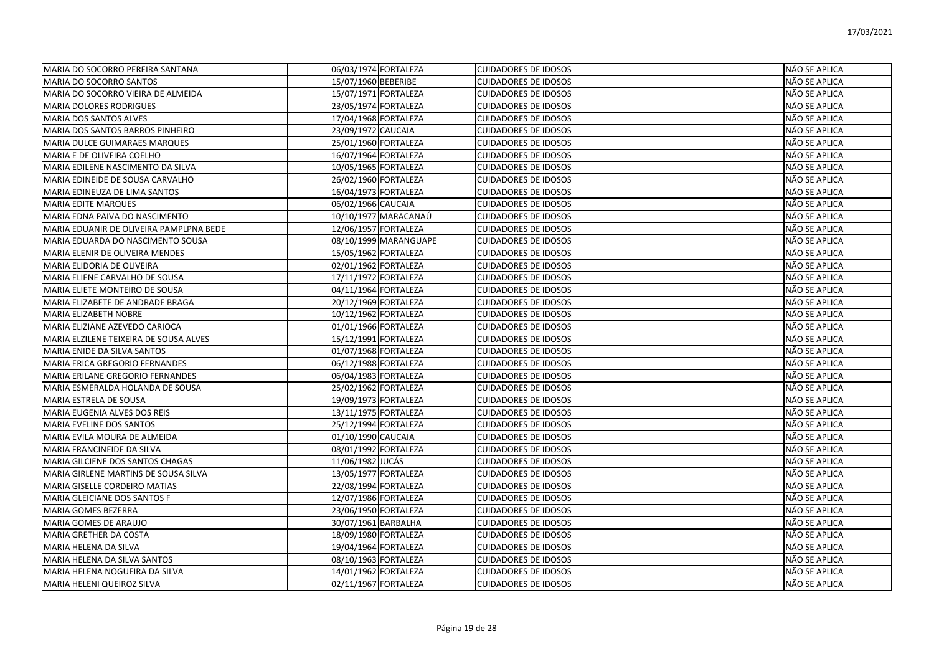| MARIA DO SOCORRO PEREIRA SANTANA        | 06/03/1974 FORTALEZA  | <b>CUIDADORES DE IDOSOS</b> | NÃO SE APLICA        |
|-----------------------------------------|-----------------------|-----------------------------|----------------------|
| MARIA DO SOCORRO SANTOS                 | 15/07/1960 BEBERIBE   | <b>CUIDADORES DE IDOSOS</b> | NÃO SE APLICA        |
| MARIA DO SOCORRO VIEIRA DE ALMEIDA      | 15/07/1971 FORTALEZA  | <b>CUIDADORES DE IDOSOS</b> | NÃO SE APLICA        |
| MARIA DOLORES RODRIGUES                 | 23/05/1974 FORTALEZA  | <b>CUIDADORES DE IDOSOS</b> | NÃO SE APLICA        |
| MARIA DOS SANTOS ALVES                  | 17/04/1968 FORTALEZA  | <b>CUIDADORES DE IDOSOS</b> | NÃO SE APLICA        |
| MARIA DOS SANTOS BARROS PINHEIRO        | 23/09/1972 CAUCAIA    | <b>CUIDADORES DE IDOSOS</b> | NÃO SE APLICA        |
| MARIA DULCE GUIMARAES MARQUES           | 25/01/1960 FORTALEZA  | <b>CUIDADORES DE IDOSOS</b> | NÃO SE APLICA        |
| MARIA E DE OLIVEIRA COELHO              | 16/07/1964 FORTALEZA  | <b>CUIDADORES DE IDOSOS</b> | NÃO SE APLICA        |
| MARIA EDILENE NASCIMENTO DA SILVA       | 10/05/1965 FORTALEZA  | <b>CUIDADORES DE IDOSOS</b> | NÃO SE APLICA        |
| MARIA EDINEIDE DE SOUSA CARVALHO        | 26/02/1960 FORTALEZA  | <b>CUIDADORES DE IDOSOS</b> | NÃO SE APLICA        |
| MARIA EDINEUZA DE LIMA SANTOS           | 16/04/1973 FORTALEZA  | <b>CUIDADORES DE IDOSOS</b> | NÃO SE APLICA        |
| <b>MARIA EDITE MARQUES</b>              | 06/02/1966 CAUCAIA    | <b>CUIDADORES DE IDOSOS</b> | NÃO SE APLICA        |
| MARIA EDNA PAIVA DO NASCIMENTO          | 10/10/1977 MARACANAÚ  | <b>CUIDADORES DE IDOSOS</b> | NÃO SE APLICA        |
| MARIA EDUANIR DE OLIVEIRA PAMPLPNA BEDE | 12/06/1957 FORTALEZA  | <b>CUIDADORES DE IDOSOS</b> | NÃO SE APLICA        |
| MARIA EDUARDA DO NASCIMENTO SOUSA       | 08/10/1999 MARANGUAPE | <b>CUIDADORES DE IDOSOS</b> | NÃO SE APLICA        |
| MARIA ELENIR DE OLIVEIRA MENDES         | 15/05/1962 FORTALEZA  | <b>CUIDADORES DE IDOSOS</b> | NÃO SE APLICA        |
| MARIA ELIDORIA DE OLIVEIRA              | 02/01/1962 FORTALEZA  | <b>CUIDADORES DE IDOSOS</b> | NÃO SE APLICA        |
| MARIA ELIENE CARVALHO DE SOUSA          | 17/11/1972 FORTALEZA  | <b>CUIDADORES DE IDOSOS</b> | NÃO SE APLICA        |
| MARIA ELIETE MONTEIRO DE SOUSA          | 04/11/1964 FORTALEZA  | <b>CUIDADORES DE IDOSOS</b> | NÃO SE APLICA        |
| MARIA ELIZABETE DE ANDRADE BRAGA        | 20/12/1969 FORTALEZA  | <b>CUIDADORES DE IDOSOS</b> | NÃO SE APLICA        |
| MARIA ELIZABETH NOBRE                   | 10/12/1962 FORTALEZA  | <b>CUIDADORES DE IDOSOS</b> | NÃO SE APLICA        |
| MARIA ELIZIANE AZEVEDO CARIOCA          | 01/01/1966 FORTALEZA  | <b>CUIDADORES DE IDOSOS</b> | NÃO SE APLICA        |
| MARIA ELZILENE TEIXEIRA DE SOUSA ALVES  | 15/12/1991 FORTALEZA  | <b>CUIDADORES DE IDOSOS</b> | NÃO SE APLICA        |
| MARIA ENIDE DA SILVA SANTOS             | 01/07/1968 FORTALEZA  | <b>CUIDADORES DE IDOSOS</b> | NÃO SE APLICA        |
| MARIA ERICA GREGORIO FERNANDES          | 06/12/1988 FORTALEZA  | <b>CUIDADORES DE IDOSOS</b> | NÃO SE APLICA        |
| MARIA ERILANE GREGORIO FERNANDES        | 06/04/1983 FORTALEZA  | <b>CUIDADORES DE IDOSOS</b> | NÃO SE APLICA        |
| MARIA ESMERALDA HOLANDA DE SOUSA        | 25/02/1962 FORTALEZA  | <b>CUIDADORES DE IDOSOS</b> | NÃO SE APLICA        |
| MARIA ESTRELA DE SOUSA                  | 19/09/1973 FORTALEZA  | <b>CUIDADORES DE IDOSOS</b> | NÃO SE APLICA        |
| MARIA EUGENIA ALVES DOS REIS            | 13/11/1975 FORTALEZA  | <b>CUIDADORES DE IDOSOS</b> | NÃO SE APLICA        |
| MARIA EVELINE DOS SANTOS                | 25/12/1994 FORTALEZA  | <b>CUIDADORES DE IDOSOS</b> | NÃO SE APLICA        |
| MARIA EVILA MOURA DE ALMEIDA            | 01/10/1990 CAUCAIA    | <b>CUIDADORES DE IDOSOS</b> | NÃO SE APLICA        |
| MARIA FRANCINEIDE DA SILVA              | 08/01/1992 FORTALEZA  | <b>CUIDADORES DE IDOSOS</b> | NÃO SE APLICA        |
| MARIA GILCIENE DOS SANTOS CHAGAS        | 11/06/1982 JUCÁS      | <b>CUIDADORES DE IDOSOS</b> | NÃO SE APLICA        |
| MARIA GIRLENE MARTINS DE SOUSA SILVA    | 13/05/1977 FORTALEZA  | <b>CUIDADORES DE IDOSOS</b> | <b>NÃO SE APLICA</b> |
| MARIA GISELLE CORDEIRO MATIAS           | 22/08/1994 FORTALEZA  | <b>CUIDADORES DE IDOSOS</b> | NÃO SE APLICA        |
| MARIA GLEICIANE DOS SANTOS F            | 12/07/1986 FORTALEZA  | <b>CUIDADORES DE IDOSOS</b> | NÃO SE APLICA        |
| <b>MARIA GOMES BEZERRA</b>              | 23/06/1950 FORTALEZA  | <b>CUIDADORES DE IDOSOS</b> | NÃO SE APLICA        |
| MARIA GOMES DE ARAUJO                   | 30/07/1961 BARBALHA   | <b>CUIDADORES DE IDOSOS</b> | NÃO SE APLICA        |
| MARIA GRETHER DA COSTA                  | 18/09/1980 FORTALEZA  | <b>CUIDADORES DE IDOSOS</b> | NÃO SE APLICA        |
| MARIA HELENA DA SILVA                   | 19/04/1964 FORTALEZA  | <b>CUIDADORES DE IDOSOS</b> | NÃO SE APLICA        |
| MARIA HELENA DA SILVA SANTOS            | 08/10/1963 FORTALEZA  | <b>CUIDADORES DE IDOSOS</b> | NÃO SE APLICA        |
| MARIA HELENA NOGUEIRA DA SILVA          | 14/01/1962 FORTALEZA  | <b>CUIDADORES DE IDOSOS</b> | NÃO SE APLICA        |
| MARIA HELENI QUEIROZ SILVA              | 02/11/1967 FORTALEZA  | <b>CUIDADORES DE IDOSOS</b> | NÃO SE APLICA        |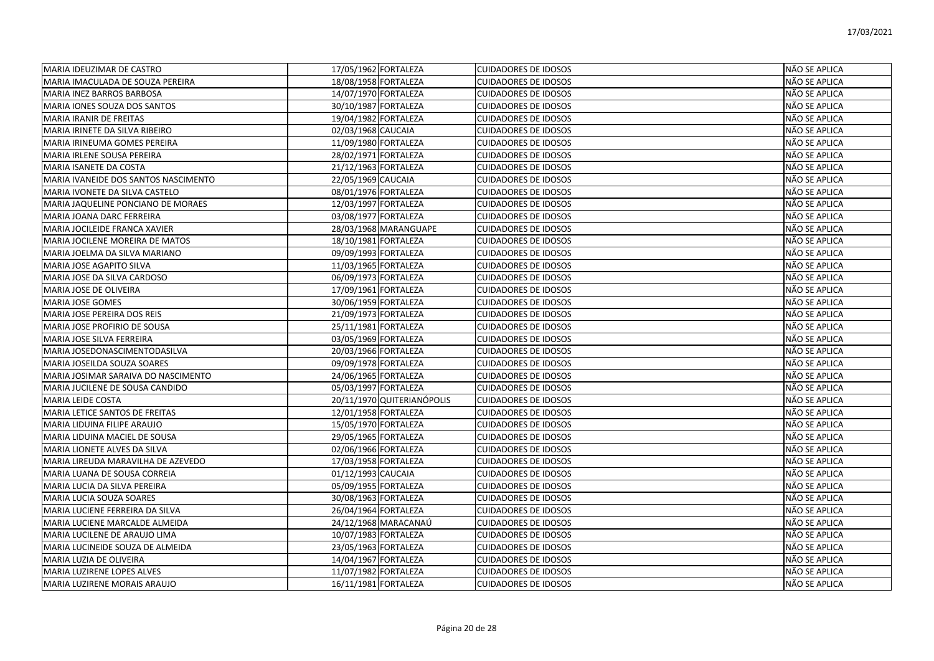| MARIA IDEUZIMAR DE CASTRO            | 17/05/1962 FORTALEZA       | <b>CUIDADORES DE IDOSOS</b> | <b>NÃO SE APLICA</b> |
|--------------------------------------|----------------------------|-----------------------------|----------------------|
| IMARIA IMACULADA DE SOUZA PEREIRA    | 18/08/1958 FORTALEZA       | <b>CUIDADORES DE IDOSOS</b> | NÃO SE APLICA        |
| MARIA INEZ BARROS BARBOSA            | 14/07/1970 FORTALEZA       | <b>CUIDADORES DE IDOSOS</b> | NÃO SE APLICA        |
| MARIA IONES SOUZA DOS SANTOS         | 30/10/1987 FORTALEZA       | <b>CUIDADORES DE IDOSOS</b> | <b>NÃO SE APLICA</b> |
| <b>MARIA IRANIR DE FREITAS</b>       | 19/04/1982 FORTALEZA       | <b>CUIDADORES DE IDOSOS</b> | NÃO SE APLICA        |
| MARIA IRINETE DA SILVA RIBEIRO       | 02/03/1968 CAUCAIA         | <b>CUIDADORES DE IDOSOS</b> | NÃO SE APLICA        |
| İMARIA IRINEUMA GOMES PEREIRA        | 11/09/1980 FORTALEZA       | <b>CUIDADORES DE IDOSOS</b> | NÃO SE APLICA        |
| MARIA IRLENE SOUSA PEREIRA           | 28/02/1971 FORTALEZA       | <b>CUIDADORES DE IDOSOS</b> | NÃO SE APLICA        |
| <b>MARIA ISANETE DA COSTA</b>        | 21/12/1963 FORTALEZA       | <b>CUIDADORES DE IDOSOS</b> | NÃO SE APLICA        |
| MARIA IVANEIDE DOS SANTOS NASCIMENTO | 22/05/1969 CAUCAIA         | <b>CUIDADORES DE IDOSOS</b> | NÃO SE APLICA        |
| MARIA IVONETE DA SILVA CASTELO       | 08/01/1976 FORTALEZA       | <b>CUIDADORES DE IDOSOS</b> | NÃO SE APLICA        |
| MARIA JAQUELINE PONCIANO DE MORAES   | 12/03/1997 FORTALEZA       | <b>CUIDADORES DE IDOSOS</b> | NÃO SE APLICA        |
| MARIA JOANA DARC FERREIRA            | 03/08/1977 FORTALEZA       | <b>CUIDADORES DE IDOSOS</b> | NÃO SE APLICA        |
| MARIA JOCILEIDE FRANCA XAVIER        | 28/03/1968 MARANGUAPE      | <b>CUIDADORES DE IDOSOS</b> | NÃO SE APLICA        |
| MARIA JOCILENE MOREIRA DE MATOS      | 18/10/1981 FORTALEZA       | <b>CUIDADORES DE IDOSOS</b> | NÃO SE APLICA        |
| MARIA JOELMA DA SILVA MARIANO        | 09/09/1993 FORTALEZA       | <b>CUIDADORES DE IDOSOS</b> | NÃO SE APLICA        |
| <b>MARIA JOSE AGAPITO SILVA</b>      | 11/03/1965 FORTALEZA       | <b>CUIDADORES DE IDOSOS</b> | NÃO SE APLICA        |
| MARIA JOSE DA SILVA CARDOSO          | 06/09/1973 FORTALEZA       | <b>CUIDADORES DE IDOSOS</b> | NÃO SE APLICA        |
| MARIA JOSE DE OLIVEIRA               | 17/09/1961 FORTALEZA       | <b>CUIDADORES DE IDOSOS</b> | NÃO SE APLICA        |
| IMARIA JOSE GOMES                    | 30/06/1959 FORTALEZA       | <b>CUIDADORES DE IDOSOS</b> | NÃO SE APLICA        |
| MARIA JOSE PEREIRA DOS REIS          | 21/09/1973 FORTALEZA       | <b>CUIDADORES DE IDOSOS</b> | NÃO SE APLICA        |
| MARIA JOSE PROFIRIO DE SOUSA         | 25/11/1981 FORTALEZA       | <b>CUIDADORES DE IDOSOS</b> | NÃO SE APLICA        |
| MARIA JOSE SILVA FERREIRA            | 03/05/1969 FORTALEZA       | <b>CUIDADORES DE IDOSOS</b> | NÃO SE APLICA        |
| MARIA JOSEDONASCIMENTODASILVA        | 20/03/1966 FORTALEZA       | <b>CUIDADORES DE IDOSOS</b> | NÃO SE APLICA        |
| MARIA JOSEILDA SOUZA SOARES          | 09/09/1978 FORTALEZA       | <b>CUIDADORES DE IDOSOS</b> | NÃO SE APLICA        |
| MARIA JOSIMAR SARAIVA DO NASCIMENTO  | 24/06/1965 FORTALEZA       | <b>CUIDADORES DE IDOSOS</b> | NÃO SE APLICA        |
| MARIA JUCILENE DE SOUSA CANDIDO      | 05/03/1997 FORTALEZA       | <b>CUIDADORES DE IDOSOS</b> | NÃO SE APLICA        |
| <b>MARIA LEIDE COSTA</b>             | 20/11/1970 QUITERIANÓPOLIS | <b>CUIDADORES DE IDOSOS</b> | NÃO SE APLICA        |
| MARIA LETICE SANTOS DE FREITAS       | 12/01/1958 FORTALEZA       | <b>CUIDADORES DE IDOSOS</b> | NÃO SE APLICA        |
| MARIA LIDUINA FILIPE ARAUJO          | 15/05/1970 FORTALEZA       | <b>CUIDADORES DE IDOSOS</b> | NÃO SE APLICA        |
| MARIA LIDUINA MACIEL DE SOUSA        | 29/05/1965 FORTALEZA       | <b>CUIDADORES DE IDOSOS</b> | NÃO SE APLICA        |
| MARIA LIONETE ALVES DA SILVA         | 02/06/1966 FORTALEZA       | <b>CUIDADORES DE IDOSOS</b> | NÃO SE APLICA        |
| MARIA LIREUDA MARAVILHA DE AZEVEDO   | 17/03/1958 FORTALEZA       | <b>CUIDADORES DE IDOSOS</b> | NÃO SE APLICA        |
| MARIA LUANA DE SOUSA CORREIA         | 01/12/1993 CAUCAIA         | <b>CUIDADORES DE IDOSOS</b> | <b>NÃO SE APLICA</b> |
| MARIA LUCIA DA SILVA PEREIRA         | 05/09/1955 FORTALEZA       | <b>CUIDADORES DE IDOSOS</b> | NÃO SE APLICA        |
| IMARIA LUCIA SOUZA SOARES            | 30/08/1963 FORTALEZA       | <b>CUIDADORES DE IDOSOS</b> | <b>NÃO SE APLICA</b> |
| MARIA LUCIENE FERREIRA DA SILVA      | 26/04/1964 FORTALEZA       | <b>CUIDADORES DE IDOSOS</b> | NÃO SE APLICA        |
| MARIA LUCIENE MARCALDE ALMEIDA       | 24/12/1968 MARACANAÚ       | <b>CUIDADORES DE IDOSOS</b> | NÃO SE APLICA        |
| MARIA LUCILENE DE ARAUJO LIMA        | 10/07/1983 FORTALEZA       | <b>CUIDADORES DE IDOSOS</b> | NÃO SE APLICA        |
| MARIA LUCINEIDE SOUZA DE ALMEIDA     | 23/05/1963 FORTALEZA       | <b>CUIDADORES DE IDOSOS</b> | NÃO SE APLICA        |
| MARIA LUZIA DE OLIVEIRA              | 14/04/1967 FORTALEZA       | <b>CUIDADORES DE IDOSOS</b> | NÃO SE APLICA        |
| MARIA LUZIRENE LOPES ALVES           | 11/07/1982 FORTALEZA       | <b>CUIDADORES DE IDOSOS</b> | NÃO SE APLICA        |
| MARIA LUZIRENE MORAIS ARAUJO         | 16/11/1981 FORTALEZA       | <b>CUIDADORES DE IDOSOS</b> | NÃO SE APLICA        |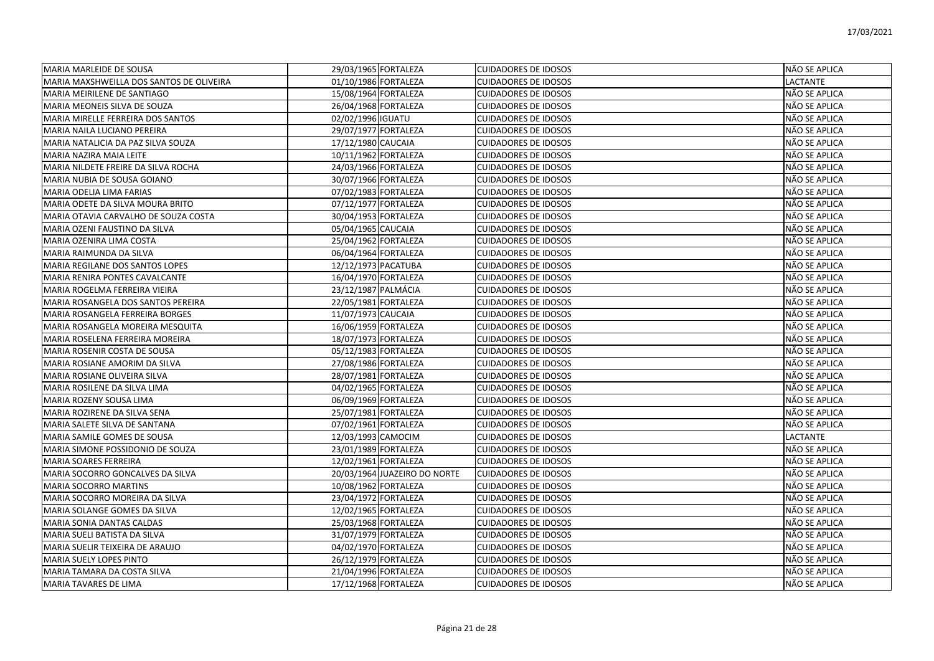| MARIA MARLEIDE DE SOUSA                  | 29/03/1965 FORTALEZA |                              | <b>CUIDADORES DE IDOSOS</b> | NÃO SE APLICA |
|------------------------------------------|----------------------|------------------------------|-----------------------------|---------------|
| MARIA MAXSHWEILLA DOS SANTOS DE OLIVEIRA | 01/10/1986 FORTALEZA |                              | <b>CUIDADORES DE IDOSOS</b> | LACTANTE      |
| MARIA MEIRILENE DE SANTIAGO              | 15/08/1964 FORTALEZA |                              | <b>CUIDADORES DE IDOSOS</b> | NÃO SE APLICA |
| MARIA MEONEIS SILVA DE SOUZA             | 26/04/1968 FORTALEZA |                              | <b>CUIDADORES DE IDOSOS</b> | NÃO SE APLICA |
| MARIA MIRELLE FERREIRA DOS SANTOS        | 02/02/1996 IGUATU    |                              | <b>CUIDADORES DE IDOSOS</b> | NÃO SE APLICA |
| MARIA NAILA LUCIANO PEREIRA              | 29/07/1977 FORTALEZA |                              | <b>CUIDADORES DE IDOSOS</b> | NÃO SE APLICA |
| MARIA NATALICIA DA PAZ SILVA SOUZA       | 17/12/1980 CAUCAIA   |                              | <b>CUIDADORES DE IDOSOS</b> | NÃO SE APLICA |
| MARIA NAZIRA MAIA LEITE                  | 10/11/1962 FORTALEZA |                              | <b>CUIDADORES DE IDOSOS</b> | NÃO SE APLICA |
| MARIA NILDETE FREIRE DA SILVA ROCHA      | 24/03/1966 FORTALEZA |                              | <b>CUIDADORES DE IDOSOS</b> | NÃO SE APLICA |
| MARIA NUBIA DE SOUSA GOIANO              | 30/07/1966 FORTALEZA |                              | <b>CUIDADORES DE IDOSOS</b> | NÃO SE APLICA |
| <b>MARIA ODELIA LIMA FARIAS</b>          | 07/02/1983 FORTALEZA |                              | <b>CUIDADORES DE IDOSOS</b> | NÃO SE APLICA |
| MARIA ODETE DA SILVA MOURA BRITO         | 07/12/1977 FORTALEZA |                              | <b>CUIDADORES DE IDOSOS</b> | NÃO SE APLICA |
| MARIA OTAVIA CARVALHO DE SOUZA COSTA     | 30/04/1953 FORTALEZA |                              | <b>CUIDADORES DE IDOSOS</b> | NÃO SE APLICA |
| MARIA OZENI FAUSTINO DA SILVA            | 05/04/1965 CAUCAIA   |                              | <b>CUIDADORES DE IDOSOS</b> | NÃO SE APLICA |
| MARIA OZENIRA LIMA COSTA                 | 25/04/1962 FORTALEZA |                              | <b>CUIDADORES DE IDOSOS</b> | NÃO SE APLICA |
| MARIA RAIMUNDA DA SILVA                  | 06/04/1964 FORTALEZA |                              | <b>CUIDADORES DE IDOSOS</b> | NÃO SE APLICA |
| MARIA REGILANE DOS SANTOS LOPES          | 12/12/1973 PACATUBA  |                              | <b>CUIDADORES DE IDOSOS</b> | NÃO SE APLICA |
| MARIA RENIRA PONTES CAVALCANTE           | 16/04/1970 FORTALEZA |                              | <b>CUIDADORES DE IDOSOS</b> | NÃO SE APLICA |
| MARIA ROGELMA FERREIRA VIEIRA            | 23/12/1987 PALMÁCIA  |                              | <b>CUIDADORES DE IDOSOS</b> | NÃO SE APLICA |
| MARIA ROSANGELA DOS SANTOS PEREIRA       | 22/05/1981 FORTALEZA |                              | <b>CUIDADORES DE IDOSOS</b> | NÃO SE APLICA |
| MARIA ROSANGELA FERREIRA BORGES          | 11/07/1973 CAUCAIA   |                              | <b>CUIDADORES DE IDOSOS</b> | NÃO SE APLICA |
| MARIA ROSANGELA MOREIRA MESQUITA         | 16/06/1959 FORTALEZA |                              | <b>CUIDADORES DE IDOSOS</b> | NÃO SE APLICA |
| MARIA ROSELENA FERREIRA MOREIRA          | 18/07/1973 FORTALEZA |                              | <b>CUIDADORES DE IDOSOS</b> | NÃO SE APLICA |
| MARIA ROSENIR COSTA DE SOUSA             | 05/12/1983 FORTALEZA |                              | <b>CUIDADORES DE IDOSOS</b> | NÃO SE APLICA |
| MARIA ROSIANE AMORIM DA SILVA            | 27/08/1986 FORTALEZA |                              | <b>CUIDADORES DE IDOSOS</b> | NÃO SE APLICA |
| MARIA ROSIANE OLIVEIRA SILVA             | 28/07/1981 FORTALEZA |                              | <b>CUIDADORES DE IDOSOS</b> | NÃO SE APLICA |
| MARIA ROSILENE DA SILVA LIMA             | 04/02/1965 FORTALEZA |                              | <b>CUIDADORES DE IDOSOS</b> | NÃO SE APLICA |
| MARIA ROZENY SOUSA LIMA                  | 06/09/1969 FORTALEZA |                              | <b>CUIDADORES DE IDOSOS</b> | NÃO SE APLICA |
| MARIA ROZIRENE DA SILVA SENA             | 25/07/1981 FORTALEZA |                              | <b>CUIDADORES DE IDOSOS</b> | NÃO SE APLICA |
| MARIA SALETE SILVA DE SANTANA            | 07/02/1961 FORTALEZA |                              | <b>CUIDADORES DE IDOSOS</b> | NÃO SE APLICA |
| MARIA SAMILE GOMES DE SOUSA              | 12/03/1993 CAMOCIM   |                              | <b>CUIDADORES DE IDOSOS</b> | LACTANTE      |
| MARIA SIMONE POSSIDONIO DE SOUZA         | 23/01/1989 FORTALEZA |                              | <b>CUIDADORES DE IDOSOS</b> | NÃO SE APLICA |
| <b>MARIA SOARES FERREIRA</b>             | 12/02/1961 FORTALEZA |                              | <b>CUIDADORES DE IDOSOS</b> | NÃO SE APLICA |
| MARIA SOCORRO GONCALVES DA SILVA         |                      | 20/03/1964 JUAZEIRO DO NORTE | <b>CUIDADORES DE IDOSOS</b> | NÃO SE APLICA |
| <b>MARIA SOCORRO MARTINS</b>             | 10/08/1962 FORTALEZA |                              | <b>CUIDADORES DE IDOSOS</b> | NÃO SE APLICA |
| MARIA SOCORRO MOREIRA DA SILVA           | 23/04/1972 FORTALEZA |                              | <b>CUIDADORES DE IDOSOS</b> | NÃO SE APLICA |
| MARIA SOLANGE GOMES DA SILVA             | 12/02/1965 FORTALEZA |                              | <b>CUIDADORES DE IDOSOS</b> | NÃO SE APLICA |
| MARIA SONIA DANTAS CALDAS                | 25/03/1968 FORTALEZA |                              | <b>CUIDADORES DE IDOSOS</b> | NÃO SE APLICA |
| MARIA SUELI BATISTA DA SILVA             | 31/07/1979 FORTALEZA |                              | <b>CUIDADORES DE IDOSOS</b> | NÃO SE APLICA |
| MARIA SUELIR TEIXEIRA DE ARAUJO          | 04/02/1970 FORTALEZA |                              | <b>CUIDADORES DE IDOSOS</b> | NÃO SE APLICA |
| MARIA SUELY LOPES PINTO                  | 26/12/1979 FORTALEZA |                              | <b>CUIDADORES DE IDOSOS</b> | NÃO SE APLICA |
| MARIA TAMARA DA COSTA SILVA              | 21/04/1996 FORTALEZA |                              | <b>CUIDADORES DE IDOSOS</b> | NÃO SE APLICA |
| <b>MARIA TAVARES DE LIMA</b>             | 17/12/1968 FORTALEZA |                              | <b>CUIDADORES DE IDOSOS</b> | NÃO SE APLICA |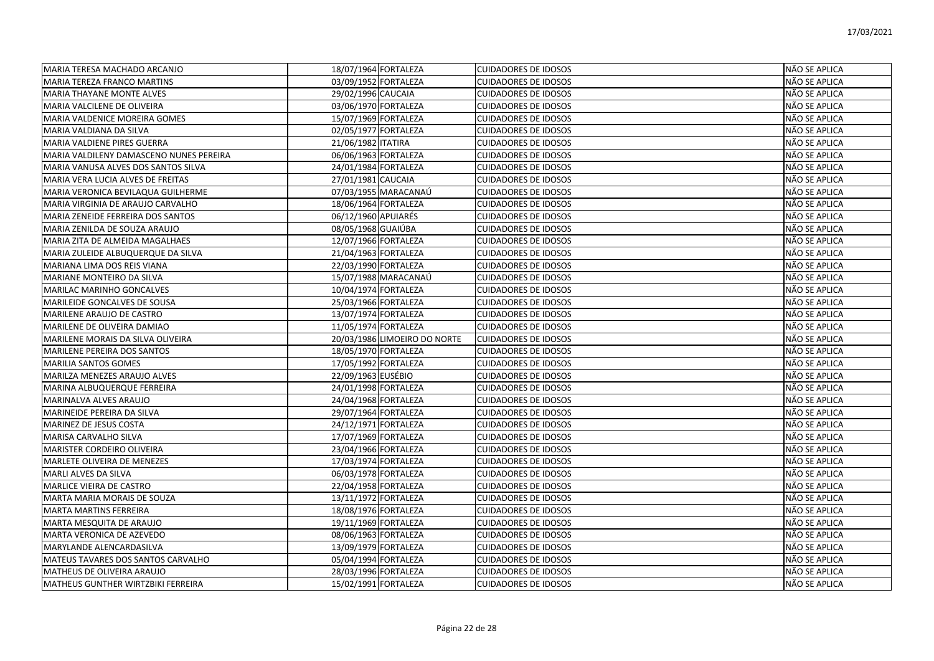| MARIA TERESA MACHADO ARCANJO            | 18/07/1964 FORTALEZA         | <b>CUIDADORES DE IDOSOS</b> | NÃO SE APLICA |
|-----------------------------------------|------------------------------|-----------------------------|---------------|
| <b>MARIA TEREZA FRANCO MARTINS</b>      | 03/09/1952 FORTALEZA         | <b>CUIDADORES DE IDOSOS</b> | NÃO SE APLICA |
| <b>MARIA THAYANE MONTE ALVES</b>        | 29/02/1996 CAUCAIA           | <b>CUIDADORES DE IDOSOS</b> | NÃO SE APLICA |
| MARIA VALCILENE DE OLIVEIRA             | 03/06/1970 FORTALEZA         | <b>CUIDADORES DE IDOSOS</b> | NÃO SE APLICA |
| MARIA VALDENICE MOREIRA GOMES           | 15/07/1969 FORTALEZA         | <b>CUIDADORES DE IDOSOS</b> | NÃO SE APLICA |
| MARIA VALDIANA DA SILVA                 | 02/05/1977 FORTALEZA         | <b>CUIDADORES DE IDOSOS</b> | NÃO SE APLICA |
| MARIA VALDIENE PIRES GUERRA             | 21/06/1982 ITATIRA           | <b>CUIDADORES DE IDOSOS</b> | NÃO SE APLICA |
| MARIA VALDILENY DAMASCENO NUNES PEREIRA | 06/06/1963 FORTALEZA         | <b>CUIDADORES DE IDOSOS</b> | NÃO SE APLICA |
| MARIA VANUSA ALVES DOS SANTOS SILVA     | 24/01/1984 FORTALEZA         | <b>CUIDADORES DE IDOSOS</b> | NÃO SE APLICA |
| MARIA VERA LUCIA ALVES DE FREITAS       | 27/01/1981 CAUCAIA           | <b>CUIDADORES DE IDOSOS</b> | NÃO SE APLICA |
| MARIA VERONICA BEVILAQUA GUILHERME      | 07/03/1955 MARACANAÚ         | <b>CUIDADORES DE IDOSOS</b> | NÃO SE APLICA |
| MARIA VIRGINIA DE ARAUJO CARVALHO       | 18/06/1964 FORTALEZA         | <b>CUIDADORES DE IDOSOS</b> | NÃO SE APLICA |
| MARIA ZENEIDE FERREIRA DOS SANTOS       | 06/12/1960 APUIARÉS          | <b>CUIDADORES DE IDOSOS</b> | NÃO SE APLICA |
| MARIA ZENILDA DE SOUZA ARAUJO           | 08/05/1968 GUAIÚBA           | <b>CUIDADORES DE IDOSOS</b> | NÃO SE APLICA |
| MARIA ZITA DE ALMEIDA MAGALHAES         | 12/07/1966 FORTALEZA         | <b>CUIDADORES DE IDOSOS</b> | NÃO SE APLICA |
| MARIA ZULEIDE ALBUQUERQUE DA SILVA      | 21/04/1963 FORTALEZA         | <b>CUIDADORES DE IDOSOS</b> | NÃO SE APLICA |
| MARIANA LIMA DOS REIS VIANA             | 22/03/1990 FORTALEZA         | <b>CUIDADORES DE IDOSOS</b> | NÃO SE APLICA |
| <b>MARIANE MONTEIRO DA SILVA</b>        | 15/07/1988 MARACANAÚ         | <b>CUIDADORES DE IDOSOS</b> | NÃO SE APLICA |
| <b>MARILAC MARINHO GONCALVES</b>        | 10/04/1974 FORTALEZA         | <b>CUIDADORES DE IDOSOS</b> | NÃO SE APLICA |
| MARILEIDE GONCALVES DE SOUSA            | 25/03/1966 FORTALEZA         | <b>CUIDADORES DE IDOSOS</b> | NÃO SE APLICA |
| MARILENE ARAUJO DE CASTRO               | 13/07/1974 FORTALEZA         | <b>CUIDADORES DE IDOSOS</b> | NÃO SE APLICA |
| MARILENE DE OLIVEIRA DAMIAO             | 11/05/1974 FORTALEZA         | <b>CUIDADORES DE IDOSOS</b> | NÃO SE APLICA |
| MARILENE MORAIS DA SILVA OLIVEIRA       | 20/03/1986 LIMOEIRO DO NORTE | <b>CUIDADORES DE IDOSOS</b> | NÃO SE APLICA |
| <b>MARILENE PEREIRA DOS SANTOS</b>      | 18/05/1970 FORTALEZA         | <b>CUIDADORES DE IDOSOS</b> | NÃO SE APLICA |
| <b>MARILIA SANTOS GOMES</b>             | 17/05/1992 FORTALEZA         | <b>CUIDADORES DE IDOSOS</b> | NÃO SE APLICA |
| MARILZA MENEZES ARAUJO ALVES            | 22/09/1963 EUSÉBIO           | <b>CUIDADORES DE IDOSOS</b> | NÃO SE APLICA |
| MARINA ALBUQUERQUE FERREIRA             | 24/01/1998 FORTALEZA         | <b>CUIDADORES DE IDOSOS</b> | NÃO SE APLICA |
| MARINALVA ALVES ARAUJO                  | 24/04/1968 FORTALEZA         | <b>CUIDADORES DE IDOSOS</b> | NÃO SE APLICA |
| MARINEIDE PEREIRA DA SILVA              | 29/07/1964 FORTALEZA         | <b>CUIDADORES DE IDOSOS</b> | NÃO SE APLICA |
| MARINEZ DE JESUS COSTA                  | 24/12/1971 FORTALEZA         | <b>CUIDADORES DE IDOSOS</b> | NÃO SE APLICA |
| MARISA CARVALHO SILVA                   | 17/07/1969 FORTALEZA         | <b>CUIDADORES DE IDOSOS</b> | NÃO SE APLICA |
| <b>MARISTER CORDEIRO OLIVEIRA</b>       | 23/04/1966 FORTALEZA         | <b>CUIDADORES DE IDOSOS</b> | NÃO SE APLICA |
| MARLETE OLIVEIRA DE MENEZES             | 17/03/1974 FORTALEZA         | <b>CUIDADORES DE IDOSOS</b> | NÃO SE APLICA |
| MARLI ALVES DA SILVA                    | 06/03/1978 FORTALEZA         | <b>CUIDADORES DE IDOSOS</b> | NÃO SE APLICA |
| <b>MARLICE VIEIRA DE CASTRO</b>         | 22/04/1958 FORTALEZA         | <b>CUIDADORES DE IDOSOS</b> | NÃO SE APLICA |
| MARTA MARIA MORAIS DE SOUZA             | 13/11/1972 FORTALEZA         | <b>CUIDADORES DE IDOSOS</b> | NÃO SE APLICA |
| <b>MARTA MARTINS FERREIRA</b>           | 18/08/1976 FORTALEZA         | <b>CUIDADORES DE IDOSOS</b> | NÃO SE APLICA |
| MARTA MESQUITA DE ARAUJO                | 19/11/1969 FORTALEZA         | <b>CUIDADORES DE IDOSOS</b> | NÃO SE APLICA |
| MARTA VERONICA DE AZEVEDO               | 08/06/1963 FORTALEZA         | <b>CUIDADORES DE IDOSOS</b> | NÃO SE APLICA |
| MARYLANDE ALENCARDASILVA                | 13/09/1979 FORTALEZA         | <b>CUIDADORES DE IDOSOS</b> | NÃO SE APLICA |
| MATEUS TAVARES DOS SANTOS CARVALHO      | 05/04/1994 FORTALEZA         | <b>CUIDADORES DE IDOSOS</b> | NÃO SE APLICA |
| MATHEUS DE OLIVEIRA ARAUJO              | 28/03/1996 FORTALEZA         | <b>CUIDADORES DE IDOSOS</b> | NÃO SE APLICA |
| MATHEUS GUNTHER WIRTZBIKI FERREIRA      | 15/02/1991 FORTALEZA         | <b>CUIDADORES DE IDOSOS</b> | NÃO SE APLICA |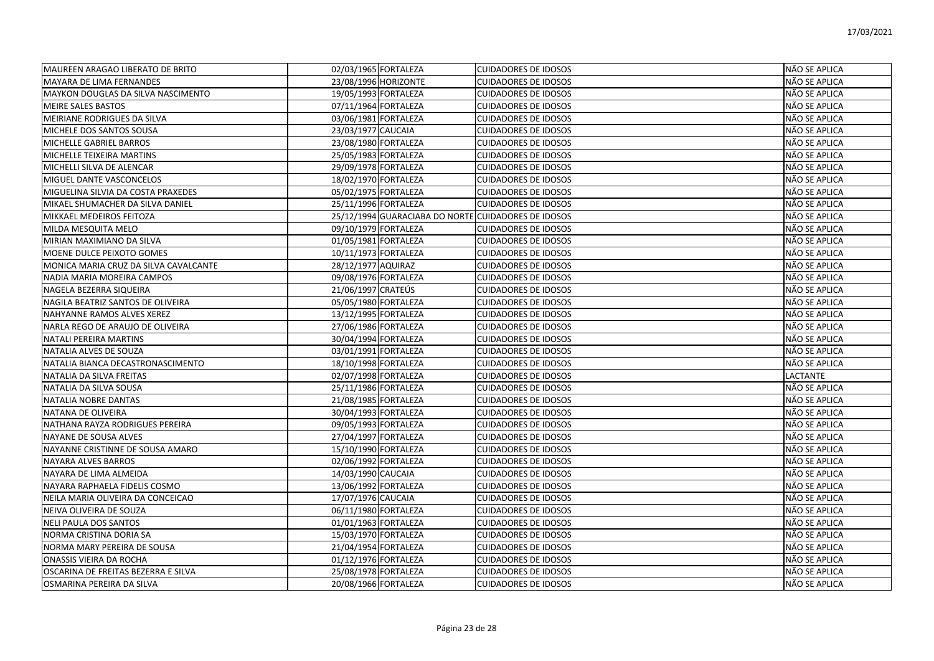| MAUREEN ARAGAO LIBERATO DE BRITO      | 02/03/1965 FORTALEZA                                | <b>CUIDADORES DE IDOSOS</b> | NÃO SE APLICA   |
|---------------------------------------|-----------------------------------------------------|-----------------------------|-----------------|
| MAYARA DE LIMA FERNANDES              | 23/08/1996 HORIZONTE                                | <b>CUIDADORES DE IDOSOS</b> | NÃO SE APLICA   |
| MAYKON DOUGLAS DA SILVA NASCIMENTO    | 19/05/1993 FORTALEZA                                | <b>CUIDADORES DE IDOSOS</b> | NÃO SE APLICA   |
| <b>MEIRE SALES BASTOS</b>             | 07/11/1964 FORTALEZA                                | <b>CUIDADORES DE IDOSOS</b> | NÃO SE APLICA   |
| MEIRIANE RODRIGUES DA SILVA           | 03/06/1981 FORTALEZA                                | <b>CUIDADORES DE IDOSOS</b> | NÃO SE APLICA   |
| MICHELE DOS SANTOS SOUSA              | 23/03/1977 CAUCAIA                                  | <b>CUIDADORES DE IDOSOS</b> | NÃO SE APLICA   |
| MICHELLE GABRIEL BARROS               | 23/08/1980 FORTALEZA                                | <b>CUIDADORES DE IDOSOS</b> | NÃO SE APLICA   |
| MICHELLE TEIXEIRA MARTINS             | 25/05/1983 FORTALEZA                                | <b>CUIDADORES DE IDOSOS</b> | NÃO SE APLICA   |
| MICHELLI SILVA DE ALENCAR             | 29/09/1978 FORTALEZA                                | <b>CUIDADORES DE IDOSOS</b> | NÃO SE APLICA   |
| MIGUEL DANTE VASCONCELOS              | 18/02/1970 FORTALEZA                                | <b>CUIDADORES DE IDOSOS</b> | NÃO SE APLICA   |
| MIGUELINA SILVIA DA COSTA PRAXEDES    | 05/02/1975 FORTALEZA                                | <b>CUIDADORES DE IDOSOS</b> | NÃO SE APLICA   |
| MIKAEL SHUMACHER DA SILVA DANIEL      | 25/11/1996 FORTALEZA                                | <b>CUIDADORES DE IDOSOS</b> | NÃO SE APLICA   |
| MIKKAEL MEDEIROS FEITOZA              | 25/12/1994 GUARACIABA DO NORTE CUIDADORES DE IDOSOS |                             | NÃO SE APLICA   |
| MILDA MESQUITA MELO                   | 09/10/1979 FORTALEZA                                | <b>CUIDADORES DE IDOSOS</b> | NÃO SE APLICA   |
| MIRIAN MAXIMIANO DA SILVA             | 01/05/1981 FORTALEZA                                | <b>CUIDADORES DE IDOSOS</b> | NÃO SE APLICA   |
| MOENE DULCE PEIXOTO GOMES             | 10/11/1973 FORTALEZA                                | <b>CUIDADORES DE IDOSOS</b> | NÃO SE APLICA   |
| MONICA MARIA CRUZ DA SILVA CAVALCANTE | 28/12/1977 AQUIRAZ                                  | <b>CUIDADORES DE IDOSOS</b> | NÃO SE APLICA   |
| NADIA MARIA MOREIRA CAMPOS            | 09/08/1976 FORTALEZA                                | <b>CUIDADORES DE IDOSOS</b> | NÃO SE APLICA   |
| NAGELA BEZERRA SIQUEIRA               | 21/06/1997 CRATEÚS                                  | <b>CUIDADORES DE IDOSOS</b> | NÃO SE APLICA   |
| NAGILA BEATRIZ SANTOS DE OLIVEIRA     | 05/05/1980 FORTALEZA                                | <b>CUIDADORES DE IDOSOS</b> | NÃO SE APLICA   |
| NAHYANNE RAMOS ALVES XEREZ            | 13/12/1995 FORTALEZA                                | <b>CUIDADORES DE IDOSOS</b> | NÃO SE APLICA   |
| NARLA REGO DE ARAUJO DE OLIVEIRA      | 27/06/1986 FORTALEZA                                | <b>CUIDADORES DE IDOSOS</b> | NÃO SE APLICA   |
| NATALI PEREIRA MARTINS                | 30/04/1994 FORTALEZA                                | <b>CUIDADORES DE IDOSOS</b> | NÃO SE APLICA   |
| NATALIA ALVES DE SOUZA                | 03/01/1991 FORTALEZA                                | <b>CUIDADORES DE IDOSOS</b> | NÃO SE APLICA   |
| NATALIA BIANCA DECASTRONASCIMENTO     | 18/10/1998 FORTALEZA                                | <b>CUIDADORES DE IDOSOS</b> | NÃO SE APLICA   |
| NATALIA DA SILVA FREITAS              | 02/07/1998 FORTALEZA                                | <b>CUIDADORES DE IDOSOS</b> | <b>LACTANTE</b> |
| NATALIA DA SILVA SOUSA                | 25/11/1986 FORTALEZA                                | <b>CUIDADORES DE IDOSOS</b> | NÃO SE APLICA   |
| NATALIA NOBRE DANTAS                  | 21/08/1985 FORTALEZA                                | <b>CUIDADORES DE IDOSOS</b> | NÃO SE APLICA   |
| NATANA DE OLIVEIRA                    | 30/04/1993 FORTALEZA                                | <b>CUIDADORES DE IDOSOS</b> | NÃO SE APLICA   |
| NATHANA RAYZA RODRIGUES PEREIRA       | 09/05/1993 FORTALEZA                                | <b>CUIDADORES DE IDOSOS</b> | NÃO SE APLICA   |
| <b>NAYANE DE SOUSA ALVES</b>          | 27/04/1997 FORTALEZA                                | <b>CUIDADORES DE IDOSOS</b> | NÃO SE APLICA   |
| NAYANNE CRISTINNE DE SOUSA AMARO      | 15/10/1990 FORTALEZA                                | <b>CUIDADORES DE IDOSOS</b> | NÃO SE APLICA   |
| NAYARA ALVES BARROS                   | 02/06/1992 FORTALEZA                                | <b>CUIDADORES DE IDOSOS</b> | NÃO SE APLICA   |
| NAYARA DE LIMA ALMEIDA                | 14/03/1990 CAUCAIA                                  | <b>CUIDADORES DE IDOSOS</b> | NÃO SE APLICA   |
| NAYARA RAPHAELA FIDELIS COSMO         | 13/06/1992 FORTALEZA                                | <b>CUIDADORES DE IDOSOS</b> | NÃO SE APLICA   |
| NEILA MARIA OLIVEIRA DA CONCEICAO     | 17/07/1976 CAUCAIA                                  | <b>CUIDADORES DE IDOSOS</b> | NÃO SE APLICA   |
| NEIVA OLIVEIRA DE SOUZA               | 06/11/1980 FORTALEZA                                | <b>CUIDADORES DE IDOSOS</b> | NÃO SE APLICA   |
| <b>NELI PAULA DOS SANTOS</b>          | 01/01/1963 FORTALEZA                                | <b>CUIDADORES DE IDOSOS</b> | NÃO SE APLICA   |
| NORMA CRISTINA DORIA SA               | 15/03/1970 FORTALEZA                                | <b>CUIDADORES DE IDOSOS</b> | NÃO SE APLICA   |
| NORMA MARY PEREIRA DE SOUSA           | 21/04/1954 FORTALEZA                                | <b>CUIDADORES DE IDOSOS</b> | NÃO SE APLICA   |
| ONASSIS VIEIRA DA ROCHA               | 01/12/1976 FORTALEZA                                | <b>CUIDADORES DE IDOSOS</b> | NÃO SE APLICA   |
| OSCARINA DE FREITAS BEZERRA E SILVA   | 25/08/1978 FORTALEZA                                | <b>CUIDADORES DE IDOSOS</b> | NÃO SE APLICA   |
| OSMARINA PEREIRA DA SILVA             | 20/08/1966 FORTALEZA                                | <b>CUIDADORES DE IDOSOS</b> | NÃO SE APLICA   |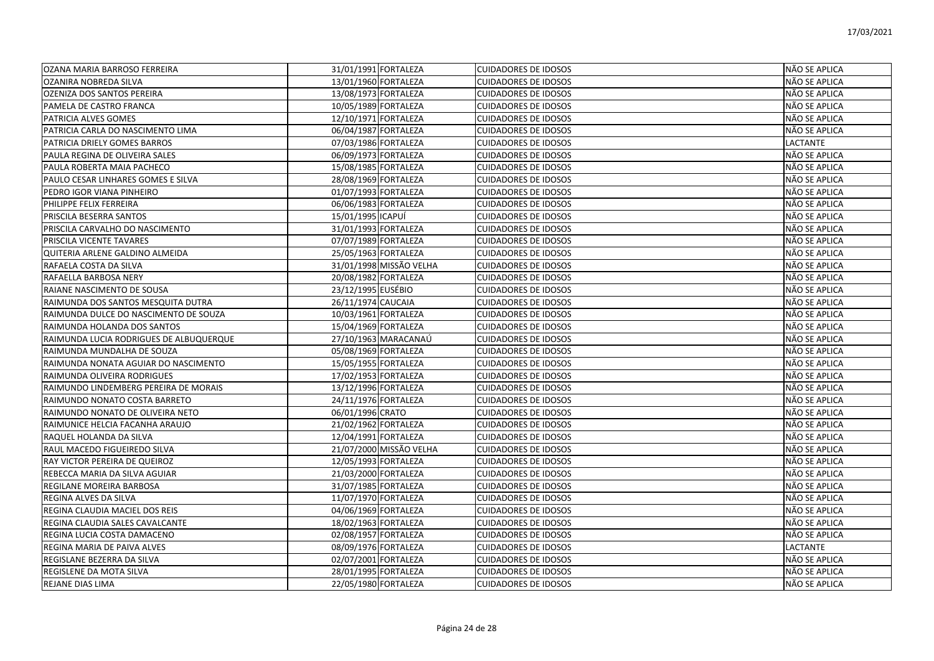| OZANA MARIA BARROSO FERREIRA            | 31/01/1991 FORTALEZA    | <b>CUIDADORES DE IDOSOS</b> | NÃO SE APLICA        |
|-----------------------------------------|-------------------------|-----------------------------|----------------------|
| OZANIRA NOBREDA SILVA                   | 13/01/1960 FORTALEZA    | <b>CUIDADORES DE IDOSOS</b> | NÃO SE APLICA        |
| OZENIZA DOS SANTOS PEREIRA              | 13/08/1973 FORTALEZA    | <b>CUIDADORES DE IDOSOS</b> | NÃO SE APLICA        |
| PAMELA DE CASTRO FRANCA                 | 10/05/1989 FORTALEZA    | <b>CUIDADORES DE IDOSOS</b> | NÃO SE APLICA        |
| PATRICIA ALVES GOMES                    | 12/10/1971 FORTALEZA    | <b>CUIDADORES DE IDOSOS</b> | NÃO SE APLICA        |
| PATRICIA CARLA DO NASCIMENTO LIMA       | 06/04/1987 FORTALEZA    | <b>CUIDADORES DE IDOSOS</b> | NÃO SE APLICA        |
| PATRICIA DRIELY GOMES BARROS            | 07/03/1986 FORTALEZA    | <b>CUIDADORES DE IDOSOS</b> | <b>LACTANTE</b>      |
| PAULA REGINA DE OLIVEIRA SALES          | 06/09/1973 FORTALEZA    | <b>CUIDADORES DE IDOSOS</b> | NÃO SE APLICA        |
| PAULA ROBERTA MAIA PACHECO              | 15/08/1985 FORTALEZA    | <b>CUIDADORES DE IDOSOS</b> | NÃO SE APLICA        |
| PAULO CESAR LINHARES GOMES E SILVA      | 28/08/1969 FORTALEZA    | <b>CUIDADORES DE IDOSOS</b> | NÃO SE APLICA        |
| PEDRO IGOR VIANA PINHEIRO               | 01/07/1993 FORTALEZA    | <b>CUIDADORES DE IDOSOS</b> | NÃO SE APLICA        |
| PHILIPPE FELIX FERREIRA                 | 06/06/1983 FORTALEZA    | <b>CUIDADORES DE IDOSOS</b> | NÃO SE APLICA        |
| <b>PRISCILA BESERRA SANTOS</b>          | 15/01/1995 ICAPUÍ       | <b>CUIDADORES DE IDOSOS</b> | NÃO SE APLICA        |
| PRISCILA CARVALHO DO NASCIMENTO         | 31/01/1993 FORTALEZA    | <b>CUIDADORES DE IDOSOS</b> | NÃO SE APLICA        |
| PRISCILA VICENTE TAVARES                | 07/07/1989 FORTALEZA    | <b>CUIDADORES DE IDOSOS</b> | NÃO SE APLICA        |
| QUITERIA ARLENE GALDINO ALMEIDA         | 25/05/1963 FORTALEZA    | <b>CUIDADORES DE IDOSOS</b> | NÃO SE APLICA        |
| RAFAELA COSTA DA SILVA                  | 31/01/1998 MISSÃO VELHA | <b>CUIDADORES DE IDOSOS</b> | NÃO SE APLICA        |
| RAFAELLA BARBOSA NERY                   | 20/08/1982 FORTALEZA    | <b>CUIDADORES DE IDOSOS</b> | NÃO SE APLICA        |
| RAIANE NASCIMENTO DE SOUSA              | 23/12/1995 EUSÉBIO      | <b>CUIDADORES DE IDOSOS</b> | NÃO SE APLICA        |
| RAIMUNDA DOS SANTOS MESQUITA DUTRA      | 26/11/1974 CAUCAIA      | <b>CUIDADORES DE IDOSOS</b> | NÃO SE APLICA        |
| RAIMUNDA DULCE DO NASCIMENTO DE SOUZA   | 10/03/1961 FORTALEZA    | <b>CUIDADORES DE IDOSOS</b> | NÃO SE APLICA        |
| RAIMUNDA HOLANDA DOS SANTOS             | 15/04/1969 FORTALEZA    | <b>CUIDADORES DE IDOSOS</b> | NÃO SE APLICA        |
| RAIMUNDA LUCIA RODRIGUES DE ALBUQUERQUE | 27/10/1963 MARACANAÚ    | <b>CUIDADORES DE IDOSOS</b> | NÃO SE APLICA        |
| RAIMUNDA MUNDALHA DE SOUZA              | 05/08/1969 FORTALEZA    | <b>CUIDADORES DE IDOSOS</b> | NÃO SE APLICA        |
| RAIMUNDA NONATA AGUIAR DO NASCIMENTO    | 15/05/1955 FORTALEZA    | <b>CUIDADORES DE IDOSOS</b> | <b>NÃO SE APLICA</b> |
| RAIMUNDA OLIVEIRA RODRIGUES             | 17/02/1953 FORTALEZA    | <b>CUIDADORES DE IDOSOS</b> | NÃO SE APLICA        |
| RAIMUNDO LINDEMBERG PEREIRA DE MORAIS   | 13/12/1996 FORTALEZA    | <b>CUIDADORES DE IDOSOS</b> | NÃO SE APLICA        |
| RAIMUNDO NONATO COSTA BARRETO           | 24/11/1976 FORTALEZA    | <b>CUIDADORES DE IDOSOS</b> | NÃO SE APLICA        |
| RAIMUNDO NONATO DE OLIVEIRA NETO        | 06/01/1996 CRATO        | <b>CUIDADORES DE IDOSOS</b> | NÃO SE APLICA        |
| RAIMUNICE HELCIA FACANHA ARAUJO         | 21/02/1962 FORTALEZA    | <b>CUIDADORES DE IDOSOS</b> | NÃO SE APLICA        |
| RAQUEL HOLANDA DA SILVA                 | 12/04/1991 FORTALEZA    | <b>CUIDADORES DE IDOSOS</b> | NÃO SE APLICA        |
| RAUL MACEDO FIGUEIREDO SILVA            | 21/07/2000 MISSÃO VELHA | <b>CUIDADORES DE IDOSOS</b> | NÃO SE APLICA        |
| RAY VICTOR PEREIRA DE QUEIROZ           | 12/05/1993 FORTALEZA    | <b>CUIDADORES DE IDOSOS</b> | NÃO SE APLICA        |
| REBECCA MARIA DA SILVA AGUIAR           | 21/03/2000 FORTALEZA    | <b>CUIDADORES DE IDOSOS</b> | NÃO SE APLICA        |
| REGILANE MOREIRA BARBOSA                | 31/07/1985 FORTALEZA    | <b>CUIDADORES DE IDOSOS</b> | NÃO SE APLICA        |
| REGINA ALVES DA SILVA                   | 11/07/1970 FORTALEZA    | <b>CUIDADORES DE IDOSOS</b> | NÃO SE APLICA        |
| REGINA CLAUDIA MACIEL DOS REIS          | 04/06/1969 FORTALEZA    | <b>CUIDADORES DE IDOSOS</b> | NÃO SE APLICA        |
| REGINA CLAUDIA SALES CAVALCANTE         | 18/02/1963 FORTALEZA    | <b>CUIDADORES DE IDOSOS</b> | NÃO SE APLICA        |
| REGINA LUCIA COSTA DAMACENO             | 02/08/1957 FORTALEZA    | <b>CUIDADORES DE IDOSOS</b> | NÃO SE APLICA        |
| REGINA MARIA DE PAIVA ALVES             | 08/09/1976 FORTALEZA    | <b>CUIDADORES DE IDOSOS</b> | <b>LACTANTE</b>      |
| REGISLANE BEZERRA DA SILVA              | 02/07/2001 FORTALEZA    | <b>CUIDADORES DE IDOSOS</b> | NÃO SE APLICA        |
| REGISLENE DA MOTA SILVA                 | 28/01/1995 FORTALEZA    | <b>CUIDADORES DE IDOSOS</b> | NÃO SE APLICA        |
| <b>REJANE DIAS LIMA</b>                 | 22/05/1980 FORTALEZA    | <b>CUIDADORES DE IDOSOS</b> | <b>NÃO SE APLICA</b> |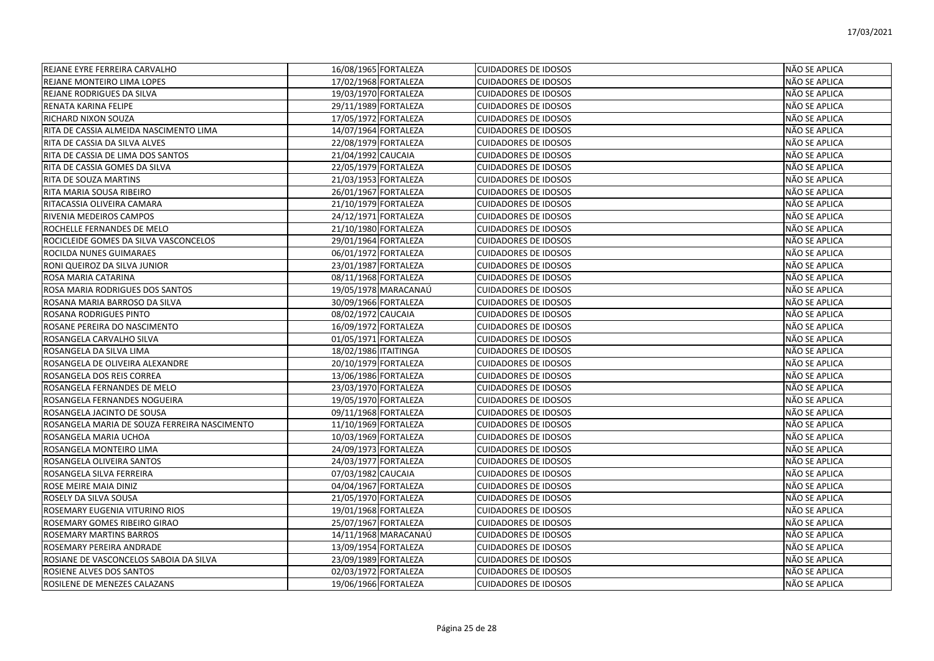| REJANE EYRE FERREIRA CARVALHO                | 16/08/1965 FORTALEZA | <b>CUIDADORES DE IDOSOS</b> | NÃO SE APLICA |
|----------------------------------------------|----------------------|-----------------------------|---------------|
| REJANE MONTEIRO LIMA LOPES                   | 17/02/1968 FORTALEZA | <b>CUIDADORES DE IDOSOS</b> | NÃO SE APLICA |
| <b>REJANE RODRIGUES DA SILVA</b>             | 19/03/1970 FORTALEZA | <b>CUIDADORES DE IDOSOS</b> | NÃO SE APLICA |
| RENATA KARINA FELIPE                         | 29/11/1989 FORTALEZA | <b>CUIDADORES DE IDOSOS</b> | NÃO SE APLICA |
| RICHARD NIXON SOUZA                          | 17/05/1972 FORTALEZA | <b>CUIDADORES DE IDOSOS</b> | NÃO SE APLICA |
| RITA DE CASSIA ALMEIDA NASCIMENTO LIMA       | 14/07/1964 FORTALEZA | <b>CUIDADORES DE IDOSOS</b> | NÃO SE APLICA |
| RITA DE CASSIA DA SILVA ALVES                | 22/08/1979 FORTALEZA | <b>CUIDADORES DE IDOSOS</b> | NÃO SE APLICA |
| RITA DE CASSIA DE LIMA DOS SANTOS            | 21/04/1992 CAUCAIA   | <b>CUIDADORES DE IDOSOS</b> | NÃO SE APLICA |
| RITA DE CASSIA GOMES DA SILVA                | 22/05/1979 FORTALEZA | <b>CUIDADORES DE IDOSOS</b> | NÃO SE APLICA |
| RITA DE SOUZA MARTINS                        | 21/03/1953 FORTALEZA | <b>CUIDADORES DE IDOSOS</b> | NÃO SE APLICA |
| RITA MARIA SOUSA RIBEIRO                     | 26/01/1967 FORTALEZA | <b>CUIDADORES DE IDOSOS</b> | NÃO SE APLICA |
| RITACASSIA OLIVEIRA CAMARA                   | 21/10/1979 FORTALEZA | <b>CUIDADORES DE IDOSOS</b> | NÃO SE APLICA |
| RIVENIA MEDEIROS CAMPOS                      | 24/12/1971 FORTALEZA | <b>CUIDADORES DE IDOSOS</b> | NÃO SE APLICA |
| ROCHELLE FERNANDES DE MELO                   | 21/10/1980 FORTALEZA | <b>CUIDADORES DE IDOSOS</b> | NÃO SE APLICA |
| ROCICLEIDE GOMES DA SILVA VASCONCELOS        | 29/01/1964 FORTALEZA | <b>CUIDADORES DE IDOSOS</b> | NÃO SE APLICA |
| ROCILDA NUNES GUIMARAES                      | 06/01/1972 FORTALEZA | <b>CUIDADORES DE IDOSOS</b> | NÃO SE APLICA |
| RONI QUEIROZ DA SILVA JUNIOR                 | 23/01/1987 FORTALEZA | <b>CUIDADORES DE IDOSOS</b> | NÃO SE APLICA |
| ROSA MARIA CATARINA                          | 08/11/1968 FORTALEZA | <b>CUIDADORES DE IDOSOS</b> | NÃO SE APLICA |
| ROSA MARIA RODRIGUES DOS SANTOS              | 19/05/1978 MARACANAÚ | <b>CUIDADORES DE IDOSOS</b> | NÃO SE APLICA |
| ROSANA MARIA BARROSO DA SILVA                | 30/09/1966 FORTALEZA | <b>CUIDADORES DE IDOSOS</b> | NÃO SE APLICA |
| ROSANA RODRIGUES PINTO                       | 08/02/1972 CAUCAIA   | <b>CUIDADORES DE IDOSOS</b> | NÃO SE APLICA |
| ROSANE PEREIRA DO NASCIMENTO                 | 16/09/1972 FORTALEZA | <b>CUIDADORES DE IDOSOS</b> | NÃO SE APLICA |
| ROSANGELA CARVALHO SILVA                     | 01/05/1971 FORTALEZA | <b>CUIDADORES DE IDOSOS</b> | NÃO SE APLICA |
| ROSANGELA DA SILVA LIMA                      | 18/02/1986 ITAITINGA | <b>CUIDADORES DE IDOSOS</b> | NÃO SE APLICA |
| ROSANGELA DE OLIVEIRA ALEXANDRE              | 20/10/1979 FORTALEZA | <b>CUIDADORES DE IDOSOS</b> | NÃO SE APLICA |
| ROSANGELA DOS REIS CORREA                    | 13/06/1986 FORTALEZA | <b>CUIDADORES DE IDOSOS</b> | NÃO SE APLICA |
| ROSANGELA FERNANDES DE MELO                  | 23/03/1970 FORTALEZA | <b>CUIDADORES DE IDOSOS</b> | NÃO SE APLICA |
| ROSANGELA FERNANDES NOGUEIRA                 | 19/05/1970 FORTALEZA | <b>CUIDADORES DE IDOSOS</b> | NÃO SE APLICA |
| ROSANGELA JACINTO DE SOUSA                   | 09/11/1968 FORTALEZA | <b>CUIDADORES DE IDOSOS</b> | NÃO SE APLICA |
| ROSANGELA MARIA DE SOUZA FERREIRA NASCIMENTO | 11/10/1969 FORTALEZA | <b>CUIDADORES DE IDOSOS</b> | NÃO SE APLICA |
| ROSANGELA MARIA UCHOA                        | 10/03/1969 FORTALEZA | <b>CUIDADORES DE IDOSOS</b> | NÃO SE APLICA |
| ROSANGELA MONTEIRO LIMA                      | 24/09/1973 FORTALEZA | <b>CUIDADORES DE IDOSOS</b> | NÃO SE APLICA |
| ROSANGELA OLIVEIRA SANTOS                    | 24/03/1977 FORTALEZA | <b>CUIDADORES DE IDOSOS</b> | NÃO SE APLICA |
| ROSANGELA SILVA FERREIRA                     | 07/03/1982 CAUCAIA   | <b>CUIDADORES DE IDOSOS</b> | NÃO SE APLICA |
| ROSE MEIRE MAIA DINIZ                        | 04/04/1967 FORTALEZA | <b>CUIDADORES DE IDOSOS</b> | NÃO SE APLICA |
| ROSELY DA SILVA SOUSA                        | 21/05/1970 FORTALEZA | <b>CUIDADORES DE IDOSOS</b> | NÃO SE APLICA |
| ROSEMARY EUGENIA VITURINO RIOS               | 19/01/1968 FORTALEZA | <b>CUIDADORES DE IDOSOS</b> | NÃO SE APLICA |
| ROSEMARY GOMES RIBEIRO GIRAO                 | 25/07/1967 FORTALEZA | <b>CUIDADORES DE IDOSOS</b> | NÃO SE APLICA |
| ROSEMARY MARTINS BARROS                      | 14/11/1968 MARACANAÚ | <b>CUIDADORES DE IDOSOS</b> | NÃO SE APLICA |
| ROSEMARY PEREIRA ANDRADE                     | 13/09/1954 FORTALEZA | <b>CUIDADORES DE IDOSOS</b> | NÃO SE APLICA |
| ROSIANE DE VASCONCELOS SABOIA DA SILVA       | 23/09/1989 FORTALEZA | <b>CUIDADORES DE IDOSOS</b> | NÃO SE APLICA |
| ROSIENE ALVES DOS SANTOS                     | 02/03/1972 FORTALEZA | <b>CUIDADORES DE IDOSOS</b> | NÃO SE APLICA |
| ROSILENE DE MENEZES CALAZANS                 | 19/06/1966 FORTALEZA | <b>CUIDADORES DE IDOSOS</b> | NÃO SE APLICA |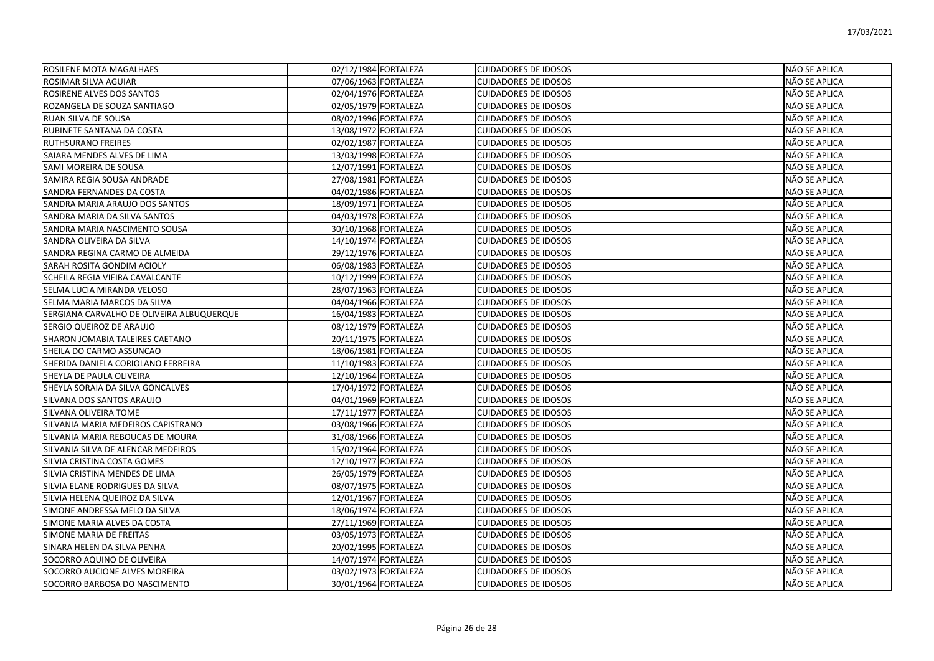| ROSILENE MOTA MAGALHAES                   | 02/12/1984 FORTALEZA | <b>CUIDADORES DE IDOSOS</b> | NÃO SE APLICA |
|-------------------------------------------|----------------------|-----------------------------|---------------|
| ROSIMAR SILVA AGUIAR                      | 07/06/1963 FORTALEZA | <b>CUIDADORES DE IDOSOS</b> | NÃO SE APLICA |
| ROSIRENE ALVES DOS SANTOS                 | 02/04/1976 FORTALEZA | <b>CUIDADORES DE IDOSOS</b> | NÃO SE APLICA |
| ROZANGELA DE SOUZA SANTIAGO               | 02/05/1979 FORTALEZA | <b>CUIDADORES DE IDOSOS</b> | NÃO SE APLICA |
| RUAN SILVA DE SOUSA                       | 08/02/1996 FORTALEZA | <b>CUIDADORES DE IDOSOS</b> | NÃO SE APLICA |
| RUBINETE SANTANA DA COSTA                 | 13/08/1972 FORTALEZA | <b>CUIDADORES DE IDOSOS</b> | NÃO SE APLICA |
| RUTHSURANO FREIRES                        | 02/02/1987 FORTALEZA | <b>CUIDADORES DE IDOSOS</b> | NÃO SE APLICA |
| SAIARA MENDES ALVES DE LIMA               | 13/03/1998 FORTALEZA | <b>CUIDADORES DE IDOSOS</b> | NÃO SE APLICA |
| SAMI MOREIRA DE SOUSA                     | 12/07/1991 FORTALEZA | <b>CUIDADORES DE IDOSOS</b> | NÃO SE APLICA |
| SAMIRA REGIA SOUSA ANDRADE                | 27/08/1981 FORTALEZA | <b>CUIDADORES DE IDOSOS</b> | NÃO SE APLICA |
| SANDRA FERNANDES DA COSTA                 | 04/02/1986 FORTALEZA | <b>CUIDADORES DE IDOSOS</b> | NÃO SE APLICA |
| SANDRA MARIA ARAUJO DOS SANTOS            | 18/09/1971 FORTALEZA | <b>CUIDADORES DE IDOSOS</b> | NÃO SE APLICA |
| SANDRA MARIA DA SILVA SANTOS              | 04/03/1978 FORTALEZA | <b>CUIDADORES DE IDOSOS</b> | NÃO SE APLICA |
| SANDRA MARIA NASCIMENTO SOUSA             | 30/10/1968 FORTALEZA | <b>CUIDADORES DE IDOSOS</b> | NÃO SE APLICA |
| SANDRA OLIVEIRA DA SILVA                  | 14/10/1974 FORTALEZA | <b>CUIDADORES DE IDOSOS</b> | NÃO SE APLICA |
| SANDRA REGINA CARMO DE ALMEIDA            | 29/12/1976 FORTALEZA | <b>CUIDADORES DE IDOSOS</b> | NÃO SE APLICA |
| SARAH ROSITA GONDIM ACIOLY                | 06/08/1983 FORTALEZA | <b>CUIDADORES DE IDOSOS</b> | NÃO SE APLICA |
| SCHEILA REGIA VIEIRA CAVALCANTE           | 10/12/1999 FORTALEZA | <b>CUIDADORES DE IDOSOS</b> | NÃO SE APLICA |
| SELMA LUCIA MIRANDA VELOSO                | 28/07/1963 FORTALEZA | <b>CUIDADORES DE IDOSOS</b> | NÃO SE APLICA |
| SELMA MARIA MARCOS DA SILVA               | 04/04/1966 FORTALEZA | <b>CUIDADORES DE IDOSOS</b> | NÃO SE APLICA |
| SERGIANA CARVALHO DE OLIVEIRA ALBUQUERQUE | 16/04/1983 FORTALEZA | <b>CUIDADORES DE IDOSOS</b> | NÃO SE APLICA |
| SERGIO QUEIROZ DE ARAUJO                  | 08/12/1979 FORTALEZA | <b>CUIDADORES DE IDOSOS</b> | NÃO SE APLICA |
| SHARON JOMABIA TALEIRES CAETANO           | 20/11/1975 FORTALEZA | <b>CUIDADORES DE IDOSOS</b> | NÃO SE APLICA |
| SHEILA DO CARMO ASSUNCAO                  | 18/06/1981 FORTALEZA | <b>CUIDADORES DE IDOSOS</b> | NÃO SE APLICA |
| SHERIDA DANIELA CORIOLANO FERREIRA        | 11/10/1983 FORTALEZA | <b>CUIDADORES DE IDOSOS</b> | NÃO SE APLICA |
| SHEYLA DE PAULA OLIVEIRA                  | 12/10/1964 FORTALEZA | <b>CUIDADORES DE IDOSOS</b> | NÃO SE APLICA |
| SHEYLA SORAIA DA SILVA GONCALVES          | 17/04/1972 FORTALEZA | <b>CUIDADORES DE IDOSOS</b> | NÃO SE APLICA |
| SILVANA DOS SANTOS ARAUJO                 | 04/01/1969 FORTALEZA | <b>CUIDADORES DE IDOSOS</b> | NÃO SE APLICA |
| SILVANA OLIVEIRA TOME                     | 17/11/1977 FORTALEZA | <b>CUIDADORES DE IDOSOS</b> | NÃO SE APLICA |
| SILVANIA MARIA MEDEIROS CAPISTRANO        | 03/08/1966 FORTALEZA | <b>CUIDADORES DE IDOSOS</b> | NÃO SE APLICA |
| SILVANIA MARIA REBOUCAS DE MOURA          | 31/08/1966 FORTALEZA | <b>CUIDADORES DE IDOSOS</b> | NÃO SE APLICA |
| SILVANIA SILVA DE ALENCAR MEDEIROS        | 15/02/1964 FORTALEZA | <b>CUIDADORES DE IDOSOS</b> | NÃO SE APLICA |
| SILVIA CRISTINA COSTA GOMES               | 12/10/1977 FORTALEZA | <b>CUIDADORES DE IDOSOS</b> | NÃO SE APLICA |
| SILVIA CRISTINA MENDES DE LIMA            | 26/05/1979 FORTALEZA | <b>CUIDADORES DE IDOSOS</b> | NÃO SE APLICA |
| SILVIA ELANE RODRIGUES DA SILVA           | 08/07/1975 FORTALEZA | <b>CUIDADORES DE IDOSOS</b> | NÃO SE APLICA |
| SILVIA HELENA QUEIROZ DA SILVA            | 12/01/1967 FORTALEZA | <b>CUIDADORES DE IDOSOS</b> | NÃO SE APLICA |
| SIMONE ANDRESSA MELO DA SILVA             | 18/06/1974 FORTALEZA | <b>CUIDADORES DE IDOSOS</b> | NÃO SE APLICA |
| SIMONE MARIA ALVES DA COSTA               | 27/11/1969 FORTALEZA | <b>CUIDADORES DE IDOSOS</b> | NÃO SE APLICA |
| SIMONE MARIA DE FREITAS                   | 03/05/1973 FORTALEZA | <b>CUIDADORES DE IDOSOS</b> | NÃO SE APLICA |
| SINARA HELEN DA SILVA PENHA               | 20/02/1995 FORTALEZA | <b>CUIDADORES DE IDOSOS</b> | NÃO SE APLICA |
| SOCORRO AQUINO DE OLIVEIRA                | 14/07/1974 FORTALEZA | <b>CUIDADORES DE IDOSOS</b> | NÃO SE APLICA |
| SOCORRO AUCIONE ALVES MOREIRA             | 03/02/1973 FORTALEZA | <b>CUIDADORES DE IDOSOS</b> | NÃO SE APLICA |
| SOCORRO BARBOSA DO NASCIMENTO             | 30/01/1964 FORTALEZA | <b>CUIDADORES DE IDOSOS</b> | NÃO SE APLICA |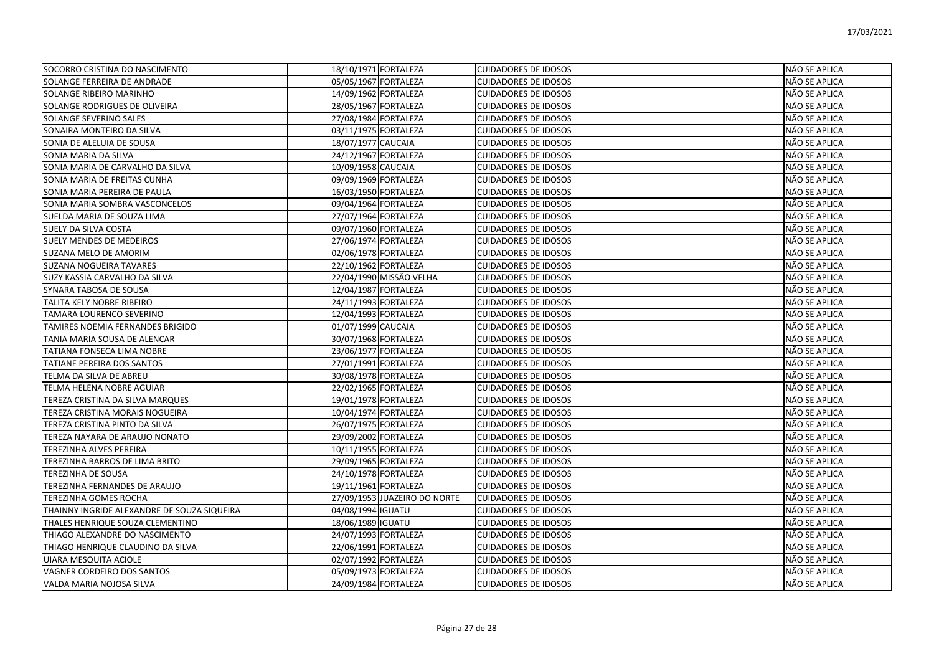| SOCORRO CRISTINA DO NASCIMENTO              | 18/10/1971 FORTALEZA         | <b>CUIDADORES DE IDOSOS</b> | NÃO SE APLICA        |
|---------------------------------------------|------------------------------|-----------------------------|----------------------|
| SOLANGE FERREIRA DE ANDRADE                 | 05/05/1967 FORTALEZA         | <b>CUIDADORES DE IDOSOS</b> | NÃO SE APLICA        |
| <b>SOLANGE RIBEIRO MARINHO</b>              | 14/09/1962 FORTALEZA         | <b>CUIDADORES DE IDOSOS</b> | NÃO SE APLICA        |
| SOLANGE RODRIGUES DE OLIVEIRA               | 28/05/1967 FORTALEZA         | <b>CUIDADORES DE IDOSOS</b> | NÃO SE APLICA        |
| SOLANGE SEVERINO SALES                      | 27/08/1984 FORTALEZA         | <b>CUIDADORES DE IDOSOS</b> | NÃO SE APLICA        |
| SONAIRA MONTEIRO DA SILVA                   | 03/11/1975 FORTALEZA         | <b>CUIDADORES DE IDOSOS</b> | NÃO SE APLICA        |
| SONIA DE ALELUIA DE SOUSA                   | 18/07/1977 CAUCAIA           | <b>CUIDADORES DE IDOSOS</b> | NÃO SE APLICA        |
| SONIA MARIA DA SILVA                        | 24/12/1967 FORTALEZA         | <b>CUIDADORES DE IDOSOS</b> | NÃO SE APLICA        |
| SONIA MARIA DE CARVALHO DA SILVA            | 10/09/1958 CAUCAIA           | <b>CUIDADORES DE IDOSOS</b> | NÃO SE APLICA        |
| SONIA MARIA DE FREITAS CUNHA                | 09/09/1969 FORTALEZA         | <b>CUIDADORES DE IDOSOS</b> | NÃO SE APLICA        |
| SONIA MARIA PEREIRA DE PAULA                | 16/03/1950 FORTALEZA         | <b>CUIDADORES DE IDOSOS</b> | NÃO SE APLICA        |
| SONIA MARIA SOMBRA VASCONCELOS              | 09/04/1964 FORTALEZA         | <b>CUIDADORES DE IDOSOS</b> | NÃO SE APLICA        |
| SUELDA MARIA DE SOUZA LIMA                  | 27/07/1964 FORTALEZA         | <b>CUIDADORES DE IDOSOS</b> | NÃO SE APLICA        |
| <b>SUELY DA SILVA COSTA</b>                 | 09/07/1960 FORTALEZA         | <b>CUIDADORES DE IDOSOS</b> | NÃO SE APLICA        |
| <b>SUELY MENDES DE MEDEIROS</b>             | 27/06/1974 FORTALEZA         | <b>CUIDADORES DE IDOSOS</b> | NÃO SE APLICA        |
| SUZANA MELO DE AMORIM                       | 02/06/1978 FORTALEZA         | <b>CUIDADORES DE IDOSOS</b> | NÃO SE APLICA        |
| <b>SUZANA NOGUEIRA TAVARES</b>              | 22/10/1962 FORTALEZA         | <b>CUIDADORES DE IDOSOS</b> | <b>NÃO SE APLICA</b> |
| SUZY KASSIA CARVALHO DA SILVA               | 22/04/1990 MISSÃO VELHA      | <b>CUIDADORES DE IDOSOS</b> | NÃO SE APLICA        |
| SYNARA TABOSA DE SOUSA                      | 12/04/1987 FORTALEZA         | <b>CUIDADORES DE IDOSOS</b> | NÃO SE APLICA        |
| TALITA KELY NOBRE RIBEIRO                   | 24/11/1993 FORTALEZA         | <b>CUIDADORES DE IDOSOS</b> | NÃO SE APLICA        |
| TAMARA LOURENCO SEVERINO                    | 12/04/1993 FORTALEZA         | <b>CUIDADORES DE IDOSOS</b> | NÃO SE APLICA        |
| TAMIRES NOEMIA FERNANDES BRIGIDO            | 01/07/1999 CAUCAIA           | <b>CUIDADORES DE IDOSOS</b> | NÃO SE APLICA        |
| TANIA MARIA SOUSA DE ALENCAR                | 30/07/1968 FORTALEZA         | <b>CUIDADORES DE IDOSOS</b> | NÃO SE APLICA        |
| TATIANA FONSECA LIMA NOBRE                  | 23/06/1977 FORTALEZA         | <b>CUIDADORES DE IDOSOS</b> | NÃO SE APLICA        |
| TATIANE PEREIRA DOS SANTOS                  | 27/01/1991 FORTALEZA         | <b>CUIDADORES DE IDOSOS</b> | NÃO SE APLICA        |
| TELMA DA SILVA DE ABREU                     | 30/08/1978 FORTALEZA         | <b>CUIDADORES DE IDOSOS</b> | NÃO SE APLICA        |
| TELMA HELENA NOBRE AGUIAR                   | 22/02/1965 FORTALEZA         | <b>CUIDADORES DE IDOSOS</b> | NÃO SE APLICA        |
| TEREZA CRISTINA DA SILVA MARQUES            | 19/01/1978 FORTALEZA         | <b>CUIDADORES DE IDOSOS</b> | NÃO SE APLICA        |
| TEREZA CRISTINA MORAIS NOGUEIRA             | 10/04/1974 FORTALEZA         | <b>CUIDADORES DE IDOSOS</b> | NÃO SE APLICA        |
| TEREZA CRISTINA PINTO DA SILVA              | 26/07/1975 FORTALEZA         | <b>CUIDADORES DE IDOSOS</b> | <b>NÃO SE APLICA</b> |
| TEREZA NAYARA DE ARAUJO NONATO              | 29/09/2002 FORTALEZA         | <b>CUIDADORES DE IDOSOS</b> | NÃO SE APLICA        |
| TEREZINHA ALVES PEREIRA                     | 10/11/1955 FORTALEZA         | <b>CUIDADORES DE IDOSOS</b> | NÃO SE APLICA        |
| TEREZINHA BARROS DE LIMA BRITO              | 29/09/1965 FORTALEZA         | <b>CUIDADORES DE IDOSOS</b> | NÃO SE APLICA        |
| TEREZINHA DE SOUSA                          | 24/10/1978 FORTALEZA         | <b>CUIDADORES DE IDOSOS</b> | NÃO SE APLICA        |
| TEREZINHA FERNANDES DE ARAUJO               | 19/11/1961 FORTALEZA         | <b>CUIDADORES DE IDOSOS</b> | NÃO SE APLICA        |
| TEREZINHA GOMES ROCHA                       | 27/09/1953 JUAZEIRO DO NORTE | <b>CUIDADORES DE IDOSOS</b> | NÃO SE APLICA        |
| THAINNY INGRIDE ALEXANDRE DE SOUZA SIQUEIRA | 04/08/1994 IGUATU            | <b>CUIDADORES DE IDOSOS</b> | NÃO SE APLICA        |
| THALES HENRIQUE SOUZA CLEMENTINO            | 18/06/1989 IGUATU            | <b>CUIDADORES DE IDOSOS</b> | NÃO SE APLICA        |
| THIAGO ALEXANDRE DO NASCIMENTO              | 24/07/1993 FORTALEZA         | <b>CUIDADORES DE IDOSOS</b> | NÃO SE APLICA        |
| THIAGO HENRIQUE CLAUDINO DA SILVA           | 22/06/1991 FORTALEZA         | <b>CUIDADORES DE IDOSOS</b> | NÃO SE APLICA        |
| UIARA MESQUITA ACIOLE                       | 02/07/1992 FORTALEZA         | <b>CUIDADORES DE IDOSOS</b> | NÃO SE APLICA        |
| VAGNER CORDEIRO DOS SANTOS                  | 05/09/1973 FORTALEZA         | <b>CUIDADORES DE IDOSOS</b> | NÃO SE APLICA        |
| VALDA MARIA NOJOSA SILVA                    | 24/09/1984 FORTALEZA         | <b>CUIDADORES DE IDOSOS</b> | <b>NÃO SE APLICA</b> |